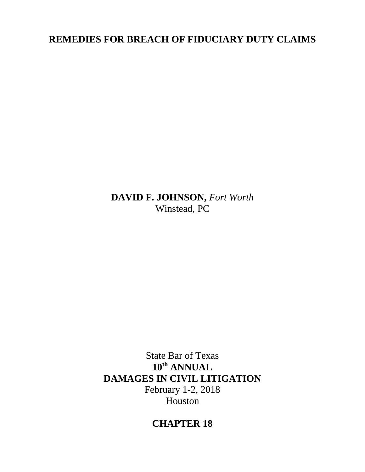## **REMEDIES FOR BREACH OF FIDUCIARY DUTY CLAIMS**

**DAVID F. JOHNSON,** *Fort Worth* Winstead, PC

State Bar of Texas **10th ANNUAL DAMAGES IN CIVIL LITIGATION**  February 1-2, 2018 Houston

# **CHAPTER 18**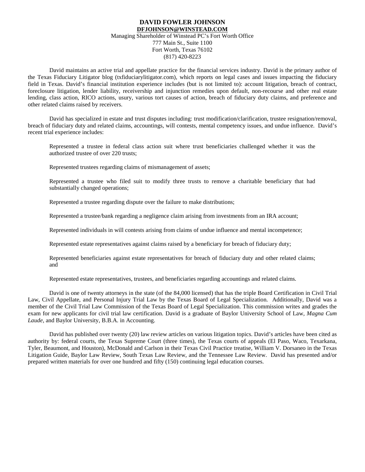#### **DAVID FOWLER JOHNSON [DFJOHNSON@WINSTEAD.COM](mailto:DJOHNSON@FULBRIGHTLAW.COM)** Managing Shareholder of Winstead PC's Fort Worth Office 777 Main St., Suite 1100 Fort Worth, Texas 76102 (817) 420-8223

David maintains an active trial and appellate practice for the financial services industry. David is the primary author of the Texas Fiduciary Litigator blog (txfiduciarylitigator.com), which reports on legal cases and issues impacting the fiduciary field in Texas. David's financial institution experience includes (but is not limited to): account litigation, breach of contract, foreclosure litigation, lender liability, receivership and injunction remedies upon default, non-recourse and other real estate lending, class action, RICO actions, usury, various tort causes of action, breach of fiduciary duty claims, and preference and other related claims raised by receivers.

David has specialized in estate and trust disputes including: trust modification/clarification, trustee resignation/removal, breach of fiduciary duty and related claims, accountings, will contests, mental competency issues, and undue influence. David's recent trial experience includes:

Represented a trustee in federal class action suit where trust beneficiaries challenged whether it was the authorized trustee of over 220 trusts;

Represented trustees regarding claims of mismanagement of assets;

Represented a trustee who filed suit to modify three trusts to remove a charitable beneficiary that had substantially changed operations;

Represented a trustee regarding dispute over the failure to make distributions;

Represented a trustee/bank regarding a negligence claim arising from investments from an IRA account;

Represented individuals in will contests arising from claims of undue influence and mental incompetence;

Represented estate representatives against claims raised by a beneficiary for breach of fiduciary duty;

Represented beneficiaries against estate representatives for breach of fiduciary duty and other related claims; and

Represented estate representatives, trustees, and beneficiaries regarding accountings and related claims.

David is one of twenty attorneys in the state (of the 84,000 licensed) that has the triple Board Certification in Civil Trial Law, Civil Appellate, and Personal Injury Trial Law by the Texas Board of Legal Specialization. Additionally, David was a member of the Civil Trial Law Commission of the Texas Board of Legal Specialization. This commission writes and grades the exam for new applicants for civil trial law certification. David is a graduate of Baylor University School of Law*, Magna Cum Laude*, and Baylor University*,* B.B.A. in Accounting.

David has published over twenty (20) law review articles on various litigation topics. David's articles have been cited as authority by: federal courts, the Texas Supreme Court (three times), the Texas courts of appeals (El Paso, Waco, Texarkana, Tyler, Beaumont, and Houston), McDonald and Carlson in their Texas Civil Practice treatise, William V. Dorsaneo in the Texas Litigation Guide, Baylor Law Review, South Texas Law Review, and the Tennessee Law Review. David has presented and/or prepared written materials for over one hundred and fifty (150) continuing legal education courses.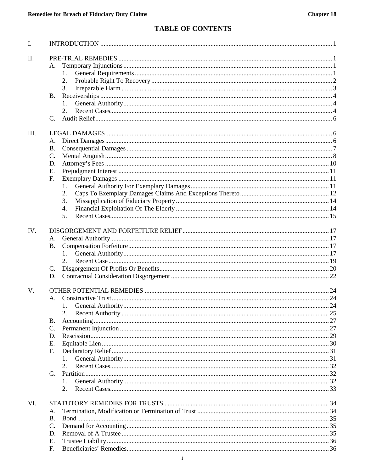## **TABLE OF CONTENTS**

| I.  |                       |    |
|-----|-----------------------|----|
| II. |                       |    |
|     | А.                    |    |
|     | 1.                    |    |
|     | 2.                    |    |
|     | 3.                    |    |
|     | <b>B.</b>             |    |
|     | 1.                    |    |
|     |                       |    |
|     | C.                    |    |
| Ш.  |                       |    |
|     | А.                    |    |
|     | <b>B.</b>             |    |
|     | C.                    |    |
|     | D.                    |    |
|     | E.                    |    |
|     | F.                    |    |
|     | 1.                    |    |
|     | 2.                    |    |
|     | 3.                    |    |
|     | 4.                    |    |
|     | 5.                    |    |
|     |                       |    |
| IV. |                       |    |
|     | А.                    |    |
|     | <b>B.</b>             |    |
|     |                       |    |
|     |                       |    |
|     | C.                    |    |
|     | D.                    |    |
| V.  |                       |    |
|     | A.                    |    |
|     | 1. General Authority. | 24 |
|     | 2.                    |    |
|     | <b>B.</b>             |    |
|     | C.                    |    |
|     | D.                    |    |
|     | Ε.                    |    |
|     | F.                    |    |
|     | $\mathbf{1}$ .        |    |
|     | 2.                    |    |
|     | G.                    |    |
|     | $\mathbf{1}_{\cdot}$  |    |
|     | 2.                    |    |
|     |                       |    |
| VI. |                       |    |
|     | А.                    |    |
|     | <b>B.</b>             |    |
|     | C.                    |    |
|     | D.                    |    |
|     | E.                    |    |
|     | F.                    |    |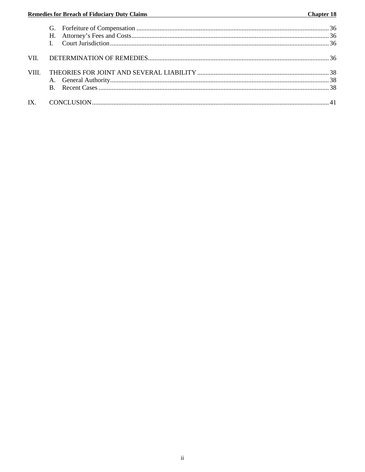| VII -       |  |
|-------------|--|
| <b>VIII</b> |  |
|             |  |
|             |  |
| $IX_{-}$    |  |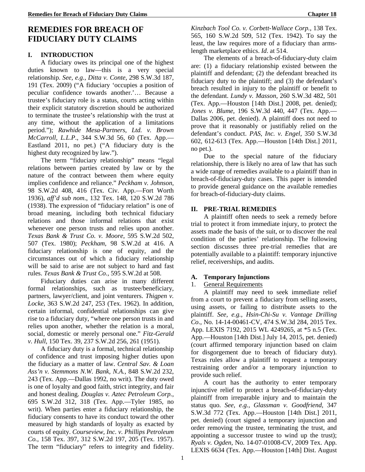## **REMEDIES FOR BREACH OF FIDUCIARY DUTY CLAIMS**

### **I. INTRODUCTION**

A fiduciary owes its principal one of the highest duties known to law—this is a very special relationship. *See, e.g., Ditta v. Conte*, 298 S.W.3d 187, 191 (Tex. 2009) ("A fiduciary 'occupies a position of peculiar confidence towards another.'… Because a trustee's fiduciary role is a status, courts acting within their explicit statutory discretion should be authorized to terminate the trustee's relationship with the trust at any time, without the application of a limitations period."); *Rawhide Mesa-Partners, Ltd. v. Brown McCarroll, L.L.P*., 344 S.W.3d 56, 60 (Tex. App.— Eastland 2011, no pet.) ("A fiduciary duty is the highest duty recognized by law.").

The term "fiduciary relationship" means "legal relations between parties created by law or by the nature of the contract between them where equity implies confidence and reliance." *Peckham v. Johnson,* 98 S.W.2d 408, 416 (Tex. Civ. App.—Fort Worth 1936), *aff'd sub nom*., 132 Tex. 148, 120 S.W.2d 786 (1938). The expression of "fiduciary relation" is one of broad meaning, including both technical fiduciary relations and those informal relations that exist whenever one person trusts and relies upon another. *Texas Bank & Trust Co. v. Moore*, 595 S.W.2d 502, 507 (Tex. 1980); *Peckham,* 98 S.W.2d at 416. A fiduciary relationship is one of equity, and the circumstances out of which a fiduciary relationship will be said to arise are not subject to hard and fast rules. *Texas Bank & Trust Co.*, 595 S.W.2d at 508.

Fiduciary duties can arise in many different formal relationships, such as trustee/beneficiary, partners, lawyer/client, and joint venturers. *Thigpen v. Locke*, 363 S.W.2d 247, 253 (Tex. 1962). In addition, certain informal, confidential relationships can give rise to a fiduciary duty, "where one person trusts in and relies upon another, whether the relation is a moral, social, domestic or merely personal one." *Fitz-Gerald v. Hull*, 150 Tex. 39, 237 S.W.2d 256, 261 (1951).

A fiduciary duty is a formal, technical relationship of confidence and trust imposing higher duties upon the fiduciary as a matter of law. *Central Sav. & Loan Ass'n v. Stemmons N.W. Bank, N.A.*, 848 S.W.2d 232, 243 (Tex. App.—Dallas 1992, no writ). The duty owed is one of loyalty and good faith, strict integrity, and fair and honest dealing. *Douglas v. Aztec Petroleum Corp.*, 695 S.W.2d 312, 318 (Tex. App.—Tyler 1985, no writ). When parties enter a fiduciary relationship, the fiduciary consents to have its conduct toward the other measured by high standards of loyalty as exacted by courts of equity. *Courseview, Inc. v. Phillips Petroleum Co.*, 158 Tex. 397, 312 S.W.2d 197, 205 (Tex. 1957). The term "fiduciary" refers to integrity and fidelity. *Kinzbach Tool Co. v. Corbett-Wallace Corp.*, 138 Tex. 565, 160 S.W.2d 509, 512 (Tex. 1942). To say the least, the law requires more of a fiduciary than armslength marketplace ethics. *Id*. at 514.

The elements of a breach-of-fiduciary-duty claim are: (1) a fiduciary relationship existed between the plaintiff and defendant; (2) the defendant breached its fiduciary duty to the plaintiff; and (3) the defendant's breach resulted in injury to the plaintiff or benefit to the defendant. *Lundy v. Masson*, 260 S.W.3d 482, 501 (Tex. App.—Houston [14th Dist.] 2008, pet. denied); *Jones v. Blume*, 196 S.W.3d 440, 447 (Tex. App.— Dallas 2006, pet. denied). A plaintiff does not need to prove that it reasonably or justifiably relied on the defendant's conduct. *PAS, Inc. v. Engel*, 350 S.W.3d 602, 612-613 (Tex. App.—Houston [14th Dist.] 2011, no pet.).

Due to the special nature of the fiduciary relationship, there is likely no area of law that has such a wide range of remedies available to a plaintiff than in breach-of-fiduciary-duty cases. This paper is intended to provide general guidance on the available remedies for breach-of-fiduciary-duty claims.

### **II. PRE-TRIAL REMEDIES**

A plaintiff often needs to seek a remedy before trial to protect it from immediate injury, to protect the assets made the basis of the suit, or to discover the real condition of the parties' relationship. The following section discusses three pre-trial remedies that are potentially available to a plaintiff: temporary injunctive relief, receiverships, and audits.

### **A. Temporary Injunctions**

### 1. General Requirements

A plaintiff may need to seek immediate relief from a court to prevent a fiduciary from selling assets, using assets, or failing to distribute assets to the plaintiff. *See, e.g., Hsin-Chi-Su v. Vantage Drilling Co*., No. 14-14-00461-CV, 474 S.W.3d 284, 2015 Tex. App. LEXIS 7192, 2015 WL 4249265, at \*5 n.5 (Tex. App.—Houston [14th Dist.] July 14, 2015, pet. denied) (court affirmed temporary injunction based on claim for disgorgement due to breach of fiduciary duty). Texas rules allow a plaintiff to request a temporary restraining order and/or a temporary injunction to provide such relief.

A court has the authority to enter temporary injunctive relief to protect a breach-of-fiduciary-duty plaintiff from irreparable injury and to maintain the status quo. *See, e.g., Glassman v. Goodfriend*, 347 S.W.3d 772 (Tex. App.—Houston [14th Dist.] 2011, pet. denied) (court signed a temporary injunction and order removing the trustee, terminating the trust, and appointing a successor trustee to wind up the trust); *Ryals v. Ogden*, No. 14-07-01008-CV, 2009 Tex. App. LEXIS 6634 (Tex. App.—Houston [14th] Dist. August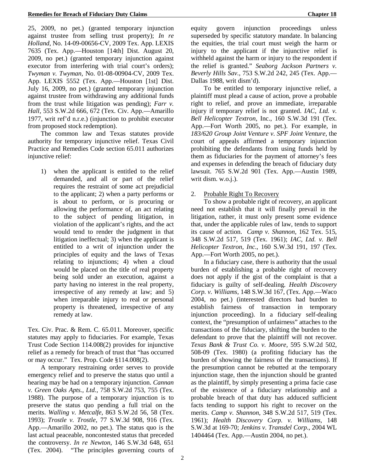25, 2009, no pet.) (granted temporary injunction against trustee from selling trust property); *In re Holland*, No. 14-09-00656-CV, 2009 Tex. App. LEXIS 7635 (Tex. App.—Houston [14th] Dist. August 20, 2009, no pet.) (granted temporary injunction against executor from interfering with trial court's orders); *Twyman v. Twyman,* No. 01-08-00904-CV, 2009 Tex. App. LEXIS 5552 (Tex. App.—Houston [1st] Dist. July 16, 2009, no pet.) (granted temporary injunction against trustee from withdrawing any additional funds from the trust while litigation was pending); *Farr v. Hall*, 553 S.W.2d 666, 672 (Tex. Civ. App.—Amarillo 1977, writ ref'd n.r.e.) (injunction to prohibit executor from proposed stock redemption).

The common law and Texas statutes provide authority for temporary injunctive relief. Texas Civil Practice and Remedies Code section 65.011 authorizes injunctive relief:

1) when the applicant is entitled to the relief demanded, and all or part of the relief requires the restraint of some act prejudicial to the applicant; 2) when a party performs or is about to perform, or is procuring or allowing the performance of, an act relating to the subject of pending litigation, in violation of the applicant's rights, and the act would tend to render the judgment in that litigation ineffectual; 3) when the applicant is entitled to a writ of injunction under the principles of equity and the laws of Texas relating to injunctions; 4) when a cloud would be placed on the title of real property being sold under an execution, against a party having no interest in the real property, irrespective of any remedy at law; and 5) when irreparable injury to real or personal property is threatened, irrespective of any remedy at law.

Tex. Civ. Prac. & Rem. C. 65.011. Moreover, specific statutes may apply to fiduciaries. For example, Texas Trust Code Section 114.008(2) provides for injunctive relief as a remedy for breach of trust that "has occurred or may occur." Tex. Prop. Code §114.008(2).

A temporary restraining order serves to provide emergency relief and to preserve the status quo until a hearing may be had on a temporary injunction. *Cannan v. Green Oaks Apts., Ltd.*, 758 S.W.2d 753, 755 (Tex. 1988). The purpose of a temporary injunction is to preserve the status quo pending a full trial on the merits. *Walling v. Metcalfe*, 863 S.W.2d 56, 58 (Tex. 1993); *Trostle v. Trostle*, 77 S.W.3d 908, 916 (Tex. App.—Amarillo 2002, no pet.). The status quo is the last actual peaceable, noncontested status that preceded the controversy. *In re Newton*, 146 S.W.3d 648, 651 (Tex. 2004). "The principles governing courts of

equity govern injunction proceedings unless superseded by specific statutory mandate. In balancing the equities, the trial court must weigh the harm or injury to the applicant if the injunctive relief is withheld against the harm or injury to the respondent if the relief is granted." *Seaborg Jackson Partners v. Beverly Hills Sav.*, 753 S.W.2d 242, 245 (Tex. App.— Dallas 1988, writ dism'd).

To be entitled to temporary injunctive relief, a plaintiff must plead a cause of action, prove a probable right to relief, and prove an immediate, irreparable injury if temporary relief is not granted. *IAC, Ltd. v. Bell Helicopter Textron*, Inc., 160 S.W.3d 191 (Tex. App.—Fort Worth 2005, no pet.). For example, in *183/620 Group Joint Venture v. SPF Joint Venture,* the court of appeals affirmed a temporary injunction prohibiting the defendants from using funds held by them as fiduciaries for the payment of attorney's fees and expenses in defending the breach of fiduciary duty lawsuit. 765 S.W.2d 901 (Tex. App.—Austin 1989, writ dism. w.o.j.).

#### 2. Probable Right To Recovery

To show a probable right of recovery, an applicant need not establish that it will finally prevail in the litigation, rather, it must only present some evidence that, under the applicable rules of law, tends to support its cause of action. *Camp v. Shannon*, 162 Tex. 515, 348 S.W.2d 517, 519 (Tex. 1961); *IAC, Ltd. v. Bell Helicopter Textron, Inc*., 160 S.W.3d 191, 197 (Tex. App.—Fort Worth 2005, no pet.).

In a fiduciary case, there is authority that the usual burden of establishing a probable right of recovery does not apply if the gist of the complaint is that a fiduciary is guilty of self-dealing. *Health Discovery Corp. v. Williams,* 148 S.W.3d 167, (Tex. App.—Waco 2004, no pet.) (interested directors had burden to establish fairness of transaction in temporary injunction proceeding). In a fiduciary self-dealing context, the "presumption of unfairness" attaches to the transactions of the fiduciary, shifting the burden to the defendant to prove that the plaintiff will not recover. *Texas Bank & Trust Co. v. Moore*, 595 S.W.2d 502, 508-09 (Tex. 1980) (a profiting fiduciary has the burden of showing the fairness of the transactions). If the presumption cannot be rebutted at the temporary injunction stage, then the injunction should be granted as the plaintiff, by simply presenting a prima facie case of the existence of a fiduciary relationship and a probable breach of that duty has adduced sufficient facts tending to support his right to recover on the merits. *Camp v. Shannon*, 348 S.W.2d 517, 519 (Tex. 1961); *Health Discovery Corp. v. Williams,* 148 S.W.3d at 169-70; *Jenkins v. Transdel Corp*., 2004 WL 1404464 (Tex. App.—Austin 2004, no pet.).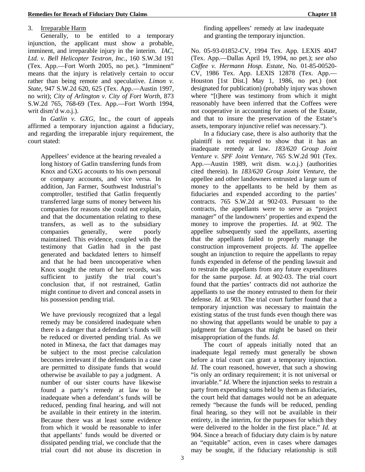### 3. Irreparable Harm

Generally, to be entitled to a temporary injunction, the applicant must show a probable, imminent, and irreparable injury in the interim. *IAC, Ltd. v. Bell Helicopter Textron, Inc.*, 160 S.W.3d 191 (Tex. App.—Fort Worth 2005, no pet.). "Imminent" means that the injury is relatively certain to occur rather than being remote and speculative. *Limon v. State*, 947 S.W.2d 620, 625 (Tex. App.—Austin 1997, no writ); *City of Arlington v. City of Fort Worth,* 873 S.W.2d 765, 768-69 (Tex. App.—Fort Worth 1994, writ dism'd w.o.j.).

In *Gatlin v. GXG*, Inc., the court of appeals affirmed a temporary injunction against a fiduciary, and regarding the irreparable injury requirement, the court stated:

Appellees' evidence at the hearing revealed a long history of Gatlin transferring funds from Knox and GXG accounts to his own personal or company accounts, and vice versa. In addition, Jan Farmer, Southwest Industrial's comptroller, testified that Gatlin frequently transferred large sums of money between his companies for reasons she could not explain, and that the documentation relating to these transfers, as well as to the subsidiary companies generally, were poorly maintained. This evidence, coupled with the testimony that Gatlin had in the past generated and backdated letters to himself and that he had been uncooperative when Knox sought the return of her records, was sufficient to justify the trial court's conclusion that, if not restrained, Gatlin might continue to divert and conceal assets in his possession pending trial.

We have previously recognized that a legal remedy may be considered inadequate when there is a danger that a defendant's funds will be reduced or diverted pending trial. As we noted in Minexa, the fact that damages may be subject to the most precise calculation becomes irrelevant if the defendants in a case are permitted to dissipate funds that would otherwise be available to pay a judgment. A number of our sister courts have likewise found a party's remedy at law to be inadequate when a defendant's funds will be reduced, pending final hearing, and will not be available in their entirety in the interim. Because there was at least some evidence from which it would be reasonable to infer that appellants' funds would be diverted or dissipated pending trial, we conclude that the trial court did not abuse its discretion in finding appellees' remedy at law inadequate and granting the temporary injunction.

No. 05-93-01852-CV, 1994 Tex. App. LEXIS 4047 (Tex. App.—Dallas April 19, 1994, no pet.); *see also Coffee v. Hermann Hosp. Estate,* No. 01-85-00520- CV, 1986 Tex. App. LEXIS 12878 (Tex. App.— Houston [1st Dist.] May 1, 1986, no pet.) (not designated for publication) (probably injury was shown where "[t]here was testimony from which it might reasonably have been inferred that the Coffees were not cooperative in accounting for assets of the Estate, and that to insure the preservation of the Estate's assets, temporary injunctive relief was necessary.").

In a fiduciary case, there is also authority that the plaintiff is not required to show that it has an inadequate remedy at law. *183/620 Group Joint Venture v. SPF Joint Venture*, 765 S.W.2d 901 (Tex. App.—Austin 1989, writ dism. w.o.j.) (authorities cited therein). In *183/620 Group Joint Venture*, the appellee and other landowners entrusted a large sum of money to the appellants to be held by them as fiduciaries and expended according to the parties' contracts. 765 S.W.2d at 902-03. Pursuant to the contracts, the appellants were to serve as "project manager" of the landowners' properties and expend the money to improve the properties. *Id*. at 902. The appellee subsequently sued the appellants, asserting that the appellants failed to properly manage the construction improvement projects. *Id*. The appellee sought an injunction to require the appellants to repay funds expended in defense of the pending lawsuit and to restrain the appellants from any future expenditures for the same purpose. *Id*. at 902-03. The trial court found that the parties' contracts did not authorize the appellants to use the money entrusted to them for their defense. *Id*. at 903. The trial court further found that a temporary injunction was necessary to maintain the existing status of the trust funds even though there was no showing that appellants would be unable to pay a judgment for damages that might be based on their misappropriation of the funds. *Id*.

The court of appeals initially noted that an inadequate legal remedy must generally be shown before a trial court can grant a temporary injunction. *Id*. The court reasoned, however, that such a showing "is only an ordinary requirement; it is not universal or invariable." *Id*. Where the injunction seeks to restrain a party from expending sums held by them as fiduciaries, the court held that damages would not be an adequate remedy "because the funds will be reduced, pending final hearing, so they will not be available in their entirety, in the interim, for the purposes for which they were delivered to the holder in the first place." *Id*. at 904. Since a breach of fiduciary duty claim is by nature an "equitable" action, even in cases where damages may be sought, if the fiduciary relationship is still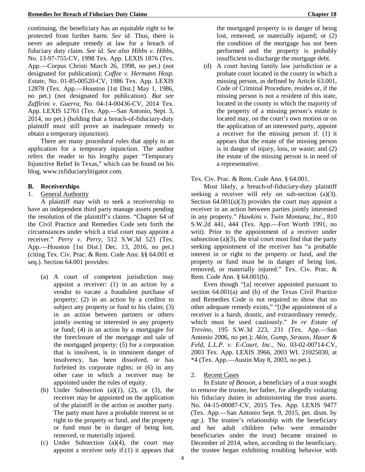#### **Remedies for Breach of Fiduciary Duty Claims Chapter 18**

continuing, the beneficiary has an equitable right to be protected from further harm. *See id*. Thus, there is never an adequate remedy at law for a breach of fiduciary duty claim. *See id*. *See also Hibbs v. Hibbs*, No. 13-97-755-CV, 1998 Tex. App. LEXIS 1876 (Tex. App.—Corpus Christi March 26, 1998, no pet.) (not designated for publication); *Coffee v. Hermann Hosp. Estate*, No. 01-85-00520-CV, 1986 Tex. App. LEXIS 12878 (Tex. App.—Houston [1st Dist.] May 1, 1986, no pet.) (not designated for publication). *But see Zaffirini v. Guerra*, No. 04-14-00436-CV, 2014 Tex. App. LEXIS 12761 (Tex. App.—San Antonio, Sept. 3, 2014, no pet.) (holding that a breach-of-fiduciary-duty plaintiff must still prove an inadequate remedy to obtain a temporary injunction).

There are many procedural rules that apply to an application for a temporary injunction. The author refers the reader to his lengthy paper "Temporary Injunctive Relief In Texas," which can be found on his blog, www.txfiduciarylitigator.com.

### **B. Receiverships**

### 1. General Authority

A plaintiff may wish to seek a receivership to have an independent third party manage assets pending the resolution of the plaintiff's claims. "Chapter 64 of the Civil Practice and Remedies Code sets forth the circumstances under which a trial court may appoint a receiver." *Perry v. Perry*, 512 S.W.3d 523 (Tex. App.—Houston [1st Dist.] Dec. 13, 2016, no pet.) (citing Tex. Civ. Prac. & Rem. Code Ann. §§ 64.001 et seq.). Section 64.001 provides:

- (a) A court of competent jurisdiction may appoint a receiver: (1) in an action by a vendor to vacate a fraudulent purchase of property; (2) in an action by a creditor to subject any property or fund to his claim; (3) in an action between partners or others jointly owning or interested in any property or fund; (4) in an action by a mortgagee for the foreclosure of the mortgage and sale of the mortgaged property; (5) for a corporation that is insolvent, is in imminent danger of insolvency, has been dissolved, or has forfeited its corporate rights; or (6) in any other case in which a receiver may be appointed under the rules of equity.
- (b) Under Subsection (a)(1), (2), or (3), the receiver may be appointed on the application of the plaintiff in the action or another party. The party must have a probable interest in or right to the property or fund, and the property or fund must be in danger of being lost, removed, or materially injured.
- (c) Under Subsection (a)(4), the court may appoint a receiver only if:(1) it appears that

the mortgaged property is in danger of being lost, removed, or materially injured; or (2) the condition of the mortgage has not been performed and the property is probably insufficient to discharge the mortgage debt.

(d) A court having family law jurisdiction or a probate court located in the county in which a missing person, as defined by Article 63.001, Code of Criminal Procedure, resides or, if the missing person is not a resident of this state, located in the county in which the majority of the property of a missing person's estate is located may, on the court's own motion or on the application of an interested party, appoint a receiver for the missing person if: (1) it appears that the estate of the missing person is in danger of injury, loss, or waste; and (2) the estate of the missing person is in need of a representative.

### Tex. Civ. Prac. & Rem. Code Ann. § 64.001.

Most likely, a breach-of-fiduciary-duty plaintiff seeking a receiver will rely on sub-section (a)(3). Section  $64.001(a)(3)$  provides the court may appoint a receiver in an action between parties jointly interested in any property." *Hawkins v. Twin Montana, Inc.*, 810 S.W.2d 441, 444 (Tex. App.—Fort Worth 1991, no writ). Prior to the appointment of a receiver under subsection  $(a)(3)$ , the trial court must find that the party seeking appointment of the receiver has "a probable interest in or right to the property or fund, and the property or fund must be in danger of being lost, removed, or materially injured." Tex. Civ. Prac. & Rem. Code Ann. § 64.001(b).

Even though "[a] receiver appointed pursuant to section 64.001(a) and (b) of the Texas Civil Practice and Remedies Code is not required to show that no other adequate remedy exists," "[t]he appointment of a receiver is a harsh, drastic, and extraordinary remedy, which must be used cautiously." *In re Estate of Trevino*, 195 S.W.3d 223, 231 (Tex. App.—San Antonio 2006, no pet.); *Akin, Gump, Strauss, Hauer & Feld, L.L.P. v. E-Court, Inc.*, No. 03-02-00714-CV, 2003 Tex. App. LEXIS 3966, 2003 WL 21025030, at \*4 (Tex. App.—Austin May 8, 2003, no pet.).

### 2. Recent Cases

In *Estate of Benson*, a beneficiary of a trust sought to remove the trustee, her father, for allegedly violating his fiduciary duties in administering the trust assets. No. 04-15-00087-CV, 2015 Tex. App. LEXIS 9477 (Tex. App.—San Antonio Sept. 9, 2015, pet. dism. by agr.). The trustee's relationship with the beneficiary and her adult children (who were remainder beneficiaries under the trust) became strained in December of 2014, when, according to the beneficiary, the trustee began exhibiting troubling behavior with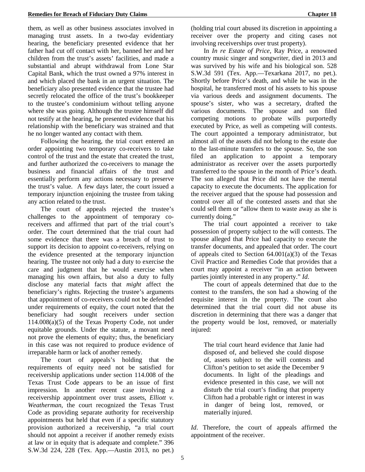them, as well as other business associates involved in managing trust assets. In a two-day evidentiary hearing, the beneficiary presented evidence that her father had cut off contact with her, banned her and her children from the trust's assets' facilities, and made a substantial and abrupt withdrawal from Lone Star Capital Bank, which the trust owned a 97% interest in and which placed the bank in an urgent situation. The beneficiary also presented evidence that the trustee had secretly relocated the office of the trust's bookkeeper to the trustee's condominium without telling anyone where she was going. Although the trustee himself did not testify at the hearing, he presented evidence that his relationship with the beneficiary was strained and that he no longer wanted any contact with them.

Following the hearing, the trial court entered an order appointing two temporary co-receivers to take control of the trust and the estate that created the trust, and further authorized the co-receivers to manage the business and financial affairs of the trust and essentially perform any actions necessary to preserve the trust's value. A few days later, the court issued a temporary injunction enjoining the trustee from taking any action related to the trust.

The court of appeals rejected the trustee's challenges to the appointment of temporary coreceivers and affirmed that part of the trial court's order. The court determined that the trial court had some evidence that there was a breach of trust to support its decision to appoint co-receivers, relying on the evidence presented at the temporary injunction hearing. The trustee not only had a duty to exercise the care and judgment that he would exercise when managing his own affairs, but also a duty to fully disclose any material facts that *might* affect the beneficiary's rights. Rejecting the trustee's arguments that appointment of co-receivers could not be defended under requirements of equity, the court noted that the beneficiary had sought receivers under section 114.008(a)(5) of the Texas Property Code, not under equitable grounds. Under the statute, a movant need not prove the elements of equity; thus, the beneficiary in this case was not required to produce evidence of irreparable harm or lack of another remedy.

The court of appeals's holding that the requirements of equity need not be satisfied for receivership applications under section 114.008 of the Texas Trust Code appears to be an issue of first impression. In another recent case involving a receivership appointment over trust assets, *Elliott v. Weatherman*, the court recognized the Texas Trust Code as providing separate authority for receivership appointments but held that even if a specific statutory provision authorized a receivership, "a trial court should not appoint a receiver if another remedy exists at law or in equity that is adequate and complete." 396 S.W.3d 224, 228 (Tex. App.—Austin 2013, no pet.)

(holding trial court abused its discretion in appointing a receiver over the property and citing cases not involving receiverships over trust property).

In *In re Estate of Price*, Ray Price, a renowned country music singer and songwriter, died in 2013 and was survived by his wife and his biological son. 528 S.W.3d 591 (Tex. App.—Texarkana 2017, no pet.). Shortly before Price's death, and while he was in the hospital, he transferred most of his assets to his spouse via various deeds and assignment documents. The spouse's sister, who was a secretary, drafted the various documents. The spouse and son filed competing motions to probate wills purportedly executed by Price, as well as competing will contests. The court appointed a temporary administrator, but almost all of the assets did not belong to the estate due to the last-minute transfers to the spouse. So, the son filed an application to appoint a temporary administrator as receiver over the assets purportedly transferred to the spouse in the month of Price's death. The son alleged that Price did not have the mental capacity to execute the documents. The application for the receiver argued that the spouse had possession and control over all of the contested assets and that she could sell them or "allow them to waste away as she is currently doing."

The trial court appointed a receiver to take possession of property subject to the will contests. The spouse alleged that Price had capacity to execute the transfer documents, and appealed that order. The court of appeals cited to Section  $64.001(a)(3)$  of the Texas Civil Practice and Remedies Code that provides that a court may appoint a receiver "in an action between parties jointly interested in any property." *Id*.

The court of appeals determined that due to the contest to the transfers, the son had a showing of the requisite interest in the property. The court also determined that the trial court did not abuse its discretion in determining that there was a danger that the property would be lost, removed, or materially injured:

The trial court heard evidence that Janie had disposed of, and believed she could dispose of, assets subject to the will contests and Clifton's petition to set aside the December 9 documents. In light of the pleadings and evidence presented in this case, we will not disturb the trial court's finding that property Clifton had a probable right or interest in was in danger of being lost, removed, or materially injured.

*Id*. Therefore, the court of appeals affirmed the appointment of the receiver.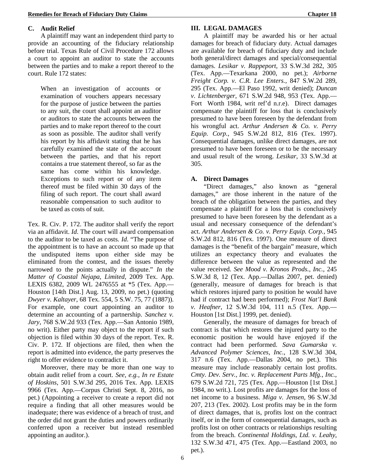### **C. Audit Relief**

A plaintiff may want an independent third party to provide an accounting of the fiduciary relationship before trial. Texas Rule of Civil Procedure 172 allows a court to appoint an auditor to state the accounts between the parties and to make a report thereof to the court. Rule 172 states:

When an investigation of accounts or examination of vouchers appears necessary for the purpose of justice between the parties to any suit, the court shall appoint an auditor or auditors to state the accounts between the parties and to make report thereof to the court as soon as possible. The auditor shall verify his report by his affidavit stating that he has carefully examined the state of the account between the parties, and that his report contains a true statement thereof, so far as the same has come within his knowledge. Exceptions to such report or of any item thereof must be filed within 30 days of the filing of such report. The court shall award reasonable compensation to such auditor to be taxed as costs of suit.

Tex. R. Civ. P. 172. The auditor shall verify the report via an affidavit. *Id*. The court will award compensation to the auditor to be taxed as costs. *Id*. "The purpose of the appointment is to have an account so made up that the undisputed items upon either side may be eliminated from the contest, and the issues thereby narrowed to the points actually in dispute." *In the Matter of Coastal Nejapa, Limited,* 2009 Tex. App. LEXIS 6382, 2009 WL 2476555 at \*5 (Tex. App.— Houston [14th Dist.] Aug. 13, 2009, no pet.) (quoting *Dwyer v. Kaltayer*, 68 Tex. 554, 5 S.W. 75, 77 (1887)). For example, one court appointing an auditor to determine an accounting of a partnership. *Sanchez v. Jary*, 768 S.W.2d 933 (Tex. App.—San Antonio 1989, no writ). Either party may object to the report if such objection is filed within 30 days of the report. Tex. R. Civ. P. 172. If objections are filed, then when the report is admitted into evidence, the party preserves the right to offer evidence to contradict it.

Moreover, there may be more than one way to obtain audit relief from a court. *See, e.g.*, *In re Estate of Hoskins*, 501 S.W.3d 295, 2016 Tex. App. LEXIS 9966 (Tex. App.—Corpus Christi Sept. 8, 2016, no pet.) (Appointing a receiver to create a report did not require a finding that all other measures would be inadequate; there was evidence of a breach of trust, and the order did not grant the duties and powers ordinarily conferred upon a receiver but instead resembled appointing an auditor.).

### **III. LEGAL DAMAGES**

A plaintiff may be awarded his or her actual damages for breach of fiduciary duty. Actual damages are available for breach of fiduciary duty and include both general/direct damages and special/consequential damages. *Lesikar v. Rappeport*, 33 S.W.3d 282, 305 (Tex. App.—Texarkana 2000, no pet.); *Airborne Freight Corp. v. C.R. Lee Enters.,* 847 S.W.2d 289, 295 (Tex. App.—El Paso 1992, writ denied); *Duncan v. Lichtenberger*, 671 S.W.2d 948, 953 (Tex. App.— Fort Worth 1984, writ ref'd n.r.e). Direct damages compensate the plaintiff for loss that is conclusively presumed to have been foreseen by the defendant from his wrongful act. *Arthur Andersen & Co. v. Perry Equip. Corp.*, 945 S.W.2d 812, 816 (Tex. 1997). Consequential damages, unlike direct damages, are not presumed to have been foreseen or to be the necessary and usual result of the wrong. *Lesikar*, 33 S.W.3d at 305.

### **A. Direct Damages**

"Direct damages," also known as "general damages," are those inherent in the nature of the breach of the obligation between the parties, and they compensate a plaintiff for a loss that is conclusively presumed to have been foreseen by the defendant as a usual and necessary consequence of the defendant's act. *Arthur Andersen & Co. v. Perry Equip. Corp.*, 945 S.W.2d 812, 816 (Tex. 1997). One measure of direct damages is the "benefit of the bargain" measure, which utilizes an expectancy theory and evaluates the difference between the value as represented and the value received. *See Mood v. Kronos Prods., Inc.*, 245 S.W.3d 8, 12 (Tex. App.—Dallas 2007, pet. denied) (generally, measure of damages for breach is that which restores injured party to position he would have had if contract had been performed); *Frost Nat'l Bank v. Heafner,* 12 S.W.3d 104, 111 n.5 (Tex. App.— Houston [1st Dist.] 1999, pet. denied).

Generally, the measure of damages for breach of contract is that which restores the injured party to the economic position he would have enjoyed if the contract had been performed. *Sava Gumarska v. Advanced Polymer Sciences, Inc.*, 128 S.W.3d 304, 317 n.6 (Tex. App.—Dallas 2004, no pet.). This measure may include reasonably certain lost profits. *Cmty. Dev. Serv., Inc. v. Replacement Parts Mfg., Inc.*, 679 S.W.2d 721, 725 (Tex. App.—Houston [1st Dist.] 1984, no writ.). Lost profits are damages for the loss of net income to a business. *Miga v. Jensen*, 96 S.W.3d 207, 213 (Tex. 2002). Lost profits may be in the form of direct damages, that is, profits lost on the contract itself, or in the form of consequential damages, such as profits lost on other contracts or relationships resulting from the breach. *Continental Holdings, Ltd. v. Leahy*, 132 S.W.3d 471, 475 (Tex. App.—Eastland 2003, no pet.).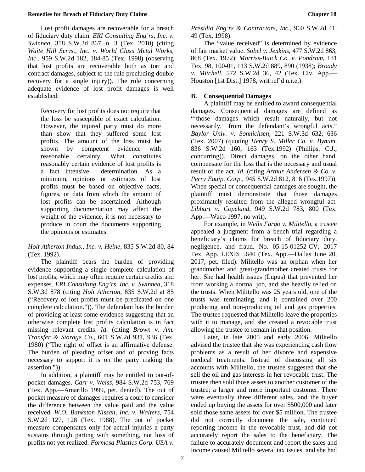Lost profit damages are recoverable for a breach of fiduciary duty claim. *ERI Consulting Eng'rs, Inc. v. Swinnea*, 318 S.W.3d 867, n. 3 (Tex. 2010) (citing *Waite Hill Servs., Inc. v. World Class Metal Works, Inc.*, 959 S.W.2d 182, 184-85 (Tex. 1998) (observing that lost profits are recoverable both as tort and contract damages, subject to the rule precluding double recovery for a single injury)). The rule concerning adequate evidence of lost profit damages is well established:

Recovery for lost profits does not require that the loss be susceptible of exact calculation. However, the injured party must do more than show that they suffered some lost profits. The amount of the loss must be shown by competent evidence with reasonable certainty. What constitutes reasonably certain evidence of lost profits is a fact intensive determination. As a minimum, opinions or estimates of lost profits must be based on objective facts, figures, or data from which the amount of lost profits can be ascertained. Although supporting documentation may affect the weight of the evidence, it is not necessary to produce in court the documents supporting the opinions or estimates.

### *Holt Atherton Indus., Inc. v. Heine*, 835 S.W.2d 80, 84 (Tex. 1992).

The plaintiff bears the burden of providing evidence supporting a single complete calculation of lost profits, which may often require certain credits and expenses. *ERI Consulting Eng'rs, Inc. v. Swinnea*, 318 S.W.3d 878 (citing *Holt Atherton*, 835 S.W.2d at 85 ("Recovery of lost profits must be predicated on one complete calculation.")). The defendant has the burden of providing at least some evidence suggesting that an otherwise complete lost profits calculation is in fact missing relevant credits. *Id*. (citing *Brown v. Am. Transfer & Storage Co.*, 601 S.W.2d 931, 936 (Tex. 1980) ("The right of offset is an affirmative defense. The burden of pleading offset and of proving facts necessary to support it is on the party making the assertion.")).

In addition, a plaintiff may be entitled to out-ofpocket damages. *Carr v. Weiss*, 984 S.W.2d 753, 769 (Tex. App.—Amarillo 1999, pet. denied). The out of pocket measure of damages requires a court to consider the difference between the value paid and the value received. *W.O. Bankston Nissan, Inc. v. Walters*, 754 S.W.2d 127, 128 (Tex. 1988). The out of pocket measure compensates only for actual injuries a party sustains through parting with something, not loss of profits not yet realized. *Formosa Plastics Corp. USA v.* 

*Presidio Eng'rs & Contractors, Inc.,* 960 S.W.2d 41, 49 (Tex. 1998).

The "value received" is determined by evidence of fair market value. *Sobel v. Jenkins*, 477 S.W.2d 863, 868 (Tex. 1972); *Morriss-Buick Co. v. Pondrom*, 131 Tex. 98, 100-01, 113 S.W.2d 889, 890 (1938); *Broady v. Mitchell*, 572 S.W.2d 36, 42 (Tex. Civ. App.— Houston [1st Dist.] 1978, writ ref'd n.r.e.).

### **B. Consequential Damages**

A plaintiff may be entitled to award consequential damages. Consequential damages are defined as "'those damages which result naturally, but not necessarily,' from the defendant's wrongful acts." *Baylor Univ. v. Sonnichsen*, 221 S.W.3d 632, 636 (Tex. 2007) (quoting *Henry S. Miller Co. v. Bynum,* 836 S.W.2d 160, 163 (Tex.1992) (Phillips, C.J., concurring)). Direct damages, on the other hand, compensate for the loss that is the necessary and usual result of the act. *Id*. (citing *Arthur Andersen & Co. v. Perry Equip. Corp.*, 945 S.W.2d 812, 816 (Tex.1997)). When special or consequential damages are sought, the plaintiff must demonstrate that those damages proximately resulted from the alleged wrongful act. *Libhart v. Copeland*, 949 S.W.2d 783, 800 (Tex. App.—Waco 1997, no writ).

For example, in *Wells Fargo v. Militello*, a trustee appealed a judgment from a bench trial regarding a beneficiary's claims for breach of fiduciary duty, negligence, and fraud. No. 05-15-01252-CV, 2017 Tex. App. LEXIS 5640 (Tex. App.—Dallas June 20, 2017, pet. filed). Militello was an orphan when her grandmother and great-grandmother created trusts for her. She had health issues (Lupus) that prevented her from working a normal job, and she heavily relied on the trusts. When Militello was 25 years old, one of the trusts was terminating, and it contained over 200 producing and non-producing oil and gas properties. The trustee requested that Militello leave the properties with it to manage, and she created a revocable trust allowing the trustee to remain in that position.

Later, in late 2005 and early 2006, Militello advised the trustee that she was experiencing cash flow problems as a result of her divorce and expensive medical treatments. Instead of discussing all six accounts with Militello, the trustee suggested that she sell the oil and gas interests in her revocable trust. The trustee then sold those assets to another customer of the trustee; a larger and more important customer. There were eventually three different sales, and the buyer ended up buying the assets for over \$500,000 and later sold those same assets for over \$5 million. The trustee did not correctly document the sale, continued reporting income in the revocable trust, and did not accurately report the sales to the beneficiary. The failure to accurately document and report the sales and income caused Militello several tax issues, and she had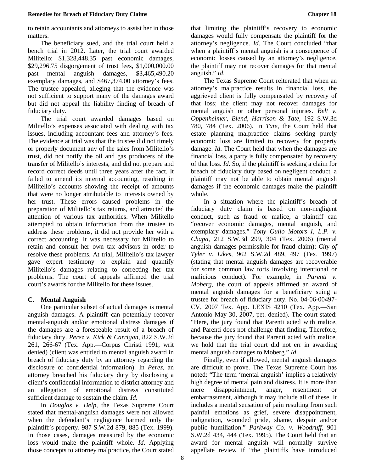The beneficiary sued, and the trial court held a bench trial in 2012. Later, the trial court awarded Militello: \$1,328,448.35 past economic damages, \$29,296.75 disgorgement of trust fees, \$1,000,000.00 past mental anguish damages, \$3,465,490.20 exemplary damages, and \$467,374.00 attorney's fees. The trustee appealed, alleging that the evidence was not sufficient to support many of the damages award but did not appeal the liability finding of breach of fiduciary duty.

The trial court awarded damages based on Militello's expenses associated with dealing with tax issues, including accountant fees and attorney's fees. The evidence at trial was that the trustee did not timely or properly document any of the sales from Militello's trust, did not notify the oil and gas producers of the transfer of Militello's interests, and did not prepare and record correct deeds until three years after the fact. It failed to amend its internal accounting, resulting in Militello's accounts showing the receipt of amounts that were no longer attributable to interests owned by her trust. These errors caused problems in the preparation of Militello's tax returns, and attracted the attention of various tax authorities. When Militello attempted to obtain information from the trustee to address these problems, it did not provide her with a correct accounting. It was necessary for Militello to retain and consult her own tax advisors in order to resolve these problems. At trial, Militello's tax lawyer gave expert testimony to explain and quantify Militello's damages relating to correcting her tax problems. The court of appeals affirmed the trial court's awards for the Militello for these issues.

### **C. Mental Anguish**

One particular subset of actual damages is mental anguish damages. A plaintiff can potentially recover mental-anguish and/or emotional distress damages if the damages are a foreseeable result of a breach of fiduciary duty. *Perez v. Kirk & Carrigan*, 822 S.W.2d 261, 266-67 (Tex. App.—Corpus Christi 1991, writ denied) (client was entitled to mental anguish award in breach of fiduciary duty by an attorney regarding the disclosure of confidential information). In *Perez*, an attorney breached his fiduciary duty by disclosing a client's confidential information to district attorney and an allegation of emotional distress constituted sufficient damage to sustain the claim. *Id*.

In *Douglas v. Delp*, the Texas Supreme Court stated that mental-anguish damages were not allowed when the defendant's negligence harmed only the plaintiff's property. 987 S.W.2d 879, 885 (Tex. 1999). In those cases, damages measured by the economic loss would make the plaintiff whole. *Id*. Applying those concepts to attorney malpractice, the Court stated

that limiting the plaintiff's recovery to economic damages would fully compensate the plaintiff for the attorney's negligence. *Id*. The Court concluded "that when a plaintiff's mental anguish is a consequence of economic losses caused by an attorney's negligence, the plaintiff may not recover damages for that mental anguish." *Id*.

The Texas Supreme Court reiterated that when an attorney's malpractice results in financial loss, the aggrieved client is fully compensated by recovery of that loss; the client may not recover damages for mental anguish or other personal injuries. *Belt v. Oppenheimer, Blend, Harrison & Tate*, 192 S.W.3d 780, 784 (Tex. 2006). In *Tate*, the Court held that estate planning malpractice claims seeking purely economic loss are limited to recovery for property damage. *Id*. The Court held that when the damages are financial loss, a party is fully compensated by recovery of that loss. *Id*. So, if the plaintiff is seeking a claim for breach of fiduciary duty based on negligent conduct, a plaintiff may not be able to obtain mental anguish damages if the economic damages make the plaintiff whole.

In a situation where the plaintiff's breach of fiduciary duty claim is based on non-negligent conduct, such as fraud or malice, a plaintiff can "recover economic damages, mental anguish, and exemplary damages." *Tony Gullo Motors I, L.P. v. Chapa*, 212 S.W.3d 299, 304 (Tex. 2006) (mental anguish damages permissible for fraud claim); *City of Tyler v. Likes*, 962 S.W.2d 489, 497 (Tex. 1997) (stating that mental anguish damages are recoverable for some common law torts involving intentional or malicious conduct). For example, in *Parenti v. Moberg*, the court of appeals affirmed an award of mental anguish damages for a beneficiary suing a trustee for breach of fiduciary duty. No. 04-06-00497- CV, 2007 Tex. App. LEXIS 4210 (Tex. App.—San Antonio May 30, 2007, pet. denied). The court stated: "Here, the jury found that Parenti acted with malice, and Parenti does not challenge that finding. Therefore, because the jury found that Parenti acted with malice, we hold that the trial court did not err in awarding mental anguish damages to Moberg." *Id*.

Finally, even if allowed, mental anguish damages are difficult to prove. The Texas Supreme Court has noted: "The term 'mental anguish' implies a relatively high degree of mental pain and distress. It is more than mere disappointment, anger, resentment or embarrassment, although it may include all of these. It includes a mental sensation of pain resulting from such painful emotions as grief, severe disappointment, indignation, wounded pride, shame, despair and/or public humiliation." *Parkway Co. v. Woodruff*, 901 S.W.2d 434, 444 (Tex. 1995). The Court held that an award for mental anguish will normally survive appellate review if "the plaintiffs have introduced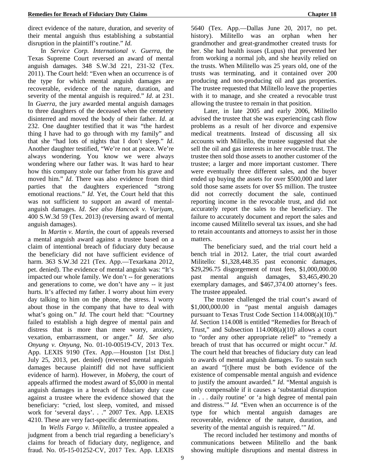direct evidence of the nature, duration, and severity of their mental anguish thus establishing a substantial disruption in the plaintiff's routine." *Id*.

In *Service Corp. International v. Guerra*, the Texas Supreme Court reversed an award of mental anguish damages. 348 S.W.3d 221, 231-32 (Tex. 2011). The Court held: "Even when an occurrence is of the type for which mental anguish damages are recoverable, evidence of the nature, duration, and severity of the mental anguish is required." *Id*. at 231. In *Guerra*, the jury awarded mental anguish damages to three daughters of the deceased when the cemetery disinterred and moved the body of their father. *Id*. at 232. One daughter testified that it was "the hardest thing I have had to go through with my family" and that she "had lots of nights that I don't sleep." *Id*. Another daughter testified, "We're not at peace. We're always wondering. You know we were always wondering where our father was. It was hard to hear how this company stole our father from his grave and moved him." *Id*. There was also evidence from third parties that the daughters experienced "strong emotional reactions." *Id*. Yet, the Court held that this was not sufficient to support an award of mentalanguish damages. *Id*. *See also Hancock v. Variyam*, 400 S.W.3d 59 (Tex. 2013) (reversing award of mental anguish damages).

In *Martin v. Martin*, the court of appeals reversed a mental anguish award against a trustee based on a claim of intentional breach of fiduciary duty because the beneficiary did not have sufficient evidence of harm. 363 S.W.3d 221 (Tex. App.—Texarkana 2012, pet. denied). The evidence of mental anguish was: "It's impacted our whole family. We don't -- for generations and generations to come, we don't have any -- it just hurts. It's affected my father. I worry about him every day talking to him on the phone, the stress. I worry about those in the company that have to deal with what's going on." *Id*. The court held that: "Courtney failed to establish a high degree of mental pain and distress that is more than mere worry, anxiety, vexation, embarrassment, or anger." *Id*. *See also Onyung v. Onyung,* No. 01-10-00519-CV, 2013 Tex. App. LEXIS 9190 (Tex. App.—Houston [1st Dist.] July 25, 2013, pet. denied) (reversed mental anguish damages because plaintiff did not have sufficient evidence of harm). However, in *Moberg,* the court of appeals affirmed the modest award of \$5,000 in mental anguish damages in a breach of fiduciary duty case against a trustee where the evidence showed that the beneficiary: "cried, lost sleep, vomited, and missed work for 'several days'. . ." 2007 Tex. App. LEXIS 4210. These are very fact-specific determinations.

In *Wells Fargo v. Militello*, a trustee appealed a judgment from a bench trial regarding a beneficiary's claims for breach of fiduciary duty, negligence, and fraud. No. 05-15-01252-CV, 2017 Tex. App. LEXIS

5640 (Tex. App.—Dallas June 20, 2017, no pet. history). Militello was an orphan when her grandmother and great-grandmother created trusts for her. She had health issues (Lupus) that prevented her from working a normal job, and she heavily relied on the trusts. When Militello was 25 years old, one of the trusts was terminating, and it contained over 200 producing and non-producing oil and gas properties. The trustee requested that Militello leave the properties with it to manage, and she created a revocable trust allowing the trustee to remain in that position.

Later, in late 2005 and early 2006, Militello advised the trustee that she was experiencing cash flow problems as a result of her divorce and expensive medical treatments. Instead of discussing all six accounts with Militello, the trustee suggested that she sell the oil and gas interests in her revocable trust. The trustee then sold those assets to another customer of the trustee; a larger and more important customer. There were eventually three different sales, and the buyer ended up buying the assets for over \$500,000 and later sold those same assets for over \$5 million. The trustee did not correctly document the sale, continued reporting income in the revocable trust, and did not accurately report the sales to the beneficiary. The failure to accurately document and report the sales and income caused Militello several tax issues, and she had to retain accountants and attorneys to assist her in those matters.

The beneficiary sued, and the trial court held a bench trial in 2012. Later, the trial court awarded Militello: \$1,328,448.35 past economic damages, \$29,296.75 disgorgement of trust fees, \$1,000,000.00 past mental anguish damages, \$3,465,490.20 exemplary damages, and \$467,374.00 attorney's fees. The trustee appealed.

The trustee challenged the trial court's award of \$1,000,000.00 in "past mental anguish damages pursuant to Texas Trust Code Section 114.008(a)(10)." *Id*. Section 114.008 is entitled "Remedies for Breach of Trust," and Subsection 114.008(a)(10) allows a court to "order any other appropriate relief" to "remedy a breach of trust that has occurred or might occur." *Id*. The court held that breaches of fiduciary duty can lead to awards of mental anguish damages. To sustain such an award "[t]here must be both evidence of the existence of compensable mental anguish and evidence to justify the amount awarded." *Id*. "Mental anguish is only compensable if it causes a 'substantial disruption in . . . daily routine' or 'a high degree of mental pain and distress.'" *Id*. "Even when an occurrence is of the type for which mental anguish damages are recoverable, evidence of the nature, duration, and severity of the mental anguish is required.'" *Id*.

The record included her testimony and months of communications between Militello and the bank showing multiple disruptions and mental distress in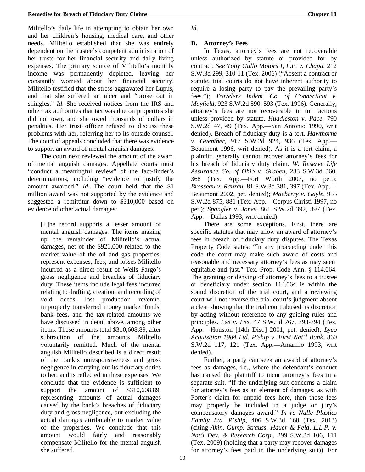Militello's daily life in attempting to obtain her own and her children's housing, medical care, and other needs. Militello established that she was entirely dependent on the trustee's competent administration of her trusts for her financial security and daily living expenses. The primary source of Militello's monthly income was permanently depleted, leaving her constantly worried about her financial security. Militello testified that the stress aggravated her Lupus, and that she suffered an ulcer and "broke out in shingles." *Id*. She received notices from the IRS and other tax authorities that tax was due on properties she did not own, and she owed thousands of dollars in penalties. Her trust officer refused to discuss these problems with her, referring her to its outside counsel. The court of appeals concluded that there was evidence to support an award of mental anguish damages.

The court next reviewed the amount of the award of mental anguish damages. Appellate courts must "conduct a meaningful review" of the fact-finder's determinations, including "evidence to justify the amount awarded." *Id*. The court held that the \$1 million award was not supported by the evidence and suggested a remittitur down to \$310,000 based on evidence of other actual damages:

[T]he record supports a lesser amount of mental anguish damages. The items making up the remainder of Militello's actual damages, net of the \$921,000 related to the market value of the oil and gas properties, represent expenses, fees, and losses Militello incurred as a direct result of Wells Fargo's gross negligence and breaches of fiduciary duty. These items include legal fees incurred relating to drafting, creation, and recording of void deeds, lost production revenue, improperly transferred money market funds, bank fees, and the tax-related amounts we have discussed in detail above, among other items. These amounts total \$310,608.89, after subtraction of the amounts Militello voluntarily remitted. Much of the mental anguish Militello described is a direct result of the bank's unresponsiveness and gross negligence in carrying out its fiduciary duties to her, and is reflected in these expenses. We conclude that the evidence is sufficient to support the amount of \$310,608.89, representing amounts of actual damages caused by the bank's breaches of fiduciary duty and gross negligence, but excluding the actual damages attributable to market value of the properties. We conclude that this amount would fairly and reasonably compensate Militello for the mental anguish she suffered.

*Id*.

### **D. Attorney's Fees**

In Texas, attorney's fees are not recoverable unless authorized by statute or provided for by contract. *See Tony Gullo Motors I, L.P. v. Chapa,* 212 S.W.3d 299, 310-11 (Tex. 2006) ("Absent a contract or statute, trial courts do not have inherent authority to require a losing party to pay the prevailing party's fees."); *Travelers Indem. Co. of Connecticut v. Mayfield*, 923 S.W.2d 590, 593 (Tex. 1996). Generally, attorney's fees are not recoverable in tort actions unless provided by statute. *Huddleston v. Pace*, 790 S.W.2d 47, 49 (Tex. App.—San Antonio 1990, writ denied). Breach of fiduciary duty is a tort. *Hawthorne v. Guenther*, 917 S.W.2d 924, 936 (Tex. App.— Beaumont 1996, writ denied). As it is a tort claim, a plaintiff generally cannot recover attorney's fees for his breach of fiduciary duty claim. *W. Reserve Life Assurance Co. of Ohio v. Graben*, 233 S.W.3d 360, 368 (Tex. App.—Fort Worth 2007, no pet.); *Brosseau v. Ranzau*, 81 S.W.3d 381, 397 (Tex. App.— Beaumont 2002, pet. denied); *Maeberry v. Gayle*, 955 S.W.2d 875, 881 (Tex. App.—Corpus Christi 1997, no pet.); *Spangler v. Jones,* 861 S.W.2d 392, 397 (Tex. App.—Dallas 1993, writ denied).

There are some exceptions. First, there are specific statutes that may allow an award of attorney's fees in breach of fiduciary duty disputes. The Texas Property Code states: "In any proceeding under this code the court may make such award of costs and reasonable and necessary attorney's fees as may seem equitable and just." Tex. Prop. Code Ann. § 114.064. The granting or denying of attorney's fees to a trustee or beneficiary under section 114.064 is within the sound discretion of the trial court, and a reviewing court will not reverse the trial court's judgment absent a clear showing that the trial court abused its discretion by acting without reference to any guiding rules and principles. *Lee v. Lee*, 47 S.W.3d 767, 793-794 (Tex. App.—Houston [14th Dist.] 2001, pet. denied); *Lyco Acquisition 1984 Ltd. P'ship v. First Nat'l Bank*, 860 S.W.2d 117, 121 (Tex. App.—Amarillo 1993, writ denied).

Further, a party can seek an award of attorney's fees as damages, i.e., where the defendant's conduct has caused the plaintiff to incur attorney's fees in a separate suit. "If the underlying suit concerns a claim for attorney's fees as an element of damages, as with Porter's claim for unpaid fees here, then those fees may properly be included in a judge or jury's compensatory damages award." *In re Nalle Plastics Family Ltd. P'ship,* 406 S.W.3d 168 (Tex. 2013) (citing *Akin, Gump, Strauss, Hauer & Feld, L.L.P. v. Nat'l Dev. & Research Corp*., 299 S.W.3d 106, 111 (Tex. 2009) (holding that a party may recover damages for attorney's fees paid in the underlying suit)). For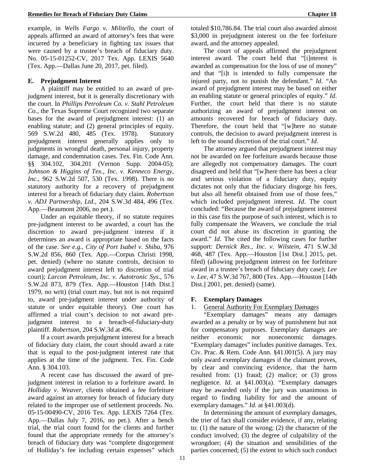example, in *Wells Fargo v. Militello*, the court of appeals affirmed an award of attorney's fees that were incurred by a beneficiary in fighting tax issues that were caused by a trustee's breach of fiduciary duty. No. 05-15-01252-CV, 2017 Tex. App. LEXIS 5640 (Tex. App.—Dallas June 20, 2017, pet. filed).

#### **E. Prejudgment Interest**

A plaintiff may be entitled to an award of prejudgment interest, but it is generally discretionary with the court. In *Phillips Petroleum Co. v. Stahl Petroleum Co.*, the Texas Supreme Court recognized two separate bases for the award of prejudgment interest: (1) an enabling statute; and (2) general principles of equity. 569 S.W.2d 480, 485 (Tex. 1978). Statutory prejudgment interest generally applies only to judgments in wrongful death, personal injury, property damage, and condemnation cases. Tex. Fin. Code Ann. §§ 304.102, 304.201 (Vernon Supp. 2004-05); *Johnson & Higgins of Tex., Inc. v. Kenneco Energy, Inc.*, 962 S.W.2d 507, 530 (Tex. 1998). There is no statutory authority for a recovery of prejudgment interest for a breach of fiduciary duty claim. *Robertson v. ADJ Partnership, Ltd.*, 204 S.W.3d 484, 496 (Tex. App.—Beaumont 2006, no pet.).

Under an equitable theory, if no statute requires pre-judgment interest to be awarded, a court has the discretion to award pre-judgment interest if it determines an award is appropriate based on the facts of the case. *See e.g., City of Port Isabel v. Shiba*, 976 S.W.2d 856, 860 (Tex. App.—Corpus Christi 1998, pet. denied) (where no statute controls, decision to award prejudgment interest left to discretion of trial court); *Larcon Petroleum, Inc. v. Autotronic Sys.*, 576 S.W.2d 873, 879 (Tex. App.—Houston [14th Dist.] 1979, no writ) (trial court may, but not is not required to, award pre-judgment interest under authority of statute or under equitable theory). One court has affirmed a trial court's decision to not award prejudgment interest to a breach-of-fiduciary-duty plaintiff. *Robertson*, 204 S.W.3d at 496.

If a court awards prejudgment interest for a breach of fiduciary duty claim, the court should award a rate that is equal to the post-judgment interest rate that applies at the time of the judgment. Tex. Fin. Code Ann. § 304.103.

A recent case has discussed the award of prejudgment interest in relation to a forfeiture award. In *Holliday v. Weaver*, clients obtained a fee forfeiture award against an attorney for breach of fiduciary duty related to the improper use of settlement proceeds. No. 05-15-00490-CV, 2016 Tex. App. LEXIS 7264 (Tex. App.—Dallas July 7, 2016, no pet.). After a bench trial, the trial court found for the clients and further found that the appropriate remedy for the attorney's breach of fiduciary duty was "complete disgorgement of Holliday's fee including certain expenses" which

totaled \$10,786.84. The trial court also awarded almost \$3,000 in prejudgment interest on the fee forfeiture award, and the attorney appealed.

The court of appeals affirmed the prejudgment interest award. The court held that "[i]nterest is awarded as compensation for the loss of use of money" and that "[i]t is intended to fully compensate the injured party, not to punish the defendant." *Id*. "An award of prejudgment interest may be based on either an enabling statute or general principles of equity." *Id*. Further, the court held that there is no statute authorizing an award of prejudgment interest on amounts recovered for breach of fiduciary duty. Therefore, the court held that "[w]here no statute controls, the decision to award prejudgment interest is left to the sound discretion of the trial court." *Id*.

The attorney argued that prejudgment interest may not be awarded on fee forfeiture awards because those are allegedly not compensatory damages. The court disagreed and held that "[w]here there has been a clear and serious violation of a fiduciary duty, equity dictates not only that the fiduciary disgorge his fees, but also all benefit obtained from use of those fees," which included prejudgment interest. *Id*. The court concluded: "Because the award of prejudgment interest in this case fits the purpose of such interest, which is to fully compensate the Weavers, we conclude the trial court did not abuse its discretion in granting the award." *Id*. The cited the following cases for further support: *Dernick Res., Inc. v. Wilstein*, 471 S.W.3d 468, 487 (Tex. App.—Houston [1st Dist.] 2015, pet. filed) (allowing prejudgment interest on fee forfeiture award in a trustee's breach of fiduciary duty case); *Lee v. Lee*, 47 S.W.3d 767, 800 (Tex. App.—Houston [14th Dist.] 2001, pet. denied) (same).

#### **F. Exemplary Damages**

#### 1. General Authority For Exemplary Damages

"Exemplary damages" means any damages awarded as a penalty or by way of punishment but not for compensatory purposes. Exemplary damages are neither economic nor noneconomic damages. "Exemplary damages" includes punitive damages. Tex. Civ. Prac. & Rem. Code Ann. §41.001(5). A jury may only award exemplary damages if the claimant proves, by clear and convincing evidence, that the harm resulted from: (1) fraud; (2) malice; or (3) gross negligence. *Id*. at §41.003(a). "Exemplary damages may be awarded only if the jury was unanimous in regard to finding liability for and the amount of exemplary damages." *Id*. at §41.003(d).

In determining the amount of exemplary damages, the trier of fact shall consider evidence, if any, relating to: (1) the nature of the wrong; (2) the character of the conduct involved; (3) the degree of culpability of the wrongdoer; (4) the situation and sensibilities of the parties concerned; (5) the extent to which such conduct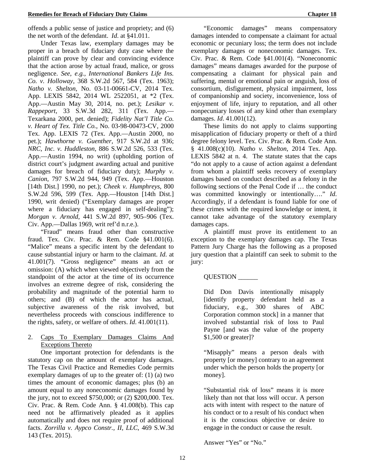offends a public sense of justice and propriety; and (6) the net worth of the defendant. *Id*. at §41.011.

Under Texas law, exemplary damages may be proper in a breach of fiduciary duty case where the plaintiff can prove by clear and convincing evidence that the action arose by actual fraud, malice, or gross negligence. *See, e.g., International Bankers Life Ins. Co. v. Holloway*, 368 S.W.2d 567, 584 (Tex. 1963); *Natho v. Shelton*, No. 03-11-00661-CV, 2014 Tex. App. LEXIS 5842, 2014 WL 2522051, at \*2 (Tex. App.—Austin May 30, 2014, no. pet.); *Lesikar v. Rappeport*, 33 S.W.3d 282, 311 (Tex. App.— Texarkana 2000, pet. denied); *Fidelity Nat'l Title Co. v. Heart of Tex. Title Co.*, No. 03-98-00473-CV, 2000 Tex. App. LEXIS 72 (Tex. App.—Austin 2000, no pet.); *Hawthorne v. Guenther,* 917 S.W.2d at 936; *NRC, Inc. v. Huddleston*, 886 S.W.2d 526, 533 (Tex. App.—Austin 1994, no writ) (upholding portion of district court's judgment awarding actual and punitive damages for breach of fiduciary duty); *Murphy v. Canion*, 797 S.W.2d 944, 949 (Tex. App.—Houston [14th Dist.] 1990, no pet.); *Cheek v. Humphreys*, 800 S.W.2d 596, 599 (Tex. App.—Houston [14th Dist.] 1990, writ denied) ("Exemplary damages are proper where a fiduciary has engaged in self-dealing"); *Morgan v. Arnold*, 441 S.W.2d 897, 905–906 (Tex. Civ. App.—Dallas 1969, writ ref'd n.r.e.).

"Fraud" means fraud other than constructive fraud. Tex. Civ. Prac. & Rem. Code §41.001(6). "Malice" means a specific intent by the defendant to cause substantial injury or harm to the claimant. *Id*. at 41.001(7). "Gross negligence" means an act or omission: (A) which when viewed objectively from the standpoint of the actor at the time of its occurrence involves an extreme degree of risk, considering the probability and magnitude of the potential harm to others; and (B) of which the actor has actual, subjective awareness of the risk involved, but nevertheless proceeds with conscious indifference to the rights, safety, or welfare of others. *Id*. 41.001(11).

### 2. Caps To Exemplary Damages Claims And Exceptions Thereto

One important protection for defendants is the statutory cap on the amount of exemplary damages. The Texas Civil Practice and Remedies Code permits exemplary damages of up to the greater of: (1) (a) two times the amount of economic damages; plus (b) an amount equal to any noneconomic damages found by the jury, not to exceed \$750,000; or (2) \$200,000. Tex. Civ. Prac. & Rem. Code Ann. § 41.008(b). This cap need not be affirmatively pleaded as it applies automatically and does not require proof of additional facts. *Zorrilla v. Aypco Constr., II, LLC*, 469 S.W.3d 143 (Tex. 2015).

"Economic damages" means compensatory damages intended to compensate a claimant for actual economic or pecuniary loss; the term does not include exemplary damages or noneconomic damages. Tex. Civ. Prac. & Rem. Code §41.001(4). "Noneconomic damages" means damages awarded for the purpose of compensating a claimant for physical pain and suffering, mental or emotional pain or anguish, loss of consortium, disfigurement, physical impairment, loss of companionship and society, inconvenience, loss of enjoyment of life, injury to reputation, and all other nonpecuniary losses of any kind other than exemplary damages. *Id*. 41.001(12).

These limits do not apply to claims supporting misapplication of fiduciary property or theft of a third degree felony level. Tex. Civ. Prac. & Rem. Code Ann. § 41.008(c)(10). *Natho v. Shelton*, 2014 Tex. App. LEXIS 5842 at n. 4. The statute states that the caps "do not apply to a cause of action against a defendant from whom a plaintiff seeks recovery of exemplary damages based on conduct described as a felony in the following sections of the Penal Code if … the conduct was committed knowingly or intentionally…." *Id*. Accordingly, if a defendant is found liable for one of these crimes with the required knowledge or intent, it cannot take advantage of the statutory exemplary damages caps.

A plaintiff must prove its entitlement to an exception to the exemplary damages cap. The Texas Pattern Jury Charge has the following as a proposed jury question that a plaintiff can seek to submit to the jury:

## QUESTION \_\_\_\_\_\_

Did Don Davis intentionally misapply [identify property defendant held as a fiduciary, e.g., 300 shares of ABC Corporation common stock] in a manner that involved substantial risk of loss to Paul Payne [and was the value of the property \$1,500 or greater]?

"Misapply" means a person deals with property [or money] contrary to an agreement under which the person holds the property [or money].

"Substantial risk of loss" means it is more likely than not that loss will occur. A person acts with intent with respect to the nature of his conduct or to a result of his conduct when it is the conscious objective or desire to engage in the conduct or cause the result.

Answer "Yes" or "No."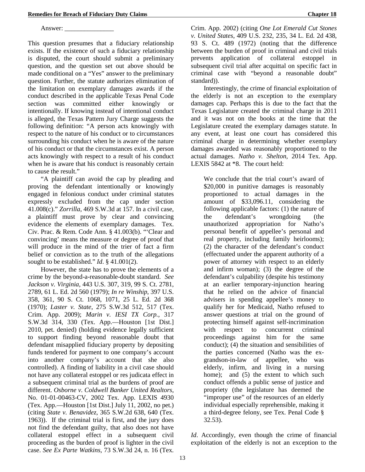Answer:

This question presumes that a fiduciary relationship exists. If the existence of such a fiduciary relationship is disputed, the court should submit a preliminary question, and the question set out above should be made conditional on a "Yes" answer to the preliminary question. Further, the statute authorizes elimination of the limitation on exemplary damages awards if the conduct described in the applicable Texas Penal Code section was committed either knowingly or intentionally. If knowing instead of intentional conduct is alleged, the Texas Pattern Jury Charge suggests the following definition: "A person acts knowingly with respect to the nature of his conduct or to circumstances surrounding his conduct when he is aware of the nature of his conduct or that the circumstances exist. A person acts knowingly with respect to a result of his conduct when he is aware that his conduct is reasonably certain to cause the result."

"A plaintiff can avoid the cap by pleading and proving the defendant intentionally or knowingly engaged in felonious conduct under criminal statutes expressly excluded from the cap under section 41.008(c)." *Zorrilla*, 469 S.W.3d at 157. In a civil case, a plaintiff must prove by clear and convincing evidence the elements of exemplary damages. Tex. Civ. Prac. & Rem. Code Ann. § 41.003(b). "'Clear and convincing' means the measure or degree of proof that will produce in the mind of the trier of fact a firm belief or conviction as to the truth of the allegations sought to be established." *Id*. § 41.001(2).

However, the state has to prove the elements of a crime by the beyond-a-reasonable-doubt standard. *See Jackson v. Virginia*, 443 U.S. 307, 319, 99 S. Ct. 2781, 2789, 61 L. Ed. 2d 560 (1979); *In re Winship*, 397 U.S. 358, 361, 90 S. Ct. 1068, 1071, 25 L. Ed. 2d 368 (1970); *Laster v. State*, 275 S.W.3d 512, 517 (Tex. Crim. App. 2009); *Marin v. IESI TX Corp.*, 317 S.W.3d 314, 330 (Tex. App.—Houston [1st Dist.] 2010, pet. denied) (holding evidence legally sufficient to support finding beyond reasonable doubt that defendant misapplied fiduciary property by depositing funds tendered for payment to one company's account into another company's account that she also controlled). A finding of liability in a civil case should not have any collateral estoppel or res judicata effect in a subsequent criminal trial as the burdens of proof are different. *Osborne v. Coldwell Banker United Realtors*, No. 01-01-00463-CV, 2002 Tex. App. LEXIS 4930 (Tex. App.—Houston [1st Dist.] July 11, 2002, no pet.) (citing *State v. Benavidez*, 365 S.W.2d 638, 640 (Tex. 1963)). If the criminal trial is first, and the jury does not find the defendant guilty, that also does not have collateral estoppel effect in a subsequent civil proceeding as the burden of proof is lighter in the civil case. *See Ex Parte Watkins*, 73 S.W.3d 24, n. 16 (Tex.

Crim. App. 2002) (citing *One Lot Emerald Cut Stones v. United States*, 409 U.S. 232, 235, 34 L. Ed. 2d 438, 93 S. Ct. 489 (1972) (noting that the difference between the burden of proof in criminal and civil trials prevents application of collateral estoppel in subsequent civil trial after acquittal on specific fact in criminal case with "beyond a reasonable doubt" standard)).

Interestingly, the crime of financial exploitation of the elderly is not an exception to the exemplary damages cap. Perhaps this is due to the fact that the Texas Legislature created the criminal charge in 2011 and it was not on the books at the time that the Legislature created the exemplary damages statute. In any event, at least one court has considered this criminal charge in determining whether exemplary damages awarded was reasonably proportioned to the actual damages. *Natho v. Shelton*, 2014 Tex. App. LEXIS 5842 at \*8. The court held:

We conclude that the trial court's award of \$20,000 in punitive damages is reasonably proportioned to actual damages in the amount of \$33,096.11, considering the following applicable factors: (1) the nature of the defendant's wrongdoing (the unauthorized appropriation for Natho's personal benefit of appellee's personal and real property, including family heirlooms); (2) the character of the defendant's conduct (effectuated under the apparent authority of a power of attorney with respect to an elderly and infirm woman); (3) the degree of the defendant's culpability (despite his testimony at an earlier temporary-injunction hearing that he relied on the advice of financial advisers in spending appellee's money to qualify her for Medicaid, Natho refused to answer questions at trial on the ground of protecting himself against self-incrimination with respect to concurrent criminal proceedings against him for the same conduct); (4) the situation and sensibilities of the parties concerned (Natho was the exgrandson-in-law of appellee, who was elderly, infirm, and living in a nursing home); and (5) the extent to which such conduct offends a public sense of justice and propriety (the legislature has deemed the "improper use" of the resources of an elderly individual especially reprehensible, making it a third-degree felony, see Tex. Penal Code § 32.53).

*Id*. Accordingly, even though the crime of financial exploitation of the elderly is not an exception to the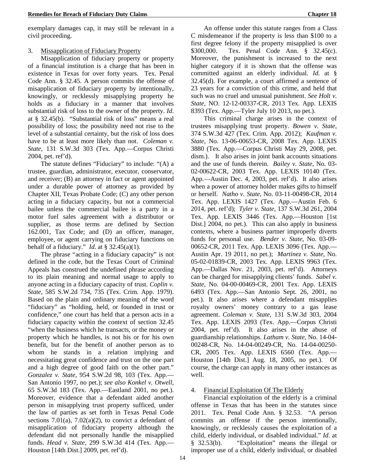exemplary damages cap, it may still be relevant in a civil proceeding.

### 3. Missapplication of Fiduciary Property

Misapplication of fiduciary property or property of a financial institution is a charge that has been in existence in Texas for over forty years. Tex. Penal Code Ann. § 32.45. A person commits the offense of misapplication of fiduciary property by intentionally, knowingly, or recklessly misapplying property he holds as a fiduciary in a manner that involves substantial risk of loss to the owner of the property. *Id*. at § 32.45(b). "Substantial risk of loss" means a real possibility of loss; the possibility need not rise to the level of a substantial certainty, but the risk of loss does have to be at least more likely than not. *Coleman v. State*, 131 S.W.3d 303 (Tex. App.—Corpus Christi 2004, pet. ref'd).

The statute defines "Fiduciary" to include: "(A) a trustee, guardian, administrator, executor, conservator, and receiver; (B) an attorney in fact or agent appointed under a durable power of attorney as provided by Chapter XII, Texas Probate Code; (C) any other person acting in a fiduciary capacity, but not a commercial bailee unless the commercial bailee is a party in a motor fuel sales agreement with a distributor or supplier, as those terms are defined by Section 162.001, Tax Code; and (D) an officer, manager, employee, or agent carrying on fiduciary functions on behalf of a fiduciary." *Id.* at  $\S$  32.45(a)(1).

The phrase "acting in a fiduciary capacity" is not defined in the code, but the Texas Court of Criminal Appeals has construed the undefined phrase according to its plain meaning and normal usage to apply to anyone acting in a fiduciary capacity of trust. *Coplin v. State*, 585 S.W.2d 734, 735 (Tex. Crim. App. 1979). Based on the plain and ordinary meaning of the word "fiduciary" as "holding, held, or founded in trust or confidence," one court has held that a person acts in a fiduciary capacity within the context of section 32.45 "when the business which he transacts, or the money or property which he handles, is not his or for his own benefit, but for the benefit of another person as to whom he stands in a relation implying and necessitating great confidence and trust on the one part and a high degree of good faith on the other part." *Gonzalez v. State*, 954 S.W.2d 98, 103 (Tex. App.— San Antonio 1997, no pet.); *see also Konkel v. Otwell*, 65 S.W.3d 183 (Tex. App.—Eastland 2001, no pet.). Moreover, evidence that a defendant aided another person in misapplying trust property sufficed, under the law of parties as set forth in Texas Penal Code sections 7.01(a), 7.02(a)(2), to convict a defendant of misapplication of fiduciary property although the defendant did not personally handle the misapplied funds. *Head v. State*, 299 S.W.3d 414 (Tex. App.— Houston [14th Dist.] 2009, pet. ref'd).

An offense under this statute ranges from a Class C misdemeanor if the property is less than \$100 to a first degree felony if the property misapplied is over \$300,000. Tex. Penal Code Ann. § 32.45(c). Moreover, the punishment is increased to the next higher category if it is shown that the offense was committed against an elderly individual. *Id*. at § 32.45(d). For example, a court affirmed a sentence of 23 years for a conviction of this crime, and held that such was no cruel and unusual punishment. *See Holt v. State*, NO. 12-12-00337-CR, 2013 Tex. App. LEXIS 8393 (Tex. App.—Tyler July 10 2013, no pet.).

This criminal charge arises in the context of trustees misapplying trust property. *Bowen v. State*, 374 S.W.3d 427 (Tex. Crim. App. 2012); *Kaufman v. State,* No. 13-06-00653-CR, 2008 Tex. App. LEXIS 3880 (Tex. App.—Corpus Christi May 29, 2008, pet. dism.). It also arises in joint bank accounts situations and the use of funds therein. *Bailey v. State*, No. 03- 02-00622-CR, 2003 Tex. App. LEXIS 10140 (Tex. App.—Austin Dec. 4, 2003, pet. ref'd). It also arises when a power of attorney holder makes gifts to himself or herself. *Natho v. State*, No. 03-11-00498-CR, 2014 Tex. App. LEXIS 1427 (Tex. App.—Austin Feb. 6 2014, pet. ref'd); *Tyler v. State*, 137 S.W.3d 261, 2004 Tex. App. LEXIS 3446 (Tex. App.—Houston [1st Dist.] 2004, no pet.). This can also apply in business contexts, where a business partner improperly diverts funds for personal use. *Bender v. State*, No. 03-09- 00652-CR, 2011 Tex. App. LEXIS 3096 (Tex. App.— Austin Apr. 19 2011, no pet.); *Martinez v. State*, No. 05-02-01839-CR, 2003 Tex. App. LEXIS 9963 (Tex. App.—Dallas Nov. 21, 2003, pet. ref'd). Attorneys can be charged for misapplying clients' funds. *Sabel v. State*, No. 04-00-00469-CR, 2001 Tex. App. LEXIS 6493 (Tex. App.—San Antonio Sept. 26, 2001, no pet.). It also arises where a defendant misapplies royalty owners' money contrary to a gas lease agreement. *Coleman v. State*, 131 S.W.3d 303, 2004 Tex. App. LEXIS 2093 (Tex. App.—Corpus Christi 2004, pet. ref'd). It also arises in the abuse of guardianship relationships. *Latham v. State*, No. 14-04- 00248-CR, No. 14-04-00249-CR, No. 14-04-00250- CR, 2005 Tex. App. LEXIS 6560 (Tex. App.— Houston [14th Dist.] Aug. 18, 2005, no pet.). Of course, the charge can apply in many other instances as well.

### 4. Financial Exploitation Of The Elderly

Financial exploitation of the elderly is a criminal offense in Texas that has been in the statutes since 2011. Tex. Penal Code Ann. § 32.53. "A person commits an offense if the person intentionally, knowingly, or recklessly causes the exploitation of a child, elderly individual, or disabled individual." *Id*. at § 32.53(b). "Exploitation" means the illegal or § 32.53(b). "Exploitation" means the illegal or improper use of a child, elderly individual, or disabled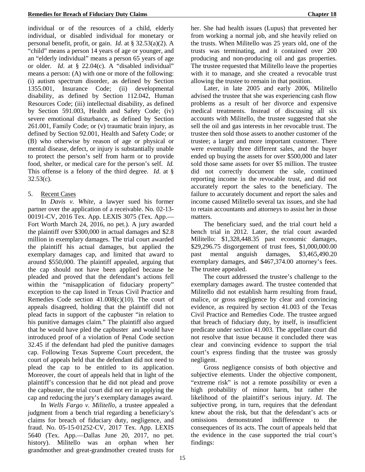individual or of the resources of a child, elderly individual, or disabled individual for monetary or personal benefit, profit, or gain. *Id*. at § 32.53(a)(2). A "child" means a person 14 years of age or younger, and an "elderly individual" means a person 65 years of age or older. *Id*. at § 22.04(c). A "disabled individual" means a person: (A) with one or more of the following: (i) autism spectrum disorder, as defined by Section 1355.001, Insurance Code; (ii) developmental disability, as defined by Section 112.042, Human Resources Code; (iii) intellectual disability, as defined by Section 591.003, Health and Safety Code; (iv) severe emotional disturbance, as defined by Section 261.001, Family Code; or (v) traumatic brain injury, as defined by Section 92.001, Health and Safety Code; or (B) who otherwise by reason of age or physical or mental disease, defect, or injury is substantially unable to protect the person's self from harm or to provide food, shelter, or medical care for the person's self. *Id.* This offense is a felony of the third degree. *Id*. at §  $32.53(c)$ .

### 5. Recent Cases

In *Davis v. White*, a lawyer sued his former partner over the application of a receivable. No. 02-13- 00191-CV, 2016 Tex. App. LEXIS 3075 (Tex. App.— Fort Worth March 24, 2016, no pet.). A jury awarded the plaintiff over \$300,000 in actual damages and \$2.8 million in exemplary damages. The trial court awarded the plaintiff his actual damages, but applied the exemplary damages cap, and limited that award to around \$550,000. The plaintiff appealed, arguing that the cap should not have been applied because he pleaded and proved that the defendant's actions fell within the "misapplication of fiduciary property" exception to the cap listed in Texas Civil Practice and Remedies Code section 41.008(c)(10). The court of appeals disagreed, holding that the plaintiff did not plead facts in support of the capbuster "in relation to his punitive damages claim." The plaintiff also argued that he would have pled the capbuster and would have introduced proof of a violation of Penal Code section 32.45 if the defendant had pled the punitive damages cap. Following Texas Supreme Court precedent, the court of appeals held that the defendant did not need to plead the cap to be entitled to its application. Moreover, the court of appeals held that in light of the plaintiff's concession that he did not plead and prove the capbuster, the trial court did not err in applying the cap and reducing the jury's exemplary damages award.

In *Wells Fargo v. Militello*, a trustee appealed a judgment from a bench trial regarding a beneficiary's claims for breach of fiduciary duty, negligence, and fraud. No. 05-15-01252-CV, 2017 Tex. App. LEXIS 5640 (Tex. App.—Dallas June 20, 2017, no pet. history). Militello was an orphan when her grandmother and great-grandmother created trusts for her. She had health issues (Lupus) that prevented her from working a normal job, and she heavily relied on the trusts. When Militello was 25 years old, one of the trusts was terminating, and it contained over 200 producing and non-producing oil and gas properties. The trustee requested that Militello leave the properties with it to manage, and she created a revocable trust allowing the trustee to remain in that position.

Later, in late 2005 and early 2006, Militello advised the trustee that she was experiencing cash flow problems as a result of her divorce and expensive medical treatments. Instead of discussing all six accounts with Militello, the trustee suggested that she sell the oil and gas interests in her revocable trust. The trustee then sold those assets to another customer of the trustee; a larger and more important customer. There were eventually three different sales, and the buyer ended up buying the assets for over \$500,000 and later sold those same assets for over \$5 million. The trustee did not correctly document the sale, continued reporting income in the revocable trust, and did not accurately report the sales to the beneficiary. The failure to accurately document and report the sales and income caused Militello several tax issues, and she had to retain accountants and attorneys to assist her in those matters.

The beneficiary sued, and the trial court held a bench trial in 2012. Later, the trial court awarded Militello: \$1,328,448.35 past economic damages, \$29,296.75 disgorgement of trust fees, \$1,000,000.00 past mental anguish damages, \$3,465,490.20 exemplary damages, and \$467,374.00 attorney's fees. The trustee appealed.

The court addressed the trustee's challenge to the exemplary damages award. The trustee contended that Militello did not establish harm resulting from fraud, malice, or gross negligence by clear and convincing evidence, as required by section 41.003 of the Texas Civil Practice and Remedies Code. The trustee argued that breach of fiduciary duty, by itself, is insufficient predicate under section 41.003. The appellate court did not resolve that issue because it concluded there was clear and convincing evidence to support the trial court's express finding that the trustee was grossly negligent.

Gross negligence consists of both objective and subjective elements. Under the objective component, "extreme risk" is not a remote possibility or even a high probability of minor harm, but rather the likelihood of the plaintiff's serious injury. *Id*. The subjective prong, in turn, requires that the defendant knew about the risk, but that the defendant's acts or omissions demonstrated indifference to the consequences of its acts. The court of appeals held that the evidence in the case supported the trial court's findings: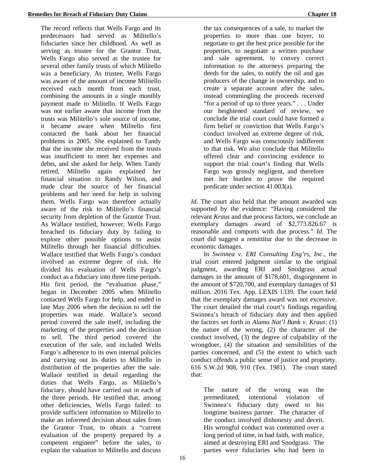The record reflects that Wells Fargo and its predecessors had served as Militello's fiduciaries since her childhood. As well as serving as trustee for the Grantor Trust, Wells Fargo also served as the trustee for several other family trusts of which Militello was a beneficiary. As trustee, Wells Fargo was aware of the amount of income Militello received each month from each trust, combining the amounts in a single monthly payment made to Militello. If Wells Fargo was not earlier aware that income from the trusts was Militello's sole source of income, it became aware when Militello first contacted the bank about her financial problems in 2005. She explained to Tandy that the income she received from the trusts was insufficient to meet her expenses and debts, and she asked for help. When Tandy retired, Militello again explained her financial situation to Randy Wilson, and made clear the source of her financial problems and her need for help in solving them. Wells Fargo was therefore actually aware of the risk to Militello's financial security from depletion of the Grantor Trust. As Wallace testified, however, Wells Fargo breached its fiduciary duty by failing to explore other possible options to assist Militello through her financial difficulties. Wallace testified that Wells Fargo's conduct involved an extreme degree of risk. He divided his evaluation of Wells Fargo's conduct as a fiduciary into three time periods. His first period, the "evaluation phase," began in December 2005 when Militello contacted Wells Fargo for help, and ended in late May 2006 when the decision to sell the properties was made. Wallace's second period covered the sale itself, including the marketing of the properties and the decision to sell. The third period covered the execution of the sale, and included Wells Fargo's adherence to its own internal policies and carrying out its duties to Militello in distribution of the properties after the sale. Wallace testified in detail regarding the duties that Wells Fargo, as Militello's fiduciary, should have carried out in each of the three periods. He testified that, among other deficiencies, Wells Fargo failed: to provide sufficient information to Militello to make an informed decision about sales from the Grantor Trust, to obtain a "current evaluation of the property prepared by a competent engineer" before the sales, to explain the valuation to Militello and discuss

the tax consequences of a sale, to market the properties to more than one buyer, to negotiate to get the best price possible for the properties, to negotiate a written purchase and sale agreement, to convey correct information to the attorneys preparing the deeds for the sales, to notify the oil and gas producers of the change in ownership, and to create a separate account after the sales, instead commingling the proceeds received "for a period of up to three years." . . . Under our heightened standard of review, we conclude the trial court could have formed a firm belief or conviction that Wells Fargo's conduct involved an extreme degree of risk, and Wells Fargo was consciously indifferent to that risk. We also conclude that Militello offered clear and convincing evidence to support the trial court's finding that Wells Fargo was grossly negligent, and therefore met her burden to prove the required predicate under section 41.003(a).

*Id*. The court also held that the amount awarded was supported by the evidence: "Having considered the relevant *Kraus* and due process factors, we conclude an exemplary damages award of \$2,773.826.67 is reasonable and comports with due process." *Id*. The court did suggest a remittitur due to the decrease in economic damages.

In *Swinnea v. ERI Consulting Eng'rs, Inc.*, the trial court entered judgment similar to the original judgment, awarding ERI and Snodgrass actual damages in the amount of \$178,601, disgorgement in the amount of \$720,700, and exemplary damages of \$1 million. 2016 Tex. App. LEXIS 1339. The court held that the exemplary damages award was not excessive. The court detailed the trial court's findings regarding Swinnea's breach of fiduciary duty and then applied the factors set forth in *Alamo Nat'l Bank v. Kraus*: (1) the nature of the wrong, (2) the character of the conduct involved, (3) the degree of culpability of the wrongdoer, (4) the situation and sensibilities of the parties concerned, and (5) the extent to which such conduct offends a public sense of justice and propriety. 616 S.W.2d 908, 910 (Tex. 1981). The court stated that:

The nature of the wrong was the premeditated, intentional violation of Swinnea's fiduciary duty owed to his longtime business partner. The character of the conduct involved dishonesty and deceit. His wrongful conduct was committed over a long period of time, in bad faith, with malice, aimed at destroying ERI and Snodgrass. The parties were fiduciaries who had been in

16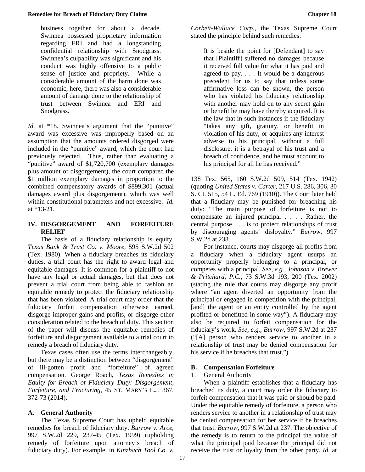business together for about a decade. Swinnea possessed proprietary information regarding ERI and had a longstanding confidential relationship with Snodgrass. Swinnea's culpability was significant and his conduct was highly offensive to a public sense of justice and propriety. While a considerable amount of the harm done was economic, here, there was also a considerable amount of damage done to the relationship of trust between Swinnea and ERI and Snodgrass.

*Id.* at \*18. Swinnea's argument that the "punitive" award was excessive was improperly based on an assumption that the amounts ordered disgorged were included in the "punitive" award, which the court had previously rejected. Thus, rather than evaluating a "punitive" award of \$1,720,700 (exemplary damages plus amount of disgorgement), the court compared the \$1 million exemplary damages in proportion to the combined compensatory awards of \$899,301 (actual damages award plus disgorgement), which was well within constitutional parameters and not excessive. *Id.*  at \*13-21.

### **IV. DISGORGEMENT AND FORFEITURE RELIEF**

The basis of a fiduciary relationship is equity. *Texas Bank & Trust Co. v. Moore*, 595 S.W.2d 502 (Tex. 1980). When a fiduciary breaches its fiduciary duties, a trial court has the right to award legal and equitable damages. It is common for a plaintiff to not have any legal or actual damages, but that does not prevent a trial court from being able to fashion an equitable remedy to protect the fiduciary relationship that has been violated. A trial court may order that the fiduciary forfeit compensation otherwise earned, disgorge improper gains and profits, or disgorge other consideration related to the breach of duty. This section of the paper will discuss the equitable remedies of forfeiture and disgorgement available to a trial court to remedy a breach of fiduciary duty.

Texas cases often use the terms interchangeably, but there may be a distinction between "disgorgement" of ill-gotten profit and "forfeiture" of agreed compensation. George Roach, *Texas Remedies in Equity for Breach of Fiduciary Duty: Disgorgement, Forfeiture, and Fracturing*, 45 ST. MARY'S L.J. 367, 372-73 (2014).

### **A. General Authority**

The Texas Supreme Court has upheld equitable remedies for breach of fiduciary duty. *Burrow v. Arce*, 997 S.W.2d 229, 237-45 (Tex. 1999) (upholding remedy of forfeiture upon attorney's breach of fiduciary duty). For example, in *Kinzbach Tool Co. v.* 

*Corbett-Wallace Corp.*, the Texas Supreme Court stated the principle behind such remedies:

It is beside the point for [Defendant] to say that [Plaintiff] suffered no damages because it received full value for what it has paid and agreed to pay. . . . It would be a dangerous precedent for us to say that unless some affirmative loss can be shown, the person who has violated his fiduciary relationship with another may hold on to any secret gain or benefit he may have thereby acquired. It is the law that in such instances if the fiduciary "takes any gift, gratuity, or benefit in violation of his duty, or acquires any interest adverse to his principal, without a full disclosure, it is a betrayal of his trust and a breach of confidence, and he must account to his principal for all he has received."

138 Tex. 565, 160 S.W.2d 509, 514 (Tex. 1942) (quoting *United States v. Carter*, 217 U.S. 286, 306, 30 S. Ct. 515, 54 L. Ed. 769 (1910)). The Court later held that a fiduciary may be punished for breaching his duty: "The main purpose of forfeiture is not to compensate an injured principal . . . . Rather, the central purpose . . . is to protect relationships of trust by discouraging agents' disloyalty." *Burrow*, 997 S.W.2d at 238.

For instance, courts may disgorge all profits from a fiduciary when a fiduciary agent usurps an opportunity properly belonging to a principal, or competes with a principal. *See, e.g., Johnson v. Brewer & Pritchard, P.C.*, 73 S.W.3d 193, 200 (Tex. 2002) (stating the rule that courts may disgorge any profit where "an agent diverted an opportunity from the principal or engaged in competition with the principal, [and] the agent or an entity controlled by the agent profited or benefitted in some way"). A fiduciary may also be required to forfeit compensation for the fiduciary's work. *See, e.g., Burrow*, 997 S.W.2d at 237 ("[A] person who renders service to another in a relationship of trust may be denied compensation for his service if he breaches that trust.").

### **B. Compensation Forfeiture**

### 1. General Authority

When a plaintiff establishes that a fiduciary has breached its duty, a court may order the fiduciary to forfeit compensation that it was paid or should be paid. Under the equitable remedy of forfeiture, a person who renders service to another in a relationship of trust may be denied compensation for her service if he breaches that trust. *Burrow*, 997 S.W.2d at 237. The objective of the remedy is to return to the principal the value of what the principal paid because the principal did not receive the trust or loyalty from the other party. *Id*. at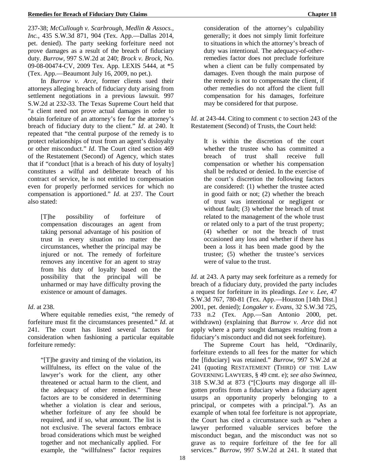237-38; *McCullough v. Scarbrough, Medlin & Assocs., Inc.*, 435 S.W.3d 871, 904 (Tex. App.—Dallas 2014, pet. denied). The party seeking forfeiture need not prove damages as a result of the breach of fiduciary duty. *Burrow*, 997 S.W.2d at 240; *Brock v. Brock*, No. 09-08-00474-CV, 2009 Tex. App. LEXIS 5444, at \*5 (Tex. App.—Beaumont July 16, 2009, no pet.).

In *Burrow v. Arce*, former clients sued their attorneys alleging breach of fiduciary duty arising from settlement negotiations in a previous lawsuit. 997 S.W.2d at 232-33. The Texas Supreme Court held that "a client need not prove actual damages in order to obtain forfeiture of an attorney's fee for the attorney's breach of fiduciary duty to the client." *Id*. at 240. It repeated that "the central purpose of the remedy is to protect relationships of trust from an agent's disloyalty or other misconduct." *Id*. The Court cited section 469 of the Restatement (Second) of Agency, which states that if "conduct [that is a breach of his duty of loyalty] constitutes a wilful and deliberate breach of his contract of service, he is not entitled to compensation even for properly performed services for which no compensation is apportioned." *Id*. at 237. The Court also stated:

[T]he possibility of forfeiture of compensation discourages an agent from taking personal advantage of his position of trust in every situation no matter the circumstances, whether the principal may be injured or not. The remedy of forfeiture removes any incentive for an agent to stray from his duty of loyalty based on the possibility that the principal will be unharmed or may have difficulty proving the existence or amount of damages.

### *Id*. at 238.

Where equitable remedies exist, "the remedy of forfeiture must fit the circumstances presented." *Id*. at 241. The court has listed several factors for consideration when fashioning a particular equitable forfeiture remedy:

"[T]he gravity and timing of the violation, its willfulness, its effect on the value of the lawyer's work for the client, any other threatened or actual harm to the client, and the adequacy of other remedies." These factors are to be considered in determining whether a violation is clear and serious, whether forfeiture of any fee should be required, and if so, what amount. The list is not exclusive. The several factors embrace broad considerations which must be weighed together and not mechanically applied. For example, the "willfulness" factor requires

consideration of the attorney's culpability generally; it does not simply limit forfeiture to situations in which the attorney's breach of duty was intentional. The adequacy-of-otherremedies factor does not preclude forfeiture when a client can be fully compensated by damages. Even though the main purpose of the remedy is not to compensate the client, if other remedies do not afford the client full compensation for his damages, forfeiture may be considered for that purpose.

*Id.* at 243-44. Citing to comment c to section 243 of the Restatement (Second) of Trusts, the Court held:

It is within the discretion of the court whether the trustee who has committed a breach of trust shall receive full compensation or whether his compensation shall be reduced or denied. In the exercise of the court's discretion the following factors are considered: (1) whether the trustee acted in good faith or not; (2) whether the breach of trust was intentional or negligent or without fault; (3) whether the breach of trust related to the management of the whole trust or related only to a part of the trust property; (4) whether or not the breach of trust occasioned any loss and whether if there has been a loss it has been made good by the trustee; (5) whether the trustee's services were of value to the trust.

*Id*. at 243. A party may seek forfeiture as a remedy for breach of a fiduciary duty, provided the party includes a request for forfeiture in its pleadings. *Lee v. Lee*, 47 S.W.3d 767, 780-81 (Tex. App.—Houston [14th Dist.] 2001, pet. denied); *Longaker v. Evans*, 32 S.W.3d 725, 733 n.2 (Tex. App.—San Antonio 2000, pet. withdrawn) (explaining that *Burrow v. Arce* did not apply where a party sought damages resulting from a fiduciary's misconduct and did not seek forfeiture).

The Supreme Court has held, "Ordinarily, forfeiture extends to all fees for the matter for which the [fiduciary] was retained." *Burrow*, 997 S.W.2d at 241 (quoting RESTATEMENT (THIRD) OF THE LAW GOVERNING LAWYERS, § 49 cmt. e); *see also Swinnea*, 318 S.W.3d at 873 ("[C]ourts may disgorge all illgotten profits from a fiduciary when a fiduciary agent usurps an opportunity properly belonging to a principal, or competes with a principal."). As an example of when total fee forfeiture is not appropriate, the Court has cited a circumstance such as "when a lawyer performed valuable services before the misconduct began, and the misconduct was not so grave as to require forfeiture of the fee for all services." *Burrow,* 997 S.W.2d at 241. It stated that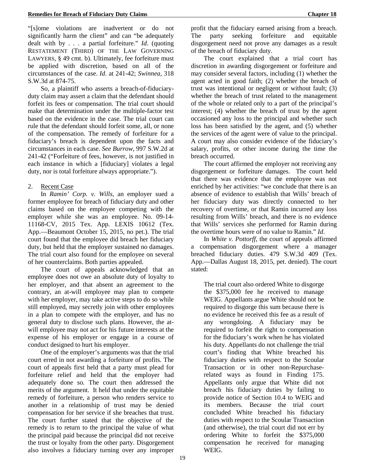"[s]ome violations are inadvertent or do not significantly harm the client" and can "be adequately dealt with by . . . a partial forfeiture." *Id*. (quoting RESTATEMENT (THIRD) OF THE LAW GOVERNING LAWYERS, § 49 cmt. b). Ultimately, fee forfeiture must be applied with discretion, based on all of the circumstances of the case. *Id*. at 241-42; *Swinnea*, 318 S.W.3d at 874-75.

So, a plaintiff who asserts a breach-of-fiduciaryduty claim may assert a claim that the defendant should forfeit its fees or compensation. The trial court should make that determination under the multiple-factor test based on the evidence in the case. The trial court can rule that the defendant should forfeit some, all, or none of the compensation. The remedy of forfeiture for a fiduciary's breach is dependent upon the facts and circumstances in each case. *See Burrow*, 997 S.W.2d at 241-42 ("Forfeiture of fees, however, is not justified in each instance in which a [fiduciary] violates a legal duty, nor is total forfeiture always appropriate.").

#### 2. Recent Case

In *Ramin' Corp. v. Wills*, an employer sued a former employee for breach of fiduciary duty and other claims based on the employee competing with the employer while she was an employee. No. 09-14- 11168-CV, 2015 Tex. App. LEXIS 10612 (Tex. App.—Beaumont October 15, 2015, no pet.). The trial court found that the employee did breach her fiduciary duty, but held that the employer sustained no damages. The trial court also found for the employee on several of her counterclaims. Both parties appealed.

The court of appeals acknowledged that an employee does not owe an absolute duty of loyalty to her employer, and that absent an agreement to the contrary, an at-will employee may plan to compete with her employer, may take active steps to do so while still employed, may secretly join with other employees in a plan to compete with the employer, and has no general duty to disclose such plans. However, the atwill employee may not act for his future interests at the expense of his employer or engage in a course of conduct designed to hurt his employer.

One of the employer's arguments was that the trial court erred in not awarding a forfeiture of profits. The court of appeals first held that a party must plead for forfeiture relief and held that the employer had adequately done so. The court then addressed the merits of the argument. It held that under the equitable remedy of forfeiture, a person who renders service to another in a relationship of trust may be denied compensation for her service if she breaches that trust. The court further stated that the objective of the remedy is to return to the principal the value of what the principal paid because the principal did not receive the trust or loyalty from the other party. Disgorgement also involves a fiduciary turning over any improper

profit that the fiduciary earned arising from a breach. The party seeking forfeiture and equitable disgorgement need not prove any damages as a result of the breach of fiduciary duty.

The court explained that a trial court has discretion in awarding disgorgement or forfeiture and may consider several factors, including (1) whether the agent acted in good faith; (2) whether the breach of trust was intentional or negligent or without fault; (3) whether the breach of trust related to the management of the whole or related only to a part of the principal's interest; (4) whether the breach of trust by the agent occasioned any loss to the principal and whether such loss has been satisfied by the agent, and (5) whether the services of the agent were of value to the principal. A court may also consider evidence of the fiduciary's salary, profits, or other income during the time the breach occurred.

The court affirmed the employer not receiving any disgorgement or forfeiture damages. The court held that there was evidence that the employee was not enriched by her activities: "we conclude that there is an absence of evidence to establish that Wills' breach of her fiduciary duty was directly connected to her recovery of overtime, or that Ramin incurred any loss resulting from Wills' breach, and there is no evidence that Wills' services she performed for Ramin during the overtime hours were of no value to Ramin." *Id*.

In *White v. Pottorff*, the court of appeals affirmed a compensation disgorgement where a manager breached fiduciary duties. 479 S.W.3d 409 (Tex. App.—Dallas August 18, 2015, pet. denied). The court stated:

The trial court also ordered White to disgorge the \$375,000 fee he received to manage WEIG. Appellants argue White should not be required to disgorge this sum because there is no evidence he received this fee as a result of any wrongdoing. A fiduciary may be required to forfeit the right to compensation for the fiduciary's work when he has violated his duty. Appellants do not challenge the trial court's finding that White breached his fiduciary duties with respect to the Scoular Transaction or in other non-Repurchaserelated ways as found in Finding 175. Appellants only argue that White did not breach his fiduciary duties by failing to provide notice of Section 10.4 to WEIG and its members. Because the trial court concluded White breached his fiduciary duties with respect to the Scoular Transaction (and otherwise), the trial court did not err by ordering White to forfeit the \$375,000 compensation he received for managing WEIG.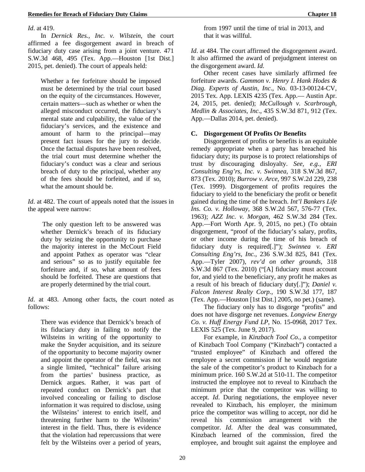*Id*. at 419.

In *Dernick Res., Inc. v. Wilstein*, the court affirmed a fee disgorgement award in breach of fiduciary duty case arising from a joint venture. 471 S.W.3d 468, 495 (Tex. App.—Houston [1st Dist.] 2015, pet. denied). The court of appeals held:

Whether a fee forfeiture should be imposed must be determined by the trial court based on the equity of the circumstances. However, certain matters—such as whether or when the alleged misconduct occurred, the fiduciary's mental state and culpability, the value of the fiduciary's services, and the existence and amount of harm to the principal—may present fact issues for the jury to decide. Once the factual disputes have been resolved, the trial court must determine whether the fiduciary's conduct was a clear and serious breach of duty to the principal, whether any of the fees should be forfeited, and if so, what the amount should be.

*Id*. at 482. The court of appeals noted that the issues in the appeal were narrow:

The only question left to be answered was whether Dernick's breach of its fiduciary duty by seizing the opportunity to purchase the majority interest in the McCourt Field and appoint Pathex as operator was "clear and serious" so as to justify equitable fee forfeiture and, if so, what amount of fees should be forfeited. These are questions that are properly determined by the trial court.

*Id*. at 483. Among other facts, the court noted as follows:

There was evidence that Dernick's breach of its fiduciary duty in failing to notify the Wilsteins in writing of the opportunity to make the Snyder acquisition, and its seizure of the opportunity to become majority owner and appoint the operator of the field, was not a single limited, "technical" failure arising from the parties' business practice, as Dernick argues. Rather, it was part of repeated conduct on Dernick's part that involved concealing or failing to disclose information it was required to disclose, using the Wilsteins' interest to enrich itself, and threatening further harm to the Wilsteins' interest in the field. Thus, there is evidence that the violation had repercussions that were felt by the Wilsteins over a period of years,

from 1997 until the time of trial in 2013, and that it was willful.

*Id*. at 484. The court affirmed the disgorgement award. It also affirmed the award of prejudgment interest on the disgorgement award. *Id*.

Other recent cases have similarly affirmed fee forfeiture awards. *Gammon v. Henry I. Hank Hodes & Diag. Experts of Austin, Inc*., No. 03-13-00124-CV, 2015 Tex. App. LEXIS 4235 (Tex. App.— Austin Apr. 24, 2015, pet. denied); *McCullough v. Scarbrough, Medlin & Associates, Inc*., 435 S.W.3d 871, 912 (Tex. App.—Dallas 2014, pet. denied).

### **C. Disgorgement Of Profits Or Benefits**

Disgorgement of profits or benefits is an equitable remedy appropriate when a party has breached his fiduciary duty; its purpose is to protect relationships of trust by discouraging disloyalty. *See, e.g., ERI Consulting Eng'rs, Inc. v. Swinnea*, 318 S.W.3d 867, 873 (Tex. 2010); *Burrow v. Arce*, 997 S.W.2d 229, 238 (Tex. 1999). Disgorgement of profits requires the fiduciary to yield to the beneficiary the profit or benefit gained during the time of the breach. *Int'l Bankers Life Ins. Co. v. Holloway,* 368 S.W.2d 567, 576-77 (Tex. 1963); *AZZ Inc. v. Morgan*, 462 S.W.3d 284 (Tex. App.—Fort Worth Apr. 9, 2015, no pet.) (To obtain disgorgement, "proof of the fiduciary's salary, profits, or other income during the time of his breach of fiduciary duty is required[.]"); *Swinnea v. ERI Consulting Eng'rs, Inc.*, 236 S.W.3d 825, 841 (Tex. App.—Tyler 2007), *rev'd on other grounds*, 318 S.W.3d 867 (Tex. 2010) ("[A] fiduciary must account for, and yield to the beneficiary, any profit he makes as a result of his breach of fiduciary duty[.]"); *Daniel v. Falcon Interest Realty Corp.*, 190 S.W.3d 177, 187 (Tex. App.—Houston [1st Dist.] 2005, no pet.) (same).

The fiduciary only has to disgorge "profits" and does not have disgorge net revenues. *Longview Energy Co. v. Huff Energy Fund LP*, No. 15-0968, 2017 Tex. LEXIS 525 (Tex. June 9, 2017).

For example, in *Kinzbach Tool Co.*, a competitor of Kinzbach Tool Company ("Kinzbach") contacted a "trusted employee" of Kinzbach and offered the employee a secret commission if he would negotiate the sale of the competitor's product to Kinzbach for a minimum price. 160 S.W.2d at 510-11. The competitor instructed the employee not to reveal to Kinzbach the minimum price that the competitor was willing to accept. *Id*. During negotiations, the employee never revealed to Kinzbach, his employer, the minimum price the competitor was willing to accept, nor did he reveal his commission arrangement with the competitor. *Id*. After the deal was consummated, Kinzbach learned of the commission, fired the employee, and brought suit against the employee and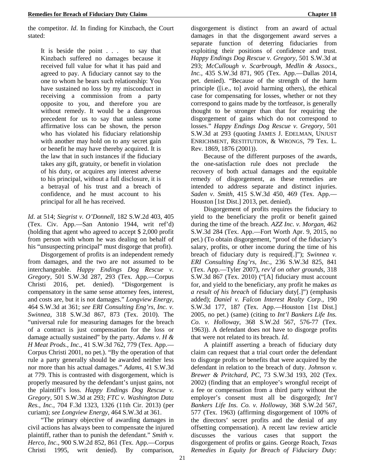the competitor. *Id*. In finding for Kinzbach, the Court stated:

It is beside the point . . . to say that Kinzbach suffered no damages because it received full value for what it has paid and agreed to pay. A fiduciary cannot say to the one to whom he bears such relationship: You have sustained no loss by my misconduct in receiving a commission from a party opposite to you, and therefore you are without remedy. It would be a dangerous precedent for us to say that unless some affirmative loss can be shown, the person who has violated his fiduciary relationship with another may hold on to any secret gain or benefit he may have thereby acquired. It is the law that in such instances if the fiduciary takes any gift, gratuity, or benefit in violation of his duty, or acquires any interest adverse to his principal, without a full disclosure, it is a betrayal of his trust and a breach of confidence, and he must account to his principal for all he has received.

*Id*. at 514; *Siegrist v. O'Donnell*, 182 S.W.2d 403, 405 (Tex. Civ. App.—San Antonio 1944, writ ref'd) (holding that agent who agreed to accept \$ 2,000 profit from person with whom he was dealing on behalf of his "unsuspecting principal" must disgorge that profit).

Disgorgement of profits is an independent remedy from damages, and the two are not assumed to be interchangeable. *Happy Endings Dog Rescue v. Gregory,* 501 S.W.3d 287, 293 (Tex. App.—Corpus Christi 2016, pet. denied). "Disgorgement is compensatory in the same sense attorney fees, interest, and costs are, but it is not damages." *Longview Energy*, 464 S.W.3d at 361; *see ERI Consulting Eng'rs, Inc. v. Swinnea,* 318 S.W.3d 867, 873 (Tex. 2010). The "universal rule for measuring damages for the breach of a contract is just compensation for the loss or damage actually sustained" by the party. *Adams v. H & H Meat Prods., Inc.*, 41 S.W.3d 762, 779 (Tex. App.— Corpus Christi 2001, no pet.). "By the operation of that rule a party generally should be awarded neither less nor more than his actual damages." *Adams,* 41 S.W.3d at 779. This is contrasted with disgorgement, which is properly measured by the defendant's unjust gains, not the plaintiff's loss. *Happy Endings Dog Rescue v. Gregory,* 501 S.W.3d at 293; *FTC v. Washington Data Res., Inc.*, 704 F.3d 1323, 1326 (11th Cir. 2013) (per curiam); *see Longview Energy*, 464 S.W.3d at 361.

"The primary objective of awarding damages in civil actions has always been to compensate the injured plaintiff, rather than to punish the defendant." *Smith v. Herco, Inc*., 900 S.W.2d 852, 861 (Tex. App.—Corpus Christi 1995, writ denied). By comparison, disgorgement is distinct from an award of actual damages in that the disgorgement award serves a separate function of deterring fiduciaries from exploiting their positions of confidence and trust. *Happy Endings Dog Rescue v. Gregory,* 501 S.W.3d at 293; *McCullough v. Scarbrough, Medlin & Assocs., Inc.*, 435 S.W.3d 871, 905 (Tex. App.—Dallas 2014, pet. denied). "Because of the strength of the harm principle ([i.e., to] avoid harming others), the ethical case for compensating for losses, whether or not they correspond to gains made by the tortfeasor, is generally thought to be stronger than that for requiring the disgorgement of gains which do not correspond to losses." *Happy Endings Dog Rescue v. Gregory,* 501 S.W.3d at 293 (quoting JAMES J. EDELMAN, UNJUST ENRICHMENT, RESTITUTION, & WRONGS, 79 Tex. L. Rev. 1869, 1876 (2001)).

Because of the different purposes of the awards, the one-satisfaction rule does not preclude the recovery of both actual damages and the equitable remedy of disgorgement, as these remedies are intended to address separate and distinct injuries. *Saden v. Smith*, 415 S.W.3d 450, 469 (Tex. App.— Houston [1st Dist.] 2013, pet. denied).

Disgorgement of profits requires the fiduciary to yield to the beneficiary the profit or benefit gained during the time of the breach. *AZZ Inc. v. Morgan,* 462 S.W.3d 284 (Tex. App.—Fort Worth Apr. 9, 2015, no pet.) (To obtain disgorgement, "proof of the fiduciary's salary, profits, or other income during the time of his breach of fiduciary duty is required[.]"); *Swinnea v. ERI Consulting Eng'rs, Inc.*, 236 S.W.3d 825, 841 (Tex. App.—Tyler 2007), *rev'd on other grounds,* 318 S.W.3d 867 (Tex. 2010) ("[A] fiduciary must account for, and yield to the beneficiary, any profit he makes *as a result of his breach* of fiduciary duty[.]") (emphasis added); *Daniel v. Falcon Interest Realty Corp.*, 190 S.W.3d 177, 187 (Tex. App.—Houston [1st Dist.] 2005, no pet.) (same) (citing to *Int'l Bankers Life Ins. Co. v. Holloway*, 368 S.W.2d 567, 576-77 (Tex. 1963)). A defendant does not have to disgorge profits that were not related to its breach. *Id*.

A plaintiff asserting a breach of fiduciary duty claim can request that a trial court order the defendant to disgorge profts or benefits that were acquired by the defendant in relation to the breach of duty. *Johnson v. Brewer & Pritchard, PC*, 73 S.W.3d 193, 202 (Tex. 2002) (finding that an employee's wrongful receipt of a fee or compensation from a third party without the employer's consent must all be disgorged); *Int'l Bankers Life Ins. Co. v. Holloway*, 368 S.W.2d 567, 577 (Tex. 1963) (affirming disgorgement of 100% of the directors' secret profits and the denial of any offsetting compensation). A recent law review article discusses the various cases that support the disgorgement of profits or gains. George Roach, *Texas Remedies in Equity for Breach of Fiduciary Duty:*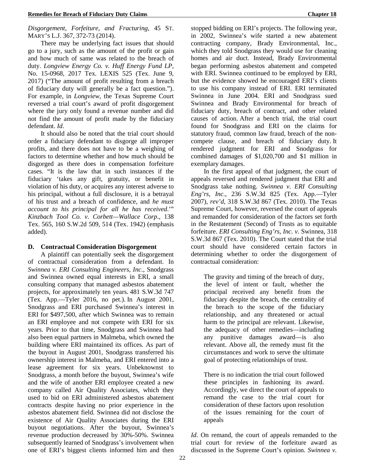*Disgorgement, Forfeiture, and Fracturing,* 45 ST. MARY'S L.J. 367, 372-73 (2014).

There may be underlying fact issues that should go to a jury, such as the amount of the profit or gain and how much of same was related to the breach of duty. *Longview Energy Co. v. Huff Energy Fund LP*, No. 15-0968, 2017 Tex. LEXIS 525 (Tex. June 9, 2017) ("The amount of profit resulting from a breach of fiduciary duty will generally be a fact question."). For example, in *Longview*, the Texas Supreme Court reversed a trial court's award of profit disgorgement where the jury only found a revenue number and did not find the amount of profit made by the fiduciary defendant. *Id*.

It should also be noted that the trial court should order a fiduciary defendant to disgorge all improper profits, and there does not have to be a weighing of factors to determine whether and how much should be disgorged as there does in compensation forfeiture cases. "It is the law that in such instances if the fiduciary 'takes any gift, gratuity, or benefit in violation of his duty, or acquires any interest adverse to his principal, without a full disclosure, it is a betrayal of his trust and a breach of confidence, and *he must account to his principal for all he has received*.'" *Kinzbach Tool Co. v. Corbett—Wallace Corp*., 138 Tex. 565, 160 S.W.2d 509, 514 (Tex. 1942) (emphasis added).

#### **D. Contractual Consideration Disgorgement**

A plaintiff can potentially seek the disgorgement of contractual consideration from a defendant. In *Swinnea v. ERI Consulting Engineers, Inc.*, Snodgrass and Swinnea owned equal interests in ERI, a small consulting company that managed asbestos abatement projects, for approximately ten years. 481 S.W.3d 747 (Tex. App.—Tyler 2016, no pet.). In August 2001, Snodgrass and ERI purchased Swinnea's interest in ERI for \$497,500, after which Swinnea was to remain an ERI employee and not compete with ERI for six years. Prior to that time, Snodgrass and Swinnea had also been equal partners in Malmeba, which owned the building where ERI maintained its offices. As part of the buyout in August 2001, Snodgrass transferred his ownership interest in Malmeba, and ERI entered into a lease agreement for six years. Unbeknownst to Snodgrass, a month before the buyout, Swinnea's wife and the wife of another ERI employee created a new company called Air Quality Associates, which they used to bid on ERI administered asbestos abatement contracts despite having no prior experience in the asbestos abatement field. Swinnea did not disclose the existence of Air Quality Associates during the ERI buyout negotiations. After the buyout, Swinnea's revenue production decreased by 30%-50%. Swinnea subsequently learned of Snodgrass's involvement when one of ERI's biggest clients informed him and then

stopped bidding on ERI's projects. The following year, in 2002, Swinnea's wife started a new abatement contracting company, Brady Environmental, Inc., which they told Snodgrass they would use for cleaning homes and air duct. Instead, Brady Environmental began performing asbestos abatement and competed with ERI. Swinnea continued to be employed by ERI, but the evidence showed he encouraged ERI's clients to use his company instead of ERI. ERI terminated Swinnea in June 2004. ERI and Snodgrass sued Swinnea and Brady Environmental for breach of fiduciary duty, breach of contract, and other related causes of action. After a bench trial, the trial court found for Snodgrass and ERI on the claims for statutory fraud, common law fraud, breach of the noncompete clause, and breach of fiduciary duty. It rendered judgment for ERI and Snodgrass for combined damages of \$1,020,700 and \$1 million in exemplary damages.

In the first appeal of that judgment, the court of appeals reversed and rendered judgment that ERI and Snodgrass take nothing. *Swinnea v. ERI Consulting Eng'rs, Inc.*, 236 S.W.3d 825 (Tex. App.—Tyler 2007), *rev'd*, 318 S.W.3d 867 (Tex. 2010). The Texas Supreme Court, however, reversed the court of appeals and remanded for consideration of the factors set forth in the Restatement (Second) of Trusts as to equitable forfeiture. *ERI Consulting Eng'rs, Inc. v.* Swinnea, 318 S.W.3d 867 (Tex. 2010). The Court stated that the trial court should have considered certain factors in determining whether to order the disgorgement of contractual consideration:

The gravity and timing of the breach of duty, the level of intent or fault, whether the principal received any benefit from the fiduciary despite the breach, the centrality of the breach to the scope of the fiduciary relationship, and any threatened or actual harm to the principal are relevant. Likewise, the adequacy of other remedies—including any punitive damages award—is also relevant. Above all, the remedy must fit the circumstances and work to serve the ultimate goal of protecting relationships of trust.

There is no indication the trial court followed these principles in fashioning its award. Accordingly, we direct the court of appeals to remand the case to the trial court for consideration of these factors upon resolution of the issues remaining for the court of appeals

*Id*. On remand, the court of appeals remanded to the trial court for review of the forfeiture award as discussed in the Supreme Court's opinion. *Swinnea v.*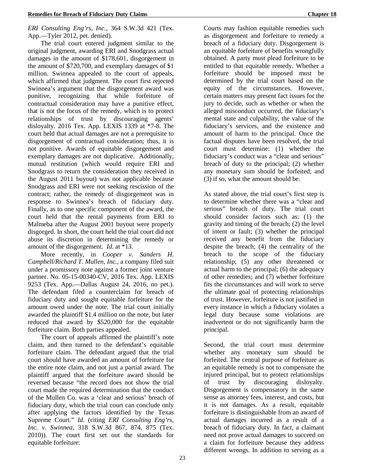### *ERI Consulting Eng'rs, Inc.*, 364 S.W.3d 421 (Tex. App.—Tyler 2012, pet. denied).

The trial court entered judgment similar to the original judgment, awarding ERI and Snodgrass actual damages in the amount of \$178,601, disgorgement in the amount of \$720,700, and exemplary damages of \$1 million. Swinnea appealed to the court of appeals, which affirmed that judgment. The court first rejected Swinnea's argument that the disgorgement award was punitive, recognizing that while forfeiture of contractual consideration may have a punitive effect, that is not the focus of the remedy, which is to protect relationships of trust by discouraging agents' disloyalty. 2016 Tex. App. LEXIS 1339 at \*7-8. The court held that actual damages are not a prerequisite to disgorgement of contractual consideration; thus, it is not punitive. Awards of equitable disgorgement and exemplary damages are not duplicative. Additionally, mutual restitution (which would require ERI and Snodgrass to return the consideration they received in the August 2011 buyout) was not applicable because Snodgrass and ERI were not seeking rescission of the contract; rather, the remedy of disgorgement was in response to Swinnea's breach of fiduciary duty. Finally, as to one specific component of the award, the court held that the rental payments from ERI to Malmeba after the August 2001 buyout were properly disgorged. In short, the court held the trial court did not abuse its discretion in determining the remedy or amount of the disgorgement. *Id.* at \*13.

More recently, in *Cooper v. Sanders H. Campbell/Richard T. Mullen, Inc.*, a company filed suit under a promissory note against a former joint venture partner. No. 05-15-00340-CV, 2016 Tex. App. LEXIS 9253 (Tex. App.—Dallas August 24, 2016, no pet.). The defendant filed a counterclaim for breach of fiduciary duty and sought equitable forfeiture for the amount owed under the note. The trial court initially awarded the plaintiff \$1.4 million on the note, but later reduced that award by \$520,000 for the equitable forfeiture claim. Both parties appealed.

The court of appeals affirmed the plaintiff's note claim, and then turned to the defendant's equitable forfeiture claim. The defendant argued that the trial court should have awarded an amount of forfeiture for the entire note claim, and not just a partial award. The plaintiff argued that the forfeiture award should be reversed because "the record does not show the trial court made the required determination that the conduct of the Mullen Co. was a 'clear and serious' breach of fiduciary duty, which the trial court can conclude only after applying the factors identified by the Texas Supreme Court." *Id*. (citing *ERI Consulting Eng'rs, Inc. v. Swinnea*, 318 S.W.3d 867, 874, 875 (Tex. 2010)). The court first set out the standards for equitable forfeiture:

Courts may fashion equitable remedies such as disgorgement and forfeiture to remedy a breach of a fiduciary duty. Disgorgement is an equitable forfeiture of benefits wrongfully obtained. A party must plead forfeiture to be entitled to that equitable remedy. Whether a forfeiture should be imposed must be determined by the trial court based on the equity of the circumstances. However, certain matters may present fact issues for the jury to decide, such as whether or when the alleged misconduct occurred, the fiduciary's mental state and culpability, the value of the fiduciary's services, and the existence and amount of harm to the principal. Once the factual disputes have been resolved, the trial court must determine: (1) whether the fiduciary's conduct was a "clear and serious" breach of duty to the principal; (2) whether any monetary sum should be forfeited; and (3) if so, what the amount should be.

As stated above, the trial court's first step is to determine whether there was a "clear and serious" breach of duty. The trial court should consider factors such as: (1) the gravity and timing of the breach; (2) the level of intent or fault; (3) whether the principal received any benefit from the fiduciary despite the breach; (4) the centrality of the breach to the scope of the fiduciary relationship; (5) any other threatened or actual harm to the principal; (6) the adequacy of other remedies; and (7) whether forfeiture fits the circumstances and will work to serve the ultimate goal of protecting relationships of trust. However, forfeiture is not justified in every instance in which a fiduciary violates a legal duty because some violations are inadvertent or do not significantly harm the principal.

Second, the trial court must determine whether any monetary sum should be forfeited. The central purpose of forfeiture as an equitable remedy is not to compensate the injured principal, but to protect relationships of trust by discouraging disloyalty. Disgorgement is compensatory in the same sense as attorney fees, interest, and costs, but it is not damages. As a result, equitable forfeiture is distinguishable from an award of actual damages incurred as a result of a breach of fiduciary duty. In fact, a claimant need not prove actual damages to succeed on a claim for forfeiture because they address different wrongs. In addition to serving as a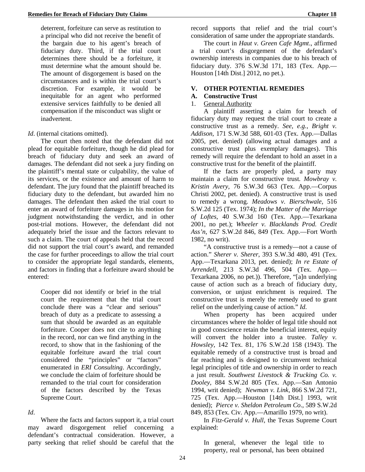deterrent, forfeiture can serve as restitution to a principal who did not receive the benefit of the bargain due to his agent's breach of fiduciary duty. Third, if the trial court determines there should be a forfeiture, it must determine what the amount should be. The amount of disgorgement is based on the circumstances and is within the trial court's discretion. For example, it would be inequitable for an agent who performed extensive services faithfully to be denied all compensation if the misconduct was slight or inadvertent.

### *Id.* (internal citations omitted).

The court then noted that the defendant did not plead for equitable forfeiture, though he did plead for breach of fiduciary duty and seek an award of damages. The defendant did not seek a jury finding on the plaintiff's mental state or culpability, the value of its services, or the existence and amount of harm to defendant. The jury found that the plaintiff breached its fiduciary duty to the defendant, but awarded him no damages. The defendant then asked the trial court to enter an award of forfeiture damages in his motion for judgment notwithstanding the verdict, and in other post-trial motions. However, the defendant did not adequately brief the issue and the factors relevant to such a claim. The court of appeals held that the record did not support the trial court's award, and remanded the case for further proceedings to allow the trial court to consider the appropriate legal standards, elements, and factors in finding that a forfeiture award should be entered:

Cooper did not identify or brief in the trial court the requirement that the trial court conclude there was a "clear and serious" breach of duty as a predicate to assessing a sum that should be awarded as an equitable forfeiture. Cooper does not cite to anything in the record, nor can we find anything in the record, to show that in the fashioning of the equitable forfeiture award the trial court considered the "principles" or "factors" enumerated in *ERI Consulting*. Accordingly, we conclude the claim of forfeiture should be remanded to the trial court for consideration of the factors described by the Texas Supreme Court.

### *Id*.

Where the facts and factors support it, a trial court may award disgorgement relief concerning a defendant's contractual consideration. However, a party seeking that relief should be careful that the

record supports that relief and the trial court's consideration of same under the appropriate standards.

The court in *Haut v. Green Cafe Mgmt*., affirmed a trial court's disgorgement of the defendant's ownership interests in companies due to his breach of fiduciary duty. 376 S.W.3d 171, 183 (Tex. App.— Houston [14th Dist.] 2012, no pet.).

### **V. OTHER POTENTIAL REMEDIES**

### **A. Constructive Trust**

### 1. General Authority

A plaintiff asserting a claim for breach of fiduciary duty may request the trial court to create a constructive trust as a remedy. *See, e.g.*, *Bright v. Addison,* 171 S.W.3d 588, 601-03 (Tex. App.—Dallas 2005, pet. denied) (allowing actual damages and a constructive trust plus exemplary damages). This remedy will require the defendant to hold an asset in a constructive trust for the benefit of the plaintiff.

If the facts are properly pled, a party may maintain a claim for constructive trust. *Mowbray v. Kristin Avery*, 76 S.W.3d 663 (Tex. App.—Corpus Christi 2002, pet. denied). A constructive trust is used to remedy a wrong. *Meadows v. Bierschwale*, 516 S.W.2d 125 (Tex. 1974); *In the Matter of the Marriage of Loftes*, 40 S.W.3d 160 (Tex. App.—Texarkana 2001, no pet.); *Wheeler v. Blacklands Prod. Credit Ass'n*, 627 S.W.2d 846, 849 (Tex. App.—Fort Worth 1982, no writ).

"A constructive trust is a remedy—not a cause of action." *Sherer v. Sherer*, 393 S.W.3d 480, 491 (Tex. App.—Texarkana 2013, pet. denied); *In re Estate of Arrendell*, 213 S.W.3d 496, 504 (Tex. App.— Texarkana 2006, no pet.)). Therefore, "[a]n underlying cause of action such as a breach of fiduciary duty, conversion, or unjust enrichment is required. The constructive trust is merely the remedy used to grant relief on the underlying cause of action." *Id*.

When property has been acquired under circumstances where the holder of legal title should not in good conscience retain the beneficial interest, equity will convert the holder into a trustee. *Talley v*. *Howsley*, 142 Tex. 81, 176 S.W.2d 158 (1943). The equitable remedy of a constructive trust is broad and far reaching and is designed to circumvent technical legal principles of title and ownership in order to reach a just result. *Southwest Livestock & Trucking Co. v. Dooley,* 884 S.W.2d 805 (Tex. App.—San Antonio 1994, writ denied); *Newman v. Link*, 866 S.W.2d 721, 725 (Tex. App.—Houston [14th Dist.] 1993, writ denied); *Pierce v. Sheldon Petroleum Co*., 589 S.W.2d 849, 853 (Tex. Civ. App.—Amarillo 1979, no writ).

In *Fitz-Gerald v. Hull*, the Texas Supreme Court explained:

In general, whenever the legal title to property, real or personal, has been obtained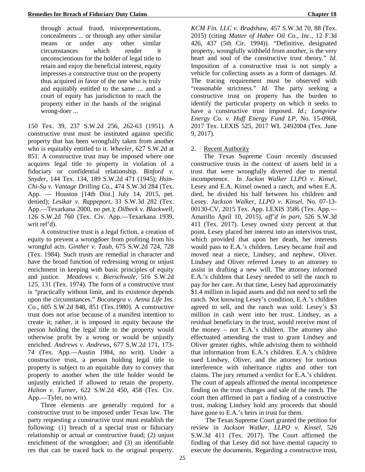through actual fraud, misrepresentations, concealments ... or through any other similar means or under any other similar circumstances which render it unconscientious for the holder of legal title to retain and enjoy the beneficial interest, equity impresses a constructive trust on the property thus acquired in favor of the one who is truly and equitably entitled to the same ... and a court of equity has jurisdiction to reach the property either in the hands of the original wrong-doer ...

150 Tex. 39, 237 S.W.2d 256, 262-63 (1951). A constructive trust must be instituted against specific property that has been wrongfully taken from another who is equitably entitled to it. *Wheeler*, 627 S.W.2d at 851. A constructive trust may be imposed where one acquires legal title to property in violation of a fiduciary or confidential relationship. *Binford v. Snyder*, 144 Tex. 134, 189 S.W.2d 471 (1945); *Hsin-Chi-Su v. Vantage Drilling Co.*, 474 S.W.3d 284 (Tex. App. — Houston [14th Dist.] July 14, 2015, pet. denied); *Lesikar v. Rappeport*, 33 S.W.3d 282 (Tex. App.—Texarkana 2000, no pet.); *Dilbeck v. Blackwell*, 126 S.W.2d 760 (Tex. Civ. App.—Texarkana 1939, writ ref'd).

A constructive trust is a legal fiction, a creation of equity to prevent a wrongdoer from profiting from his wrongful acts. *Ginther v. Taub*, 675 S.W.2d 724, 728 (Tex. 1984). Such trusts are remedial in character and have the broad function of redressing wrong or unjust enrichment in keeping with basic principles of equity and justice. *Meadows v. Bierschwale,* 516 S.W.2d 125, 131 (Tex. 1974). The form of a constructive trust is "practically without limit, and its existence depends upon the circumstances." *Bocanegra v. Aetna Life Ins. Co.*, 605 S.W.2d 848, 851 (Tex.1980). A constructive trust does not arise because of a manifest intention to create it; rather, it is imposed in equity because the person holding the legal title to the property would otherwise profit by a wrong or would be unjustly enriched. *Andrews v. Andrews*, 677 S.W.2d 171, 173- 74 (Tex. App.—Austin 1984, no writ). Under a constructive trust, a person holding legal title to property is subject to an equitable duty to convey that property to another when the title holder would be unjustly enriched if allowed to retain the property. *Halton v. Turner*, 622 S.W.2d 450, 458 (Tex. Civ. App.—Tyler, no writ).

Three elements are generally required for a constructive trust to be imposed under Texas law. The party requesting a constructive trust must establish the following: (1) breach of a special trust or fiduciary relationship or actual or constructive fraud; (2) unjust enrichment of the wrongdoer; and (3) an identifiable res that can be traced back to the original property. *KCM Fin. LLC v. Bradshaw,* 457 S.W.3d 70, 88 (Tex. 2015) (citing *Matter of Haber Oil Co., Inc.*, 12 F.3d 426, 437 (5th Cir. 1994)). "Definitive, designated property, wrongfully withheld from another, is the very heart and soul of the constructive trust theory." *Id*. Imposition of a constructive trust is not simply a vehicle for collecting assets as a form of damages. *Id*. The tracing requirement must be observed with "reasonable strictness." *Id*. The party seeking a constructive trust on property has the burden to identify the particular property on which it seeks to have a constructive trust imposed. *Id*.; *Longview Energy Co. v. Huff Energy Fund LP*, No. 15-0968, 2017 Tex. LEXIS 525, 2017 WL 2492004 (Tex. June 9, 2017).

2. Recent Authority

The Texas Supreme Court recently discussed constructive trusts in the context of assets held in a trust that were wrongfully diverted due to mental incompetence. In *Jackon Walker LLPO v. Kinsel*, Lesey and E.A. Kinsel owned a ranch, and when E.A. died, he divided his half between his children and Lesey. *Jackson Walker, LLPO v. Kinsel*, No. 07-13- 00130-CV, 2015 Tex. App. LEXIS 3586 (Tex. App.— Amarillo April 10, 2015), *aff'd in part*, 526 S.W.3d 411 (Tex. 2017). Lesey owned sixty percent at that point. Lesey placed her interest into an intervivos trust, which provided that upon her death, her interests would pass to E.A.'s children. Lesey became frail and moved near a niece, Lindsey, and nephew, Oliver. Lindsey and Oliver referred Lesey to an attorney to assist in drafting a new will. The attorney informed E.A.'s children that Lesey needed to sell the ranch to pay for her care. At that time, Lesey had approximately \$1.4 million in liquid assets and did not need to sell the ranch. Not knowing Lesey's condition, E.A.'s children agreed to sell, and the ranch was sold. Lesey's \$3 million in cash went into her trust. Lindsey, as a residual beneficiary in the trust, would receive most of the money – not E.A.'s children. The attorney also effectuated amending the trust to grant Lindsey and Oliver greater rights, while advising them to withhold that information from E.A.'s children. E.A.'s children sued Lindsey, Oliver, and the attorney for tortious interference with inheritance rights and other tort claims. The jury returned a verdict for E.A.'s children. The court of appeals affirmed the mental incompetence finding on the trust changes and sale of the ranch. The court then affirmed in part a finding of a constructive trust, making Lindsey hold any proceeds that should have gone to E.A.'s heirs in trust for them.

The Texas Supreme Court granted the petition for review in *Jackson Walker, LLPO v. Kinsel*, 526 S.W.3d 411 (Tex. 2017). The Court affirmed the finding of that Lesey did not have mental capacity to execute the documents. Regarding a constructive trust,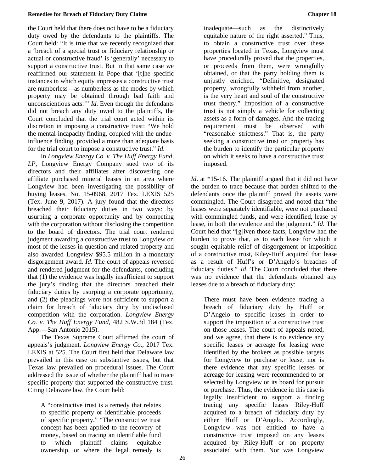the Court held that there does not have to be a fiduciary duty owed by the defendants to the plaintiffs. The Court held: "It is true that we recently recognized that a 'breach of a special trust or fiduciary relationship or actual or constructive fraud' is 'generally' necessary to support a constructive trust. But in that same case we reaffirmed our statement in Pope that '[t]he specific instances in which equity impresses a constructive trust are numberless—as numberless as the modes by which property may be obtained through bad faith and unconscientious acts.'" *Id*. Even though the defendants did not breach any duty owed to the plaintiffs, the Court concluded that the trial court acted within its discretion in imposing a constructive trust: "We hold the mental-incapacity finding, coupled with the undueinfluence finding, provided a more than adequate basis for the trial court to impose a constructive trust." *Id*.

In *Longview Energy Co. v. The Huff Energy Fund*, *LP*, Longview Energy Company sued two of its directors and their affiliates after discovering one affiliate purchased mineral leases in an area where Longview had been investigating the possibility of buying leases. No. 15-0968, 2017 Tex. LEXIS 525 (Tex. June 9, 2017). A jury found that the directors breached their fiduciary duties in two ways: by usurping a corporate opportunity and by competing with the corporation without disclosing the competition to the board of directors. The trial court rendered judgment awarding a constructive trust to Longview on most of the leases in question and related property and also awarded Longview \$95.5 million in a monetary disgorgement award. *Id*. The court of appeals reversed and rendered judgment for the defendants, concluding that (1) the evidence was legally insufficient to support the jury's finding that the directors breached their fiduciary duties by usurping a corporate opportunity, and (2) the pleadings were not sufficient to support a claim for breach of fiduciary duty by undisclosed competition with the corporation. *Longview Energy Co. v. The Huff Energy Fund*, 482 S.W.3d 184 (Tex. App.—San Antonio 2015).

The Texas Supreme Court affirmed the court of appeals's judgment. *Longview Energy Co.*, 2017 Tex. LEXIS at 525. The Court first held that Delaware law prevailed in this case on substantive issues, but that Texas law prevailed on procedural issues. The Court addressed the issue of whether the plaintiff had to trace specific property that supported the constructive trust. Citing Delaware law, the Court held:

A "constructive trust is a remedy that relates to specific property or identifiable proceeds of specific property." "The constructive trust concept has been applied to the recovery of money, based on tracing an identifiable fund to which plaintiff claims equitable ownership, or where the legal remedy is

inadequate—such as the distinctively equitable nature of the right asserted." Thus, to obtain a constructive trust over these properties located in Texas, Longview must have procedurally proved that the properties, or proceeds from them, were wrongfully obtained, or that the party holding them is unjustly enriched. "Definitive, designated property, wrongfully withheld from another, is the very heart and soul of the constructive trust theory." Imposition of a constructive trust is not simply a vehicle for collecting assets as a form of damages. And the tracing requirement must be observed with "reasonable strictness." That is, the party seeking a constructive trust on property has the burden to identify the particular property on which it seeks to have a constructive trust imposed.

*Id*. at \*15-16. The plaintiff argued that it did not have the burden to trace because that burden shifted to the defendants once the plaintiff proved the assets were commingled. The Court disagreed and noted that "the leases were separately identifiable, were not purchased with commingled funds, and were identified, lease by lease, in both the evidence and the judgment." *Id*. The Court held that "[g]iven those facts, Longview had the burden to prove that, as to each lease for which it sought equitable relief of disgorgement or imposition of a constructive trust, Riley-Huff acquired that lease as a result of Huff's or D'Angelo's breaches of fiduciary duties." *Id*. The Court concluded that there was no evidence that the defendants obtained any leases due to a breach of fiduciary duty:

There must have been evidence tracing a breach of fiduciary duty by Huff or D'Angelo to specific leases in order to support the imposition of a constructive trust on those leases. The court of appeals noted, and we agree, that there is no evidence any specific leases or acreage for leasing were identified by the brokers as possible targets for Longview to purchase or lease, nor is there evidence that any specific leases or acreage for leasing were recommended to or selected by Longview or its board for pursuit or purchase. Thus, the evidence in this case is legally insufficient to support a finding tracing any specific leases Riley-Huff acquired to a breach of fiduciary duty by either Huff or D'Angelo. Accordingly, Longview was not entitled to have a constructive trust imposed on any leases acquired by Riley-Huff or on property associated with them. Nor was Longview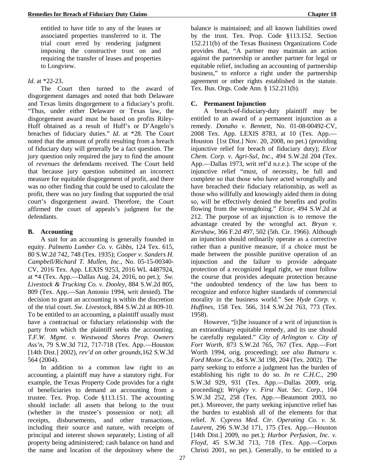entitled to have title to any of the leases or associated properties transferred to it. The trial court erred by rendering judgment imposing the constructive trust on and requiring the transfer of leases and properties to Longview.

### *Id*. at \*22-23.

The Court then turned to the award of disgorgement damages and noted that both Delaware and Texas limits disgorgement to a fiduciary's profit. "Thus, under either Delaware or Texas law, the disgorgement award must be based on profits Riley-Huff obtained as a result of Huff's or D'Angelo's breaches of fiduciary duties." *Id*. at \*28. The Court noted that the amount of profit resulting from a breach of fiduciary duty will generally be a fact question. The jury question only required the jury to find the amount of *revenues* the defendants received. The Court held that because jury question submitted an incorrect measure for equitable disgorgement of profit, and there was no other finding that could be used to calculate the profit, there was no jury finding that supported the trial court's disgorgement award. Therefore, the Court affirmed the court of appeals's judgment for the defendants.

### **B. Accounting**

A suit for an accounting is generally founded in equity. *Palmetto Lumber Co. v. Gibbs*, 124 Tex. 615, 80 S.W.2d 742, 748 (Tex. 1935); *Cooper v. Sanders H. Campbell/Richard T. Mullen, Inc*., No. 05-15-00340- CV, 2016 Tex. App. LEXIS 9253, 2016 WL 4487924, at \*4 (Tex. App.—Dallas Aug. 24, 2016, no pet.); *Sw. Livestock & Trucking Co. v. Dooley,* 884 S.W.2d 805, 809 (Tex. App.—San Antonio 1994, writ denied). The decision to grant an accounting is within the discretion of the trial court. *Sw. Livestock*, 884 S.W.2d at 809-10. To be entitled to an accounting, a plaintiff usually must have a contractual or fiduciary relationship with the party from which the plaintiff seeks the accounting. *T.F.W. Mgmt. v. Westwood Shores Prop. Owners Ass'n*, 79 S.W.3d 712, 717-718 (Tex. App.—Houston [14th Dist.] 2002), *rev'd on other grounds*,162 S.W.3d 564 (2004).

In addition to a common law right to an accounting, a plaintiff may have a statutory right. For example, the Texas Property Code provides for a right of beneficiaries to demand an accounting from a trustee. Tex. Prop. Code §113.151. The accounting should include: all assets that belong to the trust (whether in the trustee's possession or not); all receipts, disbursements, and other transactions, including their source and nature, with receipts of principal and interest shown separately; Listing of all property being administered; cash balance on hand and the name and location of the depository where the

balance is maintained; and all known liabilities owed by the trust. Tex. Prop. Code §113.152. Section 152.211(b) of the Texas Business Organizations Code provides that, "A partner may maintain an action against the partnership or another partner for legal or equitable relief, including an accounting of partnership business," to enforce a right under the partnership agreement or other rights established in the statute. Tex. Bus. Orgs. Code Ann. § 152.211(b).

### **C. Permanent Injunction**

A breach-of-fiduciary-duty plaintiff may be entitled to an award of a permanent injunction as a remedy. *Donaho v. Bennett*, No. 01-08-00492-CV, 2008 Tex. App. LEXIS 8783, at 10 (Tex. App.— Houston [1st Dist.] Nov. 20, 2008, no pet.) (providing injunctive relief for breach of fiduciary duty); *Elcor Chem. Corp. v. Agri-Sul, Inc*., 494 S.W.2d 204 (Tex. App.—Dallas 1973, writ ref'd n.r.e.). The scope of the injunctive relief "must, of necessity, be full and complete so that those who have acted wrongfully and have breached their fiduciary relationship, as well as those who willfully and knowingly aided them in doing so, will be effectively denied the benefits and profits flowing from the wrongdoing." *Elcor*, 494 S.W.2d at 212. The purpose of an injunction is to remove the advantage created by the wrongful act. *Bryan v. Kershaw*, 366 F.2d 497, 502 (5th. Cir. 1966). Although an injunction should ordinarily operate as a corrective rather than a punitive measure, if a choice must be made between the possible punitive operation of an injunction and the failure to provide adequate protection of a recognized legal right, we must follow the course that provides adequate protection because "the undoubted tendency of the law has been to recognize and enforce higher standards of commercial morality in the business world." See *Hyde Corp. v. Huffines*, 158 Tex. 566, 314 S.W.2d 763, 773 (Tex. 1958).

However, "[t]he issuance of a writ of injunction is an extraordinary equitable remedy, and its use should be carefully regulated." *City of Arlington v. City of Fort Worth*, 873 S.W.2d 765, 767 (Tex. App.—Fort Worth 1994, orig. proceeding); *see also Butnaru v. Ford Motor Co.*, 84 S.W.3d 198, 204 (Tex. 2002). The party seeking to enforce a judgment has the burden of establishing his right to do so. *In re C.H.C.*, 290 S.W.3d 929, 931 (Tex. App.—Dallas 2009, orig. proceeding); *Wrigley v. First Nat. Sec. Corp.,* 104 S.W.3d 252, 258 (Tex. App.—Beaumont 2003, no pet.). Moreover, the party seeking injunctive relief has the burden to establish all of the elements for that relief. *N. Cypress Med. Ctr. Operating Co. v. St. Laurent*, 296 S.W.3d 171, 175 (Tex. App.—Houston [14th Dist.] 2009, no pet.); *Harbor Perfusion, Inc. v. Floyd,* 45 S.W.3d 713, 718 (Tex. App.—Corpus Christi 2001, no pet.). Generally, to be entitled to a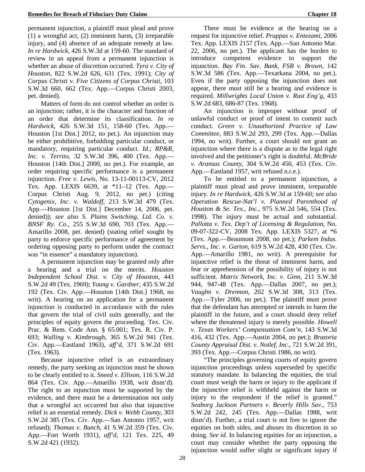permanent injunction, a plaintiff must plead and prove (1) a wrongful act, (2) imminent harm, (3) irreparable injury, and (4) absence of an adequate remedy at law. *In re Hardwick*, 426 S.W.3d at 159-60. The standard of review in an appeal from a permanent injunction is whether an abuse of discretion occurred. *Tyra v. City of Houston,* 822 S.W.2d 626, 631 (Tex. 1991); *City of Corpus Christi v. Five Citizens of Corpus Christi*, 103 S.W.3d 660, 662 (Tex. App.—Corpus Christi 2003, pet. denied).

Matters of form do not control whether an order is an injunction; rather, it is the character and function of an order that determine its classification. *In re Hardwick*, 426 S.W.3d 151, 158-60 (Tex. App.— Houston [1st Dist.] 2012, no pet.). An injunction may be either prohibitive, forbidding particular conduct, or mandatory, requiring particular conduct. *Id.; RP&R, Inc. v. Territo*, 32 S.W.3d 396, 400 (Tex. App.— Houston [14th Dist.] 2000, no pet.). For example, an order requiring specific performance is a permanent injunction. *Free v. Lewis*, No. 13-11-00113-CV, 2012 Tex. App. LEXIS 6639, at \*11–12 (Tex. App.— Corpus Christi Aug. 9, 2012, no pet.) (citing *Cytogenix, Inc. v. Waldoff*, 213 S.W.3d 479 (Tex. App.—Houston [1st Dist.] December 14, 2006, pet. denied)); *see also S. Plains Switching, Ltd. Co. v. BNSF Ry. Co*., 255 S.W.3d 690, 703 (Tex. App.— Amarillo 2008, pet. denied) (stating relief sought by party to enforce specific performance of agreement by ordering opposing party to perform under the contract was "in essence" a mandatory injunction).

A permanent injunction may be granted only after a hearing and a trial on the merits. *Houston Independent School Dist. v. City of Houston*, 443 S.W.2d 49 (Tex. 1969); *Young v. Gardner,* 435 S.W.2d 192 (Tex. Civ. App.—Houston [14th Dist.] 1968, no writ). A hearing on an application for a permanent injunction is conducted in accordance with the rules that govern the trial of civil suits generally, and the principles of equity govern the proceeding. Tex. Civ. Prac. & Rem. Code Ann. § 65.001; Tex. R. Civ. P. 693; *Walling v. Kimbrough*, 365 S.W.2d 941 (Tex. Civ. App.—Eastland 1963), *aff'd*, 371 S.W.2d 691 (Tex. 1963).

Because injunctive relief is an extraordinary remedy, the party seeking an injunction must be shown to be clearly entitled to it. *Sneed v. Ellison*, 116 S.W.2d 864 (Tex. Civ. App.—Amarillo 1938, writ dism'd). The right to an injunction must be supported by the evidence, and there must be a determination not only that a wrongful act occurred but also that injunctive relief is an essential remedy. *Dick v. Webb County*, 303 S.W.2d 385 (Tex. Civ. App.—San Antonio 1957, writ refused); *Thomas v. Bunch*, 41 S.W.2d 359 (Tex. Civ. App.—Fort Worth 1931), *aff'd,* 121 Tex. 225, 49 S.W.2d 421 (1932).

There must be evidence at the hearing on a request for injunctive relief. *Prappas v. Entezami,* 2006 Tex. App. LEXIS 2157 (Tex. App.—San Antonio Mar. 22, 2006, no pet.). The applicant has the burden to introduce competent evidence to support the injunction. *Bay Fin. Sav. Bank, FSB v. Brown*, 142 S.W.3d 586 (Tex. App.—Texarkana 2004, no pet.). Even if the party opposing the injunction does not appear, there must still be a hearing and evidence is required. *Millwrights Local Union v. Rust Eng'g,* 433 S.W.2d 683, 686-87 (Tex. 1968).

An injunction is improper without proof of unlawful conduct or proof of intent to commit such conduct. *Green v. Unauthorized Practice of Law Committee*, 883 S.W.2d 293, 299 (Tex. App.—Dallas 1994, no writ). Further, a court should not grant an injunction where there is a dispute as to the legal right involved and the petitioner's right is doubtful. *McBride v. Aransas County*, 304 S.W.2d 450, 453 (Tex. Civ. App.—Eastland 1957, writ refused n.r.e.).

To be entitled to a permanent injunction, a plaintiff must plead and prove imminent, irreparable injury. *In re Hardwick*, 426 S.W.3d at 159-60; *see also Operation Rescue-Nat'l v. Planned Parenthood of Houston & Se. Tex., Inc.*, 975 S.W.2d 546, 554 (Tex. 1998). The injury must be actual and substantial. *Pallotta v. Tex. Dep't of Licensing & Regulation*, No. 09-07-322-CV, 2008 Tex. App. LEXIS 5327, at \*6 (Tex. App.—Beaumont 2008, no pet.); *Parkem Indus. Servs., Inc. v. Garton,* 619 S.W.2d 428, 430 (Tex. Civ. App.—Amarillo 1981, no writ). A prerequisite for injunctive relief is the threat of imminent harm, and fear or apprehension of the possibility of injury is not sufficient. *Matrix Network, Inc. v. Ginn,* 211 S.W.3d 944, 947-48 (Tex. App.—Dallas 2007, no pet.); *Vaughn v. Drennon*, 202 S.W.3d 308, 313 (Tex. App.—Tyler 2006, no pet.). The plaintiff must prove that the defendant has attempted or intends to harm the plaintiff in the future, and a court should deny relief where the threatened injury is merely possible. *Howell v. Texas Workers' Compensation Com'n,* 143 S.W.3d 416, 432 (Tex. App.—Austin 2004, no pet.); *Brazoria County Appraisal Dist. v. Notlef, Inc.*, 721 S.W.2d 391, 393 (Tex. App.—Corpus Christi 1986, no writ).

"The principles governing courts of equity govern injunction proceedings unless superseded by specific statutory mandate. In balancing the equities, the trial court must weigh the harm or injury to the applicant if the injunctive relief is withheld against the harm or injury to the respondent if the relief is granted." *Seaborg Jackson Partners v. Beverly Hills Sav*., 753 S.W.2d 242, 245 (Tex. App.—Dallas 1988, writ dism'd). Further, a trial court is not free to ignore the equities on both sides, and abuses its discretion in so doing. *See id.* In balancing equities for an injunction, a court may consider whether the party opposing the injunction would suffer slight or significant injury if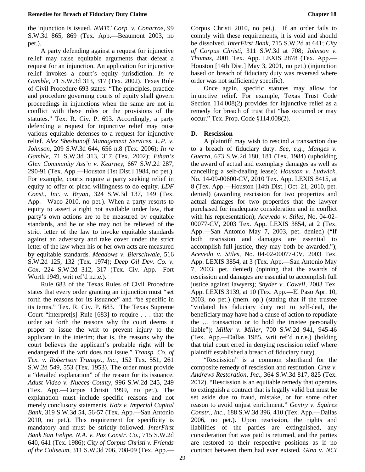the injunction is issued. *NMTC Corp. v. Conarroe*, 99 S.W.3d 865, 869 (Tex. App.—Beaumont 2003, no pet.).

A party defending against a request for injunctive relief may raise equitable arguments that defeat a request for an injunction. An application for injunctive relief invokes a court's equity jurisdiction. *In re Gamble*, 71 S.W.3d 313, 317 (Tex. 2002). Texas Rule of Civil Procedure 693 states: "The principles, practice and procedure governing courts of equity shall govern proceedings in injunctions when the same are not in conflict with these rules or the provisions of the statutes." Tex. R. Civ. P. 693. Accordingly, a party defending a request for injunctive relief may raise various equitable defenses to a request for injunctive relief. *Alex Sheshunoff Management Services, L.P. v. Johnson,* 209 S.W.3d 644, 656 n.8 (Tex. 2006); *In re Gamble,* 71 S.W.3d 313, 317 (Tex. 2002); *Ethan's Glen Community Ass'n v. Kearney*, 667 S.W.2d 287, 290-91 (Tex. App.—Houston [1st Dist.] 1984, no pet.). For example, courts require a party seeking relief in equity to offer or plead willingness to do equity. *LDF Const., Inc. v. Bryan,* 324 S.W.3d 137, 149 (Tex. App.—Waco 2010, no pet.). When a party resorts to equity to assert a right not available under law, that party's own actions are to be measured by equitable standards, and he or she may not be relieved of the strict letter of the law to invoke equitable standards against an adversary and take cover under the strict letter of the law when his or her own acts are measured by equitable standards. *Meadows v. Bierschwale*, 516 S.W.2d 125, 132 (Tex. 1974); *Deep Oil Dev. Co. v. Cox*, 224 S.W.2d 312, 317 (Tex. Civ. App.—Fort Worth 1949, writ ref'd n.r.e.).

Rule 683 of the Texas Rules of Civil Procedure states that every order granting an injunction must "set forth the reasons for its issuance" and "be specific in its terms." Tex. R. Civ. P. 683. The Texas Supreme Court "interpret[s] Rule [683] to require . . . that the order set forth the reasons why the court deems it proper to issue the writ to prevent injury to the applicant in the interim; that is, the reasons why the court believes the applicant's probable right will be endangered if the writ does not issue." *Transp. Co. of Tex. v. Robertson Transps., Inc.*, 152 Tex. 551, 261 S.W.2d 549, 553 (Tex. 1953). The order must provide a "detailed explanation" of the reason for its issuance. *Adust Video v. Nueces County,* 996 S.W.2d 245, 249 (Tex. App.—Corpus Christi 1999, no pet.). The explanation must include specific reasons and not merely conclusory statements. *Kotz v. Imperial Capital Bank*, 319 S.W.3d 54, 56-57 (Tex. App.—San Antonio 2010, no pet.). This requirement for specificity is mandatory and must be strictly followed. *InterFirst Bank San Felipe, N.A. v. Paz Constr. Co*., 715 S.W.2d 640, 641 (Tex. 1986); *City of Corpus Christi v. Friends of the Coliseum*, 311 S.W.3d 706, 708-09 (Tex. App.—

Corpus Christi 2010, no pet.). If an order fails to comply with these requirements, it is void and should be dissolved. *InterFirst Bank*, 715 S.W.2d at 641; *City of Corpus Christi*, 311 S.W.3d at 708; *Johnson v. Thomas*, 2001 Tex. App. LEXIS 2878 (Tex. App.— Houston [14th Dist.] May 3, 2001, no pet.) (injunction based on breach of fiduciary duty was reversed where order was not sufficiently specific).

Once again, specific statutes may allow for injunctive relief. For example, Texas Trust Code Section 114.008(2) provides for injunctive relief as a remedy for breach of trust that "has occurred or may occur." Tex. Prop. Code §114.008(2).

### **D. Rescission**

A plaintiff may wish to rescind a transaction due to a breach of fiduciary duty. *See, e.g., Manges v. Guerra*, 673 S.W.2d 180, 181 (Tex. 1984) (upholding the award of actual and exemplary damages as well as cancelling a self-dealing lease); *Houston v. Ludwick*, No. 14-09-00600-CV, 2010 Tex. App. LEXIS 8415, at 8 (Tex. App.—Houston [14th Dist.] Oct. 21, 2010, pet. denied) (awarding rescission for two properties and actual damages for two properties that the lawyer purchased for inadequate consideration and in conflict with his representation); *Acevedo v. Stiles*, No. 04-02- 00077-CV, 2003 Tex. App. LEXIS 3854, at 2 (Tex. App.—San Antonio May 7, 2003, pet. denied) ("If both rescission and damages are essential to accomplish full justice, they may both be awarded."); *Acevedo v. Stiles*, No. 04-02-00077-CV, 2003 Tex. App. LEXIS 3854, at 3 (Tex. App.—San Antonio May 7, 2003, pet. denied) (opining that the awards of rescission and damages are essential to accomplish full justice against lawyers); *Snyder v. Cowell*, 2003 Tex. App. LEXIS 3139, at 10 (Tex. App.—El Paso Apr. 10, 2003, no pet.) (mem. op.) (stating that if the trustee "violated his fiduciary duty not to self-deal, the beneficiary may have had a cause of action to repudiate the … transaction or to hold the trustee personally liable"); *Miller v. Miller,* 700 S.W.2d 941, 945-46 (Tex. App.—Dallas 1985, writ ref'd n.r.e.) (holding that trial court erred in denying rescission relief where plaintiff established a breach of fiduciary duty).

"Rescission" is a common shorthand for the composite remedy of rescission and restitution. *Cruz v. Andrews Restoration, Inc*., 364 S.W.3d 817, 825 (Tex. 2012). "Rescission is an equitable remedy that operates to extinguish a contract that is legally valid but must be set aside due to fraud, mistake, or for some other reason to avoid unjust enrichment." *Gentry v. Squires Constr., Inc.*, 188 S.W.3d 396, 410 (Tex. App.—Dallas 2006, no pet.). Upon rescission, the rights and liabilities of the parties are extinguished, any consideration that was paid is returned, and the parties are restored to their respective positions as if no contract between them had ever existed. *Ginn v. NCI*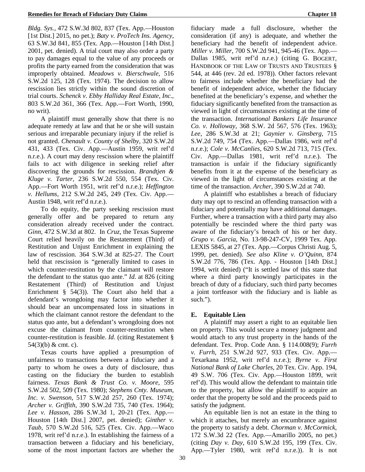*Bldg. Sys.*, 472 S.W.3d 802, 837 (Tex. App.—Houston [1st Dist.] 2015, no pet.); *Baty v. ProTech Ins. Agency,* 63 S.W.3d 841, 855 (Tex. App.—Houston [14th Dist.] 2001, pet. denied). A trial court may also order a party to pay damages equal to the value of any proceeds or profits the party earned from the consideration that was improperly obtained. *Meadows v. Bierschwale*, 516 S.W.2d 125, 128 (Tex. 1974). The decision to allow rescission lies strictly within the sound discretion of trial courts. *Schenck v. Ebby Halliday Real Estate, Inc.*, 803 S.W.2d 361, 366 (Tex. App.—Fort Worth, 1990, no writ).

A plaintiff must generally show that there is no adequate remedy at law and that he or she will sustain serious and irreparable pecuniary injury if the relief is not granted. *Chenault v. County of Shelby*, 320 S.W.2d 431, 433 (Tex. Civ. App.—Austin 1959, writ ref'd n.r.e.). A court may deny rescission where the plaintiff fails to act with diligence in seeking relief after discovering the grounds for rescission. *Brandtjen & Kluge v. Tarter*, 236 S.W.2d 550, 554 (Tex. Civ. App.—Fort Worth 1951, writ ref'd n.r.e.); *Heffington v. Hellums,* 212 S.W.2d 245, 249 (Tex. Civ. App.— Austin 1948, writ ref'd n.r.e.).

To do equity, the party seeking rescission must generally offer and be prepared to return any consideration already received under the contract. *Ginn,* 472 S.W.3d at 802. In *Cruz*, the Texas Supreme Court relied heavily on the Restatement (Third) of Restitution and Unjust Enrichment in explaining the law of rescission. 364 S.W.3d at 825-27. The Court held that rescission is "generally limited to cases in which counter-restitution by the claimant will restore the defendant to the status quo ante." *Id*. at 826 (citing Restatement (Third) of Restitution and Unjust Enrichment  $\S$  54(3)). The Court also held that a defendant's wrongdoing may factor into whether it should bear an uncompensated loss in situations in which the claimant cannot restore the defendant to the status quo ante, but a defendant's wrongdoing does not excuse the claimant from counter-restitution when counter-restitution is feasible. *Id*. (citing Restatement §  $54(3)(b)$  & cmt. c).

Texas courts have applied a presumption of unfairness to transactions between a fiduciary and a party to whom he owes a duty of disclosure, thus casting on the fiduciary the burden to establish fairness. *Texas Bank & Trust Co. v. Moore*, 595 S.W.2d 502, 509 (Tex. 1980); *Stephens Cnty. Museum, Inc. v. Swenson*, 517 S.W.2d 257, 260 (Tex. 1974); *Archer v. Griffith*, 390 S.W.2d 735, 740 (Tex. 1964); *Lee v. Hasson*, 286 S.W.3d 1, 20-21 (Tex. App.— Houston [14th Dist.] 2007, pet. denied); *Ginther v. Taub*, 570 S.W.2d 516, 525 (Tex. Civ. App.—Waco 1978, writ ref'd n.r.e.). In establishing the fairness of a transaction between a fiduciary and his beneficiary, some of the most important factors are whether the

30

fiduciary made a full disclosure, whether the consideration (if any) is adequate, and whether the beneficiary had the benefit of independent advice. *Miller v. Miller,* 700 S.W.2d 941, 945-46 (Tex. App.— Dallas 1985, writ ref'd n.r.e.) (citing G. BOGERT, HANDBOOK OF THE LAW OF TRUSTS AND TRUSTEES § 544, at 446 (rev. 2d ed. 1978)). Other factors relevant to fairness include whether the beneficiary had the benefit of independent advice, whether the fiduciary benefited at the beneficiary's expense, and whether the fiduciary significantly benefited from the transaction as viewed in light of circumstances existing at the time of the transaction. *International Bankers Life Insurance Co. v. Holloway,* 368 S.W. 2d 567, 576 (Tex. 1963); *Lee*, 286 S.W.3d at 21; *Gaynier v. Ginsberg,* 715 S.W.2d 749, 754 (Tex. App.—Dallas 1986, writ ref'd n.r.e.); *Cole v. McCanlies,* 620 S.W.2d 713, 715 (Tex. Civ. App.—Dallas 1981, writ ref'd n.r.e.). The transaction is unfair if the fiduciary significantly benefits from it at the expense of the beneficiary as viewed in the light of circumstances existing at the time of the transaction. *Archer*, 390 S.W.2d at 740.

A plaintiff who establishes a breach of fiduciary duty may opt to rescind an offending transaction with a fiduciary and potentially may have additional damages. Further, where a transaction with a third party may also potentially be rescinded where the third party was aware of the fiduciary's breach of his or her duty. *Grupo v. Garcia*, No. 13-98-247-CV, 1999 Tex. App. LEXIS 5845, at 27 (Tex. App.—Corpus Christi Aug. 5, 1999, pet. denied). *See also Kline v. O'Quinn*, 874 S.W.2d 776, 786 (Tex. App. - Houston [14th Dist.] 1994, writ denied) ("It is settled law of this state that where a third party knowingly participates in the breach of duty of a fiduciary, such third party becomes a joint tortfeasor with the fiduciary and is liable as such.").

## **E. Equitable Lien**

A plaintiff may assert a right to an equitable lien on property. This would secure a money judgment and would attach to any trust property in the hands of the defendant. Tex. Prop. Code Ann. § 114.008(9); *Furrh v. Furrh*, 251 S.W.2d 927, 933 (Tex. Civ. App.— Texarkana 1952, writ ref'd n.r.e.); *Byrne v. First National Bank of Lake Charles*, 20 Tex. Civ. App. 194, 49 S.W. 706 (Tex. Civ. App.—Houston 1899, writ ref'd). This would allow the defendant to maintain title to the property, but allow the plaintiff to acquire an order that the property be sold and the proceeds paid to satisfy the judgment.

An equitable lien is not an estate in the thing to which it attaches, but merely an encumbrance against the property to satisfy a debt. *Chorman v. McCormick,* 172 S.W.3d 22 (Tex. App.—Amarillo 2005, no pet.) (citing *Day v. Day*, 610 S.W.2d 195, 199 (Tex. Civ. App.—Tyler 1980, writ ref'd n.r.e.)). It is not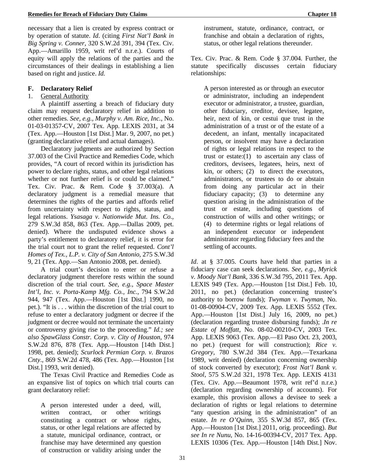necessary that a lien is created by express contract or by operation of statute. *Id*. (citing *First Nat'l Bank in Big Spring v. Conner*, 320 S.W.2d 391, 394 (Tex. Civ. App.—Amarillo 1959, writ ref'd n.r.e.). Courts of equity will apply the relations of the parties and the circumstances of their dealings in establishing a lien based on right and justice. *Id.*

### **F. Declaratory Relief**

### 1. General Authority

A plaintiff asserting a breach of fiduciary duty claim may request declaratory relief in addition to other remedies. *See, e.g., Murphy v. Am. Rice, Inc.*, No. 01-03-01357-CV, 2007 Tex. App. LEXIS 2031, at 34 (Tex. App.—Houston [1st Dist.] Mar. 9, 2007, no pet.) (granting declarative relief and actual damages).

Declaratory judgments are authorized by Section 37.003 of the Civil Practice and Remedies Code, which provides, "A court of record within its jurisdiction has power to declare rights, status, and other legal relations whether or not further relief is or could be claimed." Tex. Civ. Prac. & Rem. Code § 37.003(a). A declaratory judgment is a remedial measure that determines the rights of the parties and affords relief from uncertainty with respect to rights, status, and legal relations. *Ysasaga v. Nationwide Mut. Ins. Co.,* 279 S.W.3d 858, 863 (Tex. App.—Dallas 2009, pet. denied). Where the undisputed evidence shows a party's entitlement to declaratory relief, it is error for the trial court not to grant the relief requested. *Cont'l Homes of Tex., L.P. v. City of San Antonio,* 275 S.W.3d 9, 21 (Tex. App.—San Antonio 2008, pet. denied).

A trial court's decision to enter or refuse a declaratory judgment therefore rests within the sound discretion of the trial court. *See, e.g., Space Master Int'l, Inc. v. Porta-Kamp Mfg. Co., Inc.*, 794 S.W.2d 944, 947 (Tex. App.—Houston [1st Dist.] 1990, no pet.). "It is . . . within the discretion of the trial court to refuse to enter a declaratory judgment or decree if the judgment or decree would not terminate the uncertainty or controversy giving rise to the proceeding." *Id.; see also SpawGlass Constr. Corp. v. City of Houston*, 974 S.W.2d 876, 878 (Tex. App.—Houston [14th Dist.] 1998, pet. denied); *Scurlock Permian Corp. v. Brazos Cnty*., 869 S.W.2d 478, 486 (Tex. App.—Houston [1st Dist.] 1993, writ denied).

The Texas Civil Practice and Remedies Code as an expansive list of topics on which trial courts can grant declaratory relief:

A person interested under a deed, will, written contract, or other writings constituting a contract or whose rights, status, or other legal relations are affected by a statute, municipal ordinance, contract, or franchise may have determined any question of construction or validity arising under the

instrument, statute, ordinance, contract, or franchise and obtain a declaration of rights, status, or other legal relations thereunder.

Tex. Civ. Prac. & Rem. Code § 37.004. Further, the statute specifically discusses certain fiduciary relationships:

A person interested as or through an executor or administrator, including an independent executor or administrator, a trustee, guardian, other fiduciary, creditor, devisee, legatee, heir, next of kin, or cestui que trust in the administration of a trust or of the estate of a decedent, an infant, mentally incapacitated person, or insolvent may have a declaration of rights or legal relations in respect to the trust or estate: $(1)$  to ascertain any class of creditors, devisees, legatees, heirs, next of kin, or others; (2) to direct the executors, administrators, or trustees to do or abstain from doing any particular act in their fiduciary capacity; (3) to determine any question arising in the administration of the trust or estate, including questions of construction of wills and other writings; or (4) to determine rights or legal relations of an independent executor or independent administrator regarding fiduciary fees and the settling of accounts.

*Id*. at § 37.005. Courts have held that parties in a fiduciary case can seek declarations. *See, e.g., Myrick v. Moody Nat'l Bank*, 336 S.W.3d 795, 2011 Tex. App. LEXIS 949 (Tex. App.—Houston [1st Dist.] Feb. 10, 2011, no pet.) (declaration concerning trustee's authority to borrow funds); *Twyman v. Twyman*, No. 01-08-00904-CV, 2009 Tex. App. LEXIS 5552 (Tex. App.—Houston [1st Dist.] July 16, 2009, no pet.) (declaration regarding trustee disbursing funds); .*In re Estate of Moffatt*, No. 08-02-00210-CV, 2003 Tex. App. LEXIS 9063 (Tex. App.—El Paso Oct. 23, 2003, no pet.) (request for will construction); *Rice v. Gregory*, 780 S.W.2d 384 (Tex. App.—Texarkana 1989, writ denied) (declaration concerning ownership of stock converted by executor); *Frost Nat'l Bank v. Stool*, 575 S.W.2d 321, 1978 Tex. App. LEXIS 4131 (Tex. Civ. App.—Beaumont 1978, writ ref'd n.r.e.) (declaration regarding ownership of accounts). For example, this provision allows a devisee to seek a declaration of rights or legal relations to determine "any question arising in the administration" of an estate. *In re O'Quinn*, 355 S.W.3d 857, 865 (Tex. App.—Houston [1st Dist.] 2011, orig. proceeding). *But see In re Nunu,* No. 14-16-00394-CV, 2017 Tex. App. LEXIS 10306 (Tex. App.—Houston [14th Dist.] Nov.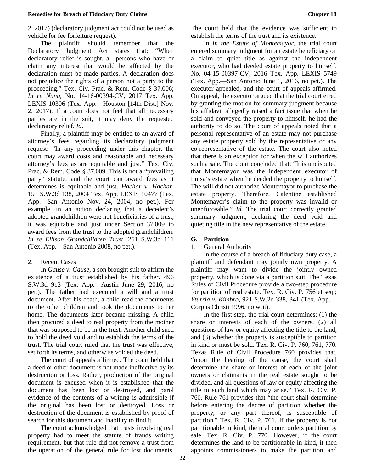2, 2017) (declaratory judgment act could not be used as vehicle for fee forfeiture request).

The plaintiff should remember that the Declaratory Judgment Act states that: "When declaratory relief is sought, all persons who have or claim any interest that would be affected by the declaration must be made parties. A declaration does not prejudice the rights of a person not a party to the proceeding." Tex. Civ. Prac. & Rem. Code § 37.006; *In re Nunu,* No. 14-16-00394-CV, 2017 Tex. App. LEXIS 10306 (Tex. App.—Houston [14th Dist.] Nov. 2, 2017). If a court does not feel that all necessary parties are in the suit, it may deny the requested declaratory relief. *Id*.

Finally, a plaintiff may be entitled to an award of attorney's fees regarding its declaratory judgment request: "In any proceeding under this chapter, the court may award costs and reasonable and necessary attorney's fees as are equitable and just." Tex. Civ. Prac. & Rem. Code § 37.009. This is not a "prevailing party" statute, and the court can award fees as it determines is equitable and just. *Hachar v. Hachar*, 153 S.W.3d 138, 2004 Tex. App. LEXIS 10477 (Tex. App.—San Antonio Nov. 24, 2004, no pet.). For example, in an action declaring that a decedent's adopted grandchildren were not beneficiaries of a trust, it was equitable and just under Section 37.009 to award fees from the trust to the adopted grandchildren. *In re Ellison Grandchildren Trust*, 261 S.W.3d 111 (Tex. App.—San Antonio 2008, no pet.).

### 2. Recent Cases

In *Gause v. Gause*, a son brought suit to affirm the existence of a trust established by his father. 496 S.W.3d 913 (Tex. App.—Austin June 29, 2016, no pet.). The father had executed a will and a trust document. After his death, a child read the documents to the other children and took the documents to her home. The documents later became missing. A child then procured a deed to real property from the mother that was supposed to be in the trust. Another child sued to hold the deed void and to establish the terms of the trust. The trial court ruled that the trust was effective, set forth its terms, and otherwise voided the deed.

The court of appeals affirmed. The court held that a deed or other document is not made ineffective by its destruction or loss. Rather, production of the original document is excused when it is established that the document has been lost or destroyed, and parol evidence of the contents of a writing is admissible if the original has been lost or destroyed. Loss or destruction of the document is established by proof of search for this document and inability to find it.

The court acknowledged that trusts involving real property had to meet the statute of frauds writing requirement, but that rule did not remove a trust from the operation of the general rule for lost documents.

The court held that the evidence was sufficient to establish the terms of the trust and its existence.

In *In the Estate of Montemayor*, the trial court entered summary judgment for an estate beneficiary on a claim to quiet title as against the independent executor, who had deeded estate property to himself. No. 04-15-00397-CV, 2016 Tex. App. LEXIS 5749 (Tex. App.—San Antonio June 1, 2016, no pet.). The executor appealed, and the court of appeals affirmed. On appeal, the executor argued that the trial court erred by granting the motion for summary judgment because his affidavit allegedly raised a fact issue that when he sold and conveyed the property to himself, he had the authority to do so. The court of appeals noted that a personal representative of an estate may not purchase any estate property sold by the representative or any co-representative of the estate. The court also noted that there is an exception for when the will authorizes such a sale. The court concluded that: "It is undisputed that Montemayor was the independent executor of Luisa's estate when he deeded the property to himself. The will did not authorize Montemayor to purchase the estate property. Therefore, Calentine established Montemayor's claim to the property was invalid or unenforceable." *Id*. The trial court correctly granted summary judgment, declaring the deed void and quieting title in the new representative of the estate.

#### **G. Partition**

### 1. General Authority

In the course of a breach-of-fiduciary-duty case, a plaintiff and defendant may jointly own property. A plaintiff may want to divide the jointly owned property, which is done via a partition suit. The Texas Rules of Civil Procedure provide a two-step procedure for partition of real estate. Tex. R. Civ. P. 756 et seq.; *Yturria v. Kimbro*, 921 S.W.2d 338, 341 (Tex. App.— Corpus Christi 1996, no writ).

In the first step, the trial court determines: (1) the share or interests of each of the owners, (2) all questions of law or equity affecting the title to the land, and (3) whether the property is susceptible to partition in kind or must be sold. Tex. R. Civ. P. 760, 761, 770. Texas Rule of Civil Procedure 760 provides that, "upon the hearing of the cause, the court shall determine the share or interest of each of the joint owners or claimants in the real estate sought to be divided, and all questions of law or equity affecting the title to such land which may arise." Tex. R. Civ. P. 760. Rule 761 provides that "the court shall determine before entering the decree of partition whether the property, or any part thereof, is susceptible of partition." Tex. R. Civ. P. 761. If the property is not partitionable in kind, the trial court orders partition by sale. Tex. R. Civ. P. 770. However, if the court determines the land to be partitionable in kind, it then appoints commissioners to make the partition and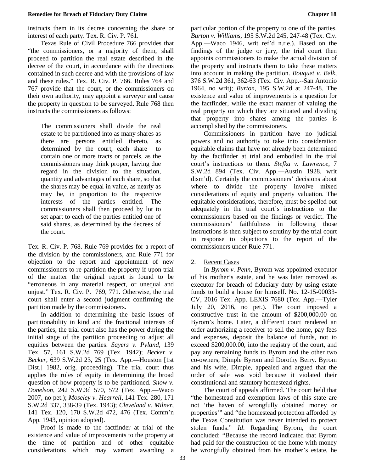instructs them in its decree concerning the share or interest of each party. Tex. R. Civ. P. 761.

Texas Rule of Civil Procedure 766 provides that "the commissioners, or a majority of them, shall proceed to partition the real estate described in the decree of the court, in accordance with the directions contained in such decree and with the provisions of law and these rules." Tex. R. Civ. P. 766. Rules 764 and 767 provide that the court, or the commissioners on their own authority, may appoint a surveyor and cause the property in question to be surveyed. Rule 768 then instructs the commissioners as follows:

The commissioners shall divide the real estate to be partitioned into as many shares as there are persons entitled thereto, as determined by the court, each share to contain one or more tracts or parcels, as the commissioners may think proper, having due regard in the division to the situation, quantity and advantages of each share, so that the shares may be equal in value, as nearly as may be, in proportion to the respective interests of the parties entitled. The commissioners shall then proceed by lot to set apart to each of the parties entitled one of said shares, as determined by the decrees of the court.

Tex. R. Civ. P. 768. Rule 769 provides for a report of the division by the commissioners, and Rule 771 for objection to the report and appointment of new commissioners to re-partition the property if upon trial of the matter the original report is found to be "erroneous in any material respect, or unequal and unjust." Tex. R. Civ. P. 769, 771. Otherwise, the trial court shall enter a second judgment confirming the partition made by the commissioners.

In addition to determining the basic issues of partitionability in kind and the fractional interests of the parties, the trial court also has the power during the initial stage of the partition proceeding to adjust all equities between the parties. *Sayers v. Pyland,* 139 Tex. 57, 161 S.W.2d 769 (Tex. 1942); *Becker v. Becker*, 639 S.W.2d 23, 25 (Tex. App.—Houston [1st Dist.] 1982, orig. proceeding). The trial court thus applies the rules of equity in determining the broad question of how property is to be partitioned. *Snow v. Donelson*, 242 S.W.3d 570, 572 (Tex. App.—Waco 2007, no pet.); *Moseley v. Hearrell*, 141 Tex. 280, 171 S.W.2d 337, 338-39 (Tex. 1943); *Cleveland v. Milner*, 141 Tex. 120, 170 S.W.2d 472, 476 (Tex. Comm'n App. 1943, opinion adopted).

Proof is made to the factfinder at trial of the existence and value of improvements to the property at the time of partition and of other equitable considerations which may warrant awarding a

particular portion of the property to one of the parties. *Burton v. Williams*, 195 S.W.2d 245, 247-48 (Tex. Civ. App.—Waco 1946, writ ref'd n.r.e.). Based on the findings of the judge or jury, the trial court then appoints commissioners to make the actual division of the property and instructs them to take these matters into account in making the partition. *Bouquet v. Belk*, 376 S.W.2d 361, 362-63 (Tex. Civ. App.--San Antonio 1964, no writ); *Burton*, 195 S.W.2d at 247-48. The existence and value of improvements is a question for the factfinder, while the exact manner of valuing the real property on which they are situated and dividing that property into shares among the parties is accomplished by the commissioners.

Commissioners in partition have no judicial powers and no authority to take into consideration equitable claims that have not already been determined by the factfinder at trial and embodied in the trial court's instructions to them. *Stefka v. Lawrence*, 7 S.W.2d 894 (Tex. Civ. App.—Austin 1928, writ dism'd). Certainly the commissioners' decisions about where to divide the property involve mixed considerations of equity and property valuation. The equitable considerations, therefore, must be spelled out adequately in the trial court's instructions to the commissioners based on the findings or verdict. The commissioners' faithfulness in following those instructions is then subject to scrutiny by the trial court in response to objections to the report of the commissioners under Rule 771.

### 2. Recent Cases

In *Byrom v. Penn*, Byrom was appointed executor of his mother's estate, and he was later removed as executor for breach of fiduciary duty by using estate funds to build a house for himself. No. 12-15-00033- CV, 2016 Tex. App. LEXIS 7680 (Tex. App.—Tyler July 20, 2016, no pet.). The court imposed a constructive trust in the amount of \$200,000.00 on Byrom's home. Later, a different court rendered an order authorizing a receiver to sell the home, pay fees and expenses, deposit the balance of funds, not to exceed \$200,000.00, into the registry of the court, and pay any remaining funds to Byrom and the other two co-owners, Dimple Byrom and Dorothy Berry. Byrom and his wife, Dimple, appealed and argued that the order of sale was void because it violated their constitutional and statutory homestead rights.

The court of appeals affirmed. The court held that "the homestead and exemption laws of this state are not 'the haven of wrongfully obtained money or properties'" and "the homestead protection afforded by the Texas Constitution was never intended to protect stolen funds." *Id*. Regarding Byrom, the court concluded: "Because the record indicated that Byrom had paid for the construction of the home with money he wrongfully obtained from his mother's estate, he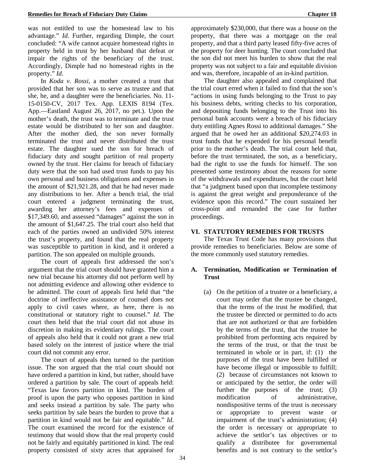was not entitled to use the homestead law to his advantage." *Id*. Further, regarding Dimple, the court concluded: "A wife cannot acquire homestead rights in property held in trust by her husband that defeat or impair the rights of the beneficiary of the trust. Accordingly, Dimple had no homestead rights in the property." *Id*.

In *Koda v. Rossi*, a mother created a trust that provided that her son was to serve as trustee and that she, he, and a daughter were the beneficiaries. No. 11- 15-0150-CV, 2017 Tex. App. LEXIS 8194 (Tex. App.—Eastland August 26, 2017, no pet.). Upon the mother's death, the trust was to terminate and the trust estate would be distributed to her son and daughter. After the mother died, the son never formally terminated the trust and never distributed the trust estate. The daughter sued the son for breach of fiduciary duty and sought partition of real property owned by the trust. Her claims for breach of fiduciary duty were that the son had used trust funds to pay his own personal and business obligations and expenses in the amount of \$21,921.28, and that he had never made any distributions to her. After a bench trial, the trial court entered a judgment terminating the trust, awarding her attorney's fees and expenses of \$17,349.60, and assessed "damages" against the son in the amount of \$1,647.25. The trial court also held that each of the parties owned an undivided 50% interest the trust's property, and found that the real property was susceptible to partition in kind, and it ordered a partition. The son appealed on multiple grounds.

The court of appeals first addressed the son's argument that the trial court should have granted him a new trial because his attorney did not perform well by not admitting evidence and allowing other evidence to be admitted. The court of appeals first held that "the doctrine of ineffective assistance of counsel does not apply to civil cases where, as here, there is no constitutional or statutory right to counsel." *Id*. The court then held that the trial court did not abuse its discretion in making its evidentiary rulings. The court of appeals also held that it could not grant a new trial based solely on the interest of justice where the trial court did not commit any error.

The court of appeals then turned to the partition issue. The son argued that the trial court should not have ordered a partition in kind, but rather, should have ordered a partition by sale. The court of appeals held: "Texas law favors partition in kind. The burden of proof is upon the party who opposes partition in kind and seeks instead a partition by sale. The party who seeks partition by sale bears the burden to prove that a partition in kind would not be fair and equitable." *Id*. The court examined the record for the existence of testimony that would show that the real property could not be fairly and equitably partitioned in kind. The real property consisted of sixty acres that appraised for

approximately \$230,000, that there was a house on the property, that there was a mortgage on the real property, and that a third party leased fifty-five acres of the property for deer hunting. The court concluded that the son did not meet his burden to show that the real property was not subject to a fair and equitable division and was, therefore, incapable of an in-kind partition.

The daughter also appealed and complained that the trial court erred when it failed to find that the son's "actions in using funds belonging to the Trust to pay his business debts, writing checks to his corporation, and depositing funds belonging to the Trust into his personal bank accounts were a breach of his fiduciary duty entitling Agnes Rossi to additional damages." She argued that he owed her an additional \$20,274.03 in trust funds that he expended for his personal benefit prior to the mother's death. The trial court held that, before the trust terminated, the son, as a beneficiary, had the right to use the funds for himself. The son presented some testimony about the reasons for some of the withdrawals and expenditures, but the court held that "a judgment based upon that incomplete testimony is against the great weight and preponderance of the evidence upon this record." The court sustained her cross-point and remanded the case for further proceedings.

#### **VI. STATUTORY REMEDIES FOR TRUSTS**

The Texas Trust Code has many provisions that provide remedies to beneficiaries. Below are some of the more commonly used statutory remedies.

### **A. Termination, Modification or Termination of Trust**

(a) On the petition of a trustee or a beneficiary, a court may order that the trustee be changed, that the terms of the trust be modified, that the trustee be directed or permitted to do acts that are not authorized or that are forbidden by the terms of the trust, that the trustee be prohibited from performing acts required by the terms of the trust, or that the trust be terminated in whole or in part, if: (1) the purposes of the trust have been fulfilled or have become illegal or impossible to fulfill; (2) because of circumstances not known to or anticipated by the settlor, the order will further the purposes of the trust; (3) modification of administrative, nondispositive terms of the trust is necessary or appropriate to prevent waste or impairment of the trust's administration; (4) the order is necessary or appropriate to achieve the settlor's tax objectives or to qualify a distributee for governmental benefits and is not contrary to the settlor's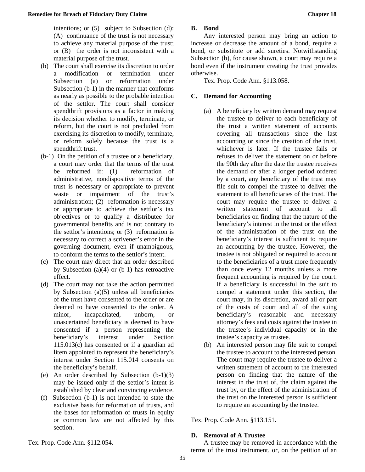intentions; or (5) subject to Subsection (d): (A) continuance of the trust is not necessary to achieve any material purpose of the trust; or (B) the order is not inconsistent with a material purpose of the trust.

- (b) The court shall exercise its discretion to order a modification or termination under Subsection (a) or reformation under Subsection (b-1) in the manner that conforms as nearly as possible to the probable intention of the settlor. The court shall consider spendthrift provisions as a factor in making its decision whether to modify, terminate, or reform, but the court is not precluded from exercising its discretion to modify, terminate, or reform solely because the trust is a spendthrift trust.
- (b-1) On the petition of a trustee or a beneficiary, a court may order that the terms of the trust be reformed if: (1) reformation of administrative, nondispositive terms of the trust is necessary or appropriate to prevent waste or impairment of the trust's administration; (2) reformation is necessary or appropriate to achieve the settlor's tax objectives or to qualify a distributee for governmental benefits and is not contrary to the settlor's intentions; or (3) reformation is necessary to correct a scrivener's error in the governing document, even if unambiguous, to conform the terms to the settlor's intent.
- (c) The court may direct that an order described by Subsection  $(a)(4)$  or  $(b-1)$  has retroactive effect.
- (d) The court may not take the action permitted by Subsection (a)(5) unless all beneficiaries of the trust have consented to the order or are deemed to have consented to the order. A minor, incapacitated, unborn, or unascertained beneficiary is deemed to have consented if a person representing the beneficiary's interest under Section 115.013(c) has consented or if a guardian ad litem appointed to represent the beneficiary's interest under Section 115.014 consents on the beneficiary's behalf.
- (e) An order described by Subsection (b-1)(3) may be issued only if the settlor's intent is established by clear and convincing evidence.
- (f) Subsection (b-1) is not intended to state the exclusive basis for reformation of trusts, and the bases for reformation of trusts in equity or common law are not affected by this section.

### **B. Bond**

Any interested person may bring an action to increase or decrease the amount of a bond, require a bond, or substitute or add sureties. Notwithstanding Subsection (b), for cause shown, a court may require a bond even if the instrument creating the trust provides otherwise.

Tex. Prop. Code Ann. §113.058.

### **C. Demand for Accounting**

- (a) A beneficiary by written demand may request the trustee to deliver to each beneficiary of the trust a written statement of accounts covering all transactions since the last accounting or since the creation of the trust, whichever is later. If the trustee fails or refuses to deliver the statement on or before the 90th day after the date the trustee receives the demand or after a longer period ordered by a court, any beneficiary of the trust may file suit to compel the trustee to deliver the statement to all beneficiaries of the trust. The court may require the trustee to deliver a written statement of account to all beneficiaries on finding that the nature of the beneficiary's interest in the trust or the effect of the administration of the trust on the beneficiary's interest is sufficient to require an accounting by the trustee. However, the trustee is not obligated or required to account to the beneficiaries of a trust more frequently than once every 12 months unless a more frequent accounting is required by the court. If a beneficiary is successful in the suit to compel a statement under this section, the court may, in its discretion, award all or part of the costs of court and all of the suing beneficiary's reasonable and necessary attorney's fees and costs against the trustee in the trustee's individual capacity or in the trustee's capacity as trustee.
- (b) An interested person may file suit to compel the trustee to account to the interested person. The court may require the trustee to deliver a written statement of account to the interested person on finding that the nature of the interest in the trust of, the claim against the trust by, or the effect of the administration of the trust on the interested person is sufficient to require an accounting by the trustee.

Tex. Prop. Code Ann. §113.151.

### **D. Removal of A Trustee**

A trustee may be removed in accordance with the terms of the trust instrument, or, on the petition of an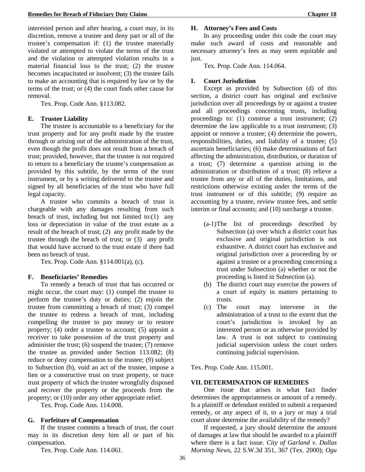interested person and after hearing, a court may, in its discretion, remove a trustee and deny part or all of the trustee's compensation if: (1) the trustee materially violated or attempted to violate the terms of the trust and the violation or attempted violation results in a material financial loss to the trust; (2) the trustee becomes incapacitated or insolvent; (3) the trustee fails to make an accounting that is required by law or by the terms of the trust; or (4) the court finds other cause for removal.

Tex. Prop. Code Ann. §113.082.

#### **E. Trustee Liability**

The trustee is accountable to a beneficiary for the trust property and for any profit made by the trustee through or arising out of the administration of the trust, even though the profit does not result from a breach of trust; provided, however, that the trustee is not required to return to a beneficiary the trustee's compensation as provided by this subtitle, by the terms of the trust instrument, or by a writing delivered to the trustee and signed by all beneficiaries of the trust who have full legal capacity.

A trustee who commits a breach of trust is chargeable with any damages resulting from such breach of trust, including but not limited to: $(1)$  any loss or depreciation in value of the trust estate as a result of the breach of trust; (2) any profit made by the trustee through the breach of trust; or (3) any profit that would have accrued to the trust estate if there had been no breach of trust.

Tex. Prop. Code Ann. §114.001(a), (c).

### **F. Beneficiaries' Remedies**

To remedy a breach of trust that has occurred or might occur, the court may: (1) compel the trustee to perform the trustee's duty or duties; (2) enjoin the trustee from committing a breach of trust; (3) compel the trustee to redress a breach of trust, including compelling the trustee to pay money or to restore property; (4) order a trustee to account; (5) appoint a receiver to take possession of the trust property and administer the trust; (6) suspend the trustee; (7) remove the trustee as provided under Section 113.082; (8) reduce or deny compensation to the trustee; (9) subject to Subsection (b), void an act of the trustee, impose a lien or a constructive trust on trust property, or trace trust property of which the trustee wrongfully disposed and recover the property or the proceeds from the property; or (10) order any other appropriate relief.

Tex. Prop. Code Ann. 114.008.

### **G. Forfeiture of Compensation**

If the trustee commits a breach of trust, the court may in its discretion deny him all or part of his compensation.

Tex. Prop. Code Ann. 114.061.

#### **H. Attorney's Fees and Costs**

In any proceeding under this code the court may make such award of costs and reasonable and necessary attorney's fees as may seem equitable and just.

Tex. Prop. Code Ann. 114.064.

### **I. Court Jurisdiction**

Except as provided by Subsection (d) of this section, a district court has original and exclusive jurisdiction over all proceedings by or against a trustee and all proceedings concerning trusts, including proceedings to: (1) construe a trust instrument; (2) determine the law applicable to a trust instrument; (3) appoint or remove a trustee; (4) determine the powers, responsibilities, duties, and liability of a trustee; (5) ascertain beneficiaries; (6) make determinations of fact affecting the administration, distribution, or duration of a trust; (7) determine a question arising in the administration or distribution of a trust; (8) relieve a trustee from any or all of the duties, limitations, and restrictions otherwise existing under the terms of the trust instrument or of this subtitle; (9) require an accounting by a trustee, review trustee fees, and settle interim or final accounts; and (10) surcharge a trustee.

- (a-1)The list of proceedings described by Subsection (a) over which a district court has exclusive and original jurisdiction is not exhaustive. A district court has exclusive and original jurisdiction over a proceeding by or against a trustee or a proceeding concerning a trust under Subsection (a) whether or not the proceeding is listed in Subsection (a).
- (b) The district court may exercise the powers of a court of equity in matters pertaining to trusts.
- (c) The court may intervene in the administration of a trust to the extent that the court's jurisdiction is invoked by an interested person or as otherwise provided by law. A trust is not subject to continuing judicial supervision unless the court orders continuing judicial supervision.

Tex. Prop. Code Ann. 115.001.

#### **VII. DETERMINATION OF REMEDIES**

One issue that arises is what fact finder determines the appropriateness or amount of a remedy. Is a plaintiff or defendant entitled to submit a requested remedy, or any aspect of it, to a jury or may a trial court alone determine the availability of the remedy?

If requested, a jury should determine the amount of damages at law that should be awarded to a plaintiff where there is a fact issue. *City of Garland v. Dallas Morning News*, 22 S.W.3d 351, 367 (Tex. 2000); *Ogu*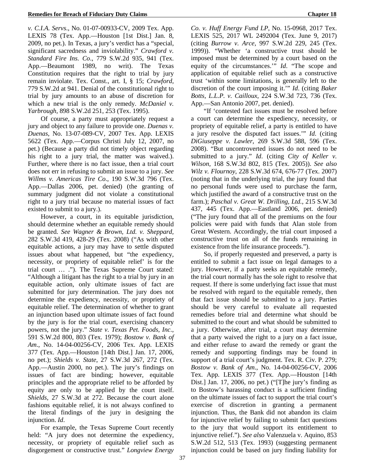*v. C.I.A. Servs*., No. 01-07-00933-CV, 2009 Tex. App. LEXIS 78 (Tex. App.—Houston [1st Dist.] Jan. 8, 2009, no pet.). In Texas, a jury's verdict has a "special, significant sacredness and inviolability." *Crawford v. Standard Fire Ins. Co*., 779 S.W.2d 935, 941 (Tex. App.—Beaumont 1989, no writ). The Texas Constitution requires that the right to trial by jury remain inviolate. Tex. Const., art. I, § 15; *Crawford*, 779 S.W.2d at 941. Denial of the constitutional right to trial by jury amounts to an abuse of discretion for which a new trial is the only remedy. *McDaniel v. Yarbrough*, 898 S.W.2d 251, 253 (Tex. 1995).

Of course, a party must appropriately request a jury and object to any failure to provide one. *Duenas v. Duenas*, No. 13-07-089-CV, 2007 Tex. App. LEXIS 5622 (Tex. App.—Corpus Christi July 12, 2007, no pet.) (Because a party did not timely object regarding his right to a jury trial, the matter was waived.). Further, where there is no fact issue, then a trial court does not err in refusing to submit an issue to a jury. *See Willms v. Americas Tire Co*., 190 S.W.3d 796 (Tex. App.—Dallas 2006, pet. denied) (the granting of summary judgment did not violate a constitutional right to a jury trial because no material issues of fact existed to submit to a jury.).

However, a court, in its equitable jurisdiction, should determine whether an equitable remedy should be granted. *See Wagner & Brown, Ltd. v. Sheppard,* 282 S.W.3d 419, 428-29 (Tex. 2008) ("As with other equitable actions, a jury may have to settle disputed issues about what happened, but "the expediency, necessity, or propriety of equitable relief' is for the trial court … ."). The Texas Supreme Court stated: "Although a litigant has the right to a trial by jury in an equitable action, only ultimate issues of fact are submitted for jury determination. The jury does not determine the expediency, necessity, or propriety of equitable relief. The determination of whether to grant an injunction based upon ultimate issues of fact found by the jury is for the trial court, exercising chancery powers, not the jury." *State v. Texas Pet. Foods, Inc.*, 591 S.W.2d 800, 803 (Tex. 1979); *Bostow v. Bank of Am*., No. 14-04-00256-CV, 2006 Tex. App. LEXIS 377 (Tex. App.—Houston [14th Dist.] Jan. 17, 2006, no pet.); *Shields v. State*, 27 S.W.3d 267, 272 (Tex. App.—Austin 2000, no pet.). The jury's findings on issues of fact are binding; however, equitable principles and the appropriate relief to be afforded by equity are only to be applied by the court itself. *Shields*, 27 S.W.3d at 272. Because the court alone fashions equitable relief, it is not always confined to the literal findings of the jury in designing the injunction. *Id*.

For example, the Texas Supreme Court recently held: "A jury does not determine the expediency, necessity, or propriety of equitable relief such as disgorgement or constructive trust." *Longview Energy*  *Co. v. Huff Energy Fund LP*, No. 15-0968, 2017 Tex. LEXIS 525, 2017 WL 2492004 (Tex. June 9, 2017) (citing *Burrow v. Arce*, 997 S.W.2d 229, 245 (Tex. 1999)). "Whether 'a constructive trust should be imposed must be determined by a court based on the equity of the circumstances.'" *Id*. "The scope and application of equitable relief such as a constructive trust 'within some limitations, is generally left to the discretion of the court imposing it.'" *Id*. (citing *Baker Botts, L.L.P. v. Cailloux*, 224 S.W.3d 723, 736 (Tex. App.—San Antonio 2007, pet. denied).

"If 'contested fact issues must be resolved before a court can determine the expediency, necessity, or propriety of equitable relief, a party is entitled to have a jury resolve the disputed fact issues.'" *Id*. (citing *DiGiuseppe v. Lawler*, 269 S.W.3d 588, 596 (Tex. 2008). "But uncontroverted issues do not need to be submitted to a jury." *Id*. (citing *City of Keller v. Wilson*, 168 S.W.3d 802, 815 (Tex. 2005)). *See also Wilz v. Flournoy*, 228 S.W.3d 674, 676-77 (Tex. 2007) (noting that in the underlying trial, the jury found that no personal funds were used to purchase the farm, which justified the award of a constructive trust on the farm.); *Paschal v. Great W. Drilling, Ltd.*, 215 S.W.3d 437, 445 (Tex. App.—Eastland 2006, pet. denied) ("The jury found that all of the premiums on the four policies were paid with funds that Alan stole from Great Western. Accordingly, the trial court imposed a constructive trust on all of the funds remaining in existence from the life insurance proceeds.").

So, if properly requested and preserved, a party is entitled to submit a fact issue on legal damages to a jury. However, if a party seeks an equitable remedy, the trial court normally has the sole right to resolve that request. If there is some underlying fact issue that must be resolved with regard to the equitable remedy, then that fact issue should be submitted to a jury. Parties should be very careful to evaluate all requested remedies before trial and determine what should be submitted to the court and what should be submitted to a jury. Otherwise, after trial, a court may determine that a party waived the right to a jury on a fact issue, and either refuse to award the remedy or grant the remedy and supporting findings may be found in support of a trial court's judgment. Tex. R. Civ. P. 279; *Bostow v. Bank of Am*., No. 14-04-00256-CV, 2006 Tex. App. LEXIS 377 (Tex. App.—Houston [14th Dist.] Jan. 17, 2006, no pet.) ("[T]he jury's finding as to Bostow's harassing conduct is a sufficient finding on the ultimate issues of fact to support the trial court's exercise of discretion in granting a permanent injunction. Thus, the Bank did not abandon its claim for injunctive relief by failing to submit fact questions to the jury that would support its entitlement to injunctive relief."). *See also* Valenzuela v. Aquino, 853 S.W.2d 512, 513 (Tex. 1993) (suggesting permanent injunction could be based on jury finding liability for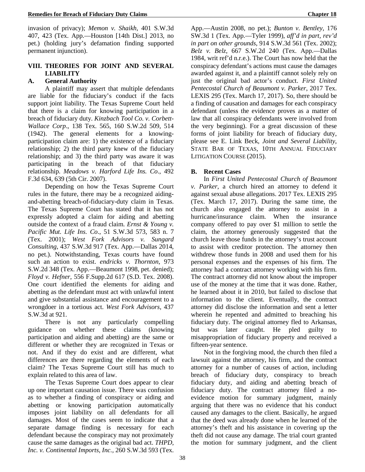invasion of privacy); *Memon v. Shaikh,* 401 S.W.3d 407, 423 (Tex. App.—Houston [14th Dist.] 2013, no pet.) (holding jury's defamation finding supported permanent injunction).

### **VIII. THEORIES FOR JOINT AND SEVERAL LIABILITY**

### **A. General Authority**

A plaintiff may assert that multiple defendants are liable for the fiduciary's conduct if the facts support joint liability. The Texas Supreme Court held that there is a claim for knowing participation in a breach of fiduciary duty. *Kinzbach Tool Co. v. Corbett-Wallace Corp*., 138 Tex. 565, 160 S.W.2d 509, 514 (1942). The general elements for a knowingparticipation claim are: 1) the existence of a fiduciary relationship; 2) the third party knew of the fiduciary relationship; and 3) the third party was aware it was participating in the breach of that fiduciary relationship. *Meadows v. Harford Life Ins. Co*., 492 F.3d 634, 639 (5th Cir. 2007).

Depending on how the Texas Supreme Court rules in the future, there may be a recognized aidingand-abetting breach-of-fiduciary-duty claim in Texas. The Texas Supreme Court has stated that it has not expressly adopted a claim for aiding and abetting outside the context of a fraud claim. *Ernst & Young v. Pacific Mut. Life Ins. Co*., 51 S.W.3d 573, 583 n. 7 (Tex. 2001); *West Fork Advisors v. Sungard Consulting*, 437 S.W.3d 917 (Tex. App.—Dallas 2014, no pet.). Notwithstanding, Texas courts have found such an action to exist. *endricks v. Thornton*, 973 S.W.2d 348 (Tex. App.—Beaumont 1998, pet. denied); *Floyd v. Hefner*, 556 F.Supp.2d 617 (S.D. Tex. 2008). One court identified the elements for aiding and abetting as the defendant must act with unlawful intent and give substantial assistance and encouragement to a wrongdoer in a tortious act. *West Fork Advisors*, 437 S.W.3d at 921.

There is not any particularly compelling guidance on whether these claims (knowing participation and aiding and abetting) are the same or different or whether they are recognized in Texas or not. And if they do exist and are different, what differences are there regarding the elements of each claim? The Texas Supreme Court still has much to explain related to this area of law.

The Texas Supreme Court does appear to clear up one important causation issue. There was confusion as to whether a finding of conspiracy or aiding and abetting or knowing participation automatically imposes joint liability on all defendants for all damages. Most of the cases seem to indicate that a separate damage finding is necessary for each defendant because the conspiracy may not proximately cause the same damages as the original bad act. *THPD, Inc. v. Continental Imports, Inc.,* 260 S.W.3d 593 (Tex.

App.—Austin 2008, no pet.); *Bunton v. Bentley*, 176 SW.3d 1 (Tex. App.—Tyler 1999), *aff'd in part, rev'd in part on other grounds*, 914 S.W.3d 561 (Tex. 2002); *Belz v. Belz*, 667 S.W.2d 240 (Tex. App.—Dallas 1984, writ ref'd n.r.e.). The Court has now held that the conspiracy defendant's actions must cause the damages awarded against it, and a plaintiff cannot solely rely on just the original bad actor's conduct. *First United Pentecostal Church of Beaumont v. Parker*, 2017 Tex. LEXIS 295 (Tex. March 17, 2017). So, there should be a finding of causation and damages for each conspiracy defendant (unless the evidence proves as a matter of law that all conspiracy defendants were involved from the very beginning). For a great discussion of these forms of joint liability for breach of fiduciary duty, please see E. Link Beck, *Joint and Several Liability*, STATE BAR OF TEXAS, 10TH ANNUAL FIDUCIARY LITIGATION COURSE (2015).

### **B. Recent Cases**

In *First United Pentecostal Church of Beaumont v. Parker*, a church hired an attorney to defend it against sexual abuse allegations. 2017 Tex. LEXIS 295 (Tex. March 17, 2017). During the same time, the church also engaged the attorney to assist in a hurricane/insurance claim. When the insurance company offered to pay over \$1 million to settle the claim, the attorney generously suggested that the church leave those funds in the attorney's trust account to assist with creditor protection. The attorney then withdrew those funds in 2008 and used them for his personal expenses and the expenses of his firm. The attorney had a contract attorney working with his firm. The contract attorney did not know about the improper use of the money at the time that it was done. Rather, he learned about it in 2010, but failed to disclose that information to the client. Eventually, the contract attorney did disclose the information and sent a letter wherein he repented and admitted to breaching his fiduciary duty. The original attorney fled to Arkansas, but was later caught. He pled guilty to misappropriation of fiduciary property and received a fifteen-year sentence.

Not in the forgiving mood, the church then filed a lawsuit against the attorney, his firm, and the contract attorney for a number of causes of action, including breach of fiduciary duty, conspiracy to breach fiduciary duty, and aiding and abetting breach of fiduciary duty. The contract attorney filed a noevidence motion for summary judgment, mainly arguing that there was no evidence that his conduct caused any damages to the client. Basically, he argued that the deed was already done when he learned of the attorney's theft and his assistance in covering up the theft did not cause any damage. The trial court granted the motion for summary judgment, and the client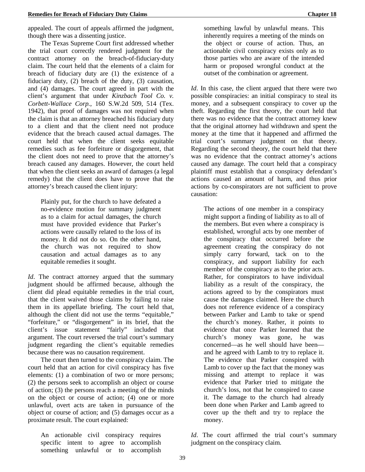appealed. The court of appeals affirmed the judgment, though there was a dissenting justice.

The Texas Supreme Court first addressed whether the trial court correctly rendered judgment for the contract attorney on the breach-of-fiduciary-duty claim. The court held that the elements of a claim for breach of fiduciary duty are (1) the existence of a fiduciary duty, (2) breach of the duty, (3) causation, and (4) damages. The court agreed in part with the client's argument that under *Kinzbach Tool Co. v. Corbett-Wallace Corp.*, 160 S.W.2d 509, 514 (Tex. 1942), that proof of damages was not required when the claim is that an attorney breached his fiduciary duty to a client and that the client need not produce evidence that the breach caused actual damages. The court held that when the client seeks equitable remedies such as fee forfeiture or disgorgement, that the client does not need to prove that the attorney's breach caused any damages. However, the court held that when the client seeks an award of damages (a legal remedy) that the client does have to prove that the attorney's breach caused the client injury:

Plainly put, for the church to have defeated a no-evidence motion for summary judgment as to a claim for actual damages, the church must have provided evidence that Parker's actions were causally related to the loss of its money. It did not do so. On the other hand, the church was not required to show causation and actual damages as to any equitable remedies it sought.

*Id*. The contract attorney argued that the summary judgment should be affirmed because, although the client did plead equitable remedies in the trial court, that the client waived those claims by failing to raise them in its appellate briefing. The court held that, although the client did not use the terms "equitable," "forfeiture," or "disgorgement" in its brief, that the client's issue statement "fairly" included that argument. The court reversed the trial court's summary judgment regarding the client's equitable remedies because there was no causation requirement.

The court then turned to the conspiracy claim. The court held that an action for civil conspiracy has five elements: (1) a combination of two or more persons; (2) the persons seek to accomplish an object or course of action; (3) the persons reach a meeting of the minds on the object or course of action; (4) one or more unlawful, overt acts are taken in pursuance of the object or course of action; and (5) damages occur as a proximate result. The court explained:

An actionable civil conspiracy requires specific intent to agree to accomplish something unlawful or to accomplish

something lawful by unlawful means. This inherently requires a meeting of the minds on the object or course of action. Thus, an actionable civil conspiracy exists only as to those parties who are aware of the intended harm or proposed wrongful conduct at the outset of the combination or agreement.

*Id*. In this case, the client argued that there were two possible conspiracies: an initial conspiracy to steal its money, and a subsequent conspiracy to cover up the theft. Regarding the first theory, the court held that there was no evidence that the contract attorney knew that the original attorney had withdrawn and spent the money at the time that it happened and affirmed the trial court's summary judgment on that theory. Regarding the second theory, the court held that there was no evidence that the contract attorney's actions caused any damage. The court held that a conspiracy plaintiff must establish that a conspiracy defendant's actions caused an amount of harm, and thus prior actions by co-conspirators are not sufficient to prove causation:

The actions of one member in a conspiracy might support a finding of liability as to all of the members. But even where a conspiracy is established, wrongful acts by one member of the conspiracy that occurred before the agreement creating the conspiracy do not simply carry forward, tack on to the conspiracy, and support liability for each member of the conspiracy as to the prior acts. Rather, for conspirators to have individual liability as a result of the conspiracy, the actions agreed to by the conspirators must cause the damages claimed. Here the church does not reference evidence of a conspiracy between Parker and Lamb to take or spend the church's money. Rather, it points to evidence that once Parker learned that the church's money was gone, he was concerned—as he well should have been and he agreed with Lamb to try to replace it. The evidence that Parker conspired with Lamb to cover up the fact that the money was missing and attempt to replace it was evidence that Parker tried to mitigate the church's loss, not that he conspired to cause it. The damage to the church had already been done when Parker and Lamb agreed to cover up the theft and try to replace the money.

*Id*. The court affirmed the trial court's summary judgment on the conspiracy claim.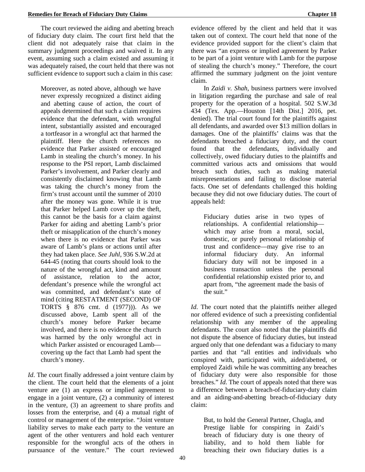The court reviewed the aiding and abetting breach of fiduciary duty claim. The court first held that the client did not adequately raise that claim in the summary judgment proceedings and waived it. In any event, assuming such a claim existed and assuming it was adequately raised, the court held that there was not sufficient evidence to support such a claim in this case:

Moreover, as noted above, although we have never expressly recognized a distinct aiding and abetting cause of action, the court of appeals determined that such a claim requires evidence that the defendant, with wrongful intent, substantially assisted and encouraged a tortfeasor in a wrongful act that harmed the plaintiff. Here the church references no evidence that Parker assisted or encouraged Lamb in stealing the church's money. In his response to the PSI report, Lamb disclaimed Parker's involvement, and Parker clearly and consistently disclaimed knowing that Lamb was taking the church's money from the firm's trust account until the summer of 2010 after the money was gone. While it is true that Parker helped Lamb cover up the theft, this cannot be the basis for a claim against Parker for aiding and abetting Lamb's prior theft or misapplication of the church's money when there is no evidence that Parker was aware of Lamb's plans or actions until after they had taken place. *See Juhl*, 936 S.W.2d at 644-45 (noting that courts should look to the nature of the wrongful act, kind and amount of assistance, relation to the actor, defendant's presence while the wrongful act was committed, and defendant's state of mind (citing RESTATMENT (SECOND) OF TORTS § 876 cmt. d (1977))). As we discussed above, Lamb spent all of the church's money before Parker became involved, and there is no evidence the church was harmed by the only wrongful act in which Parker assisted or encouraged Lamb covering up the fact that Lamb had spent the church's money.

*Id*. The court finally addressed a joint venture claim by the client. The court held that the elements of a joint venture are (1) an express or implied agreement to engage in a joint venture, (2) a community of interest in the venture, (3) an agreement to share profits and losses from the enterprise, and (4) a mutual right of control or management of the enterprise. "Joint venture liability serves to make each party to the venture an agent of the other venturers and hold each venturer responsible for the wrongful acts of the others in pursuance of the venture." The court reviewed

evidence offered by the client and held that it was taken out of context. The court held that none of the evidence provided support for the client's claim that there was "an express or implied agreement by Parker to be part of a joint venture with Lamb for the purpose of stealing the church's money." Therefore, the court affirmed the summary judgment on the joint venture claim.

In *Zaidi v. Shah*, business partners were involved in litigation regarding the purchase and sale of real property for the operation of a hospital. 502 S.W.3d 434 (Tex. App.—Houston [14th Dist.] 2016, pet. denied). The trial court found for the plaintiffs against all defendants, and awarded over \$13 million dollars in damages. One of the plaintiffs' claims was that the defendants breached a fiduciary duty, and the court found that the defendants, individually and collectively, owed fiduciary duties to the plaintiffs and committed various acts and omissions that would breach such duties, such as making material misrepresentations and failing to disclose material facts. One set of defendants challenged this holding because they did not owe fiduciary duties. The court of appeals held:

Fiduciary duties arise in two types of relationships. A confidential relationship which may arise from a moral, social, domestic, or purely personal relationship of trust and confidence—may give rise to an informal fiduciary duty. An informal fiduciary duty will not be imposed in a business transaction unless the personal confidential relationship existed prior to, and apart from, "the agreement made the basis of the suit."

*Id*. The court noted that the plaintiffs neither alleged nor offered evidence of such a preexisting confidential relationship with any member of the appealing defendants. The court also noted that the plaintiffs did not dispute the absence of fiduciary duties, but instead argued only that one defendant was a fiduciary to many parties and that "all entities and individuals who conspired with, participated with, aided/abetted, or employed Zaidi while he was committing any breaches of fiduciary duty were also responsible for those breaches." *Id*. The court of appeals noted that there was a difference between a breach-of-fiduciary-duty claim and an aiding-and-abetting breach-of-fiduciary duty claim:

But, to hold the General Partner, Chagla, and Prestige liable for conspiring in Zaidi's breach of fiduciary duty is one theory of liability, and to hold them liable for breaching their own fiduciary duties is a